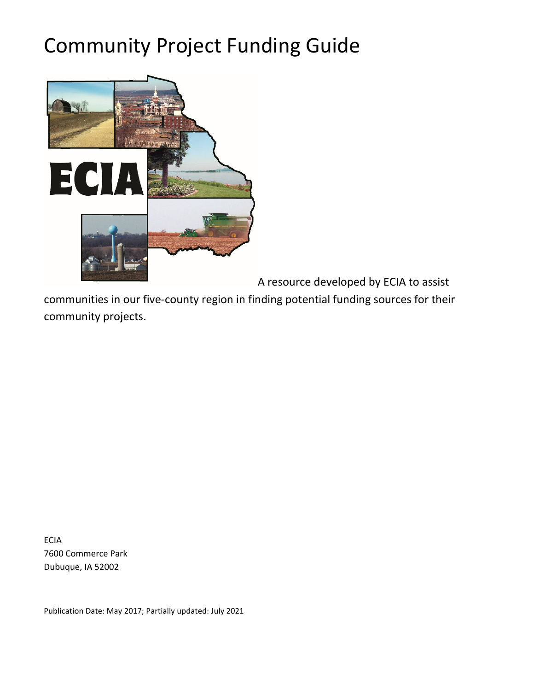# Community Project Funding Guide



A resource developed by ECIA to assist

communities in our five-county region in finding potential funding sources for their community projects.

ECIA 7600 Commerce Park Dubuque, IA 52002

Publication Date: May 2017; Partially updated: July 2021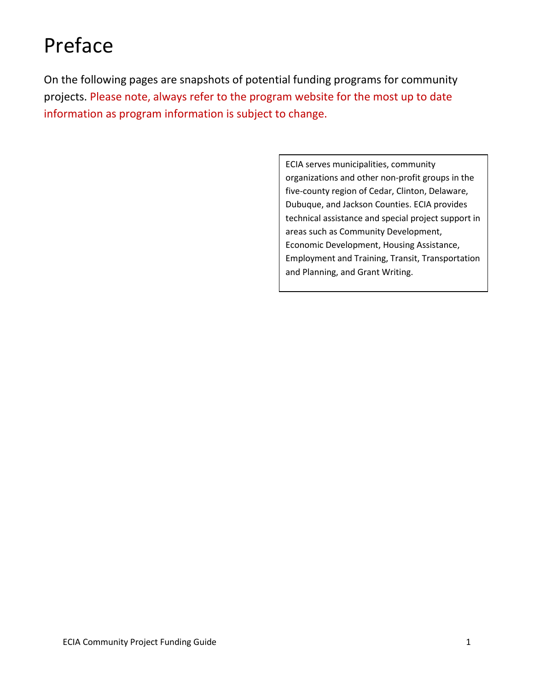# Preface

On the following pages are snapshots of potential funding programs for community projects. Please note, always refer to the program website for the most up to date information as program information is subject to change.

> ECIA serves municipalities, community organizations and other non-profit groups in the five-county region of Cedar, Clinton, Delaware, Dubuque, and Jackson Counties. ECIA provides technical assistance and special project support in areas such as Community Development, Economic Development, Housing Assistance, Employment and Training, Transit, Transportation and Planning, and Grant Writing.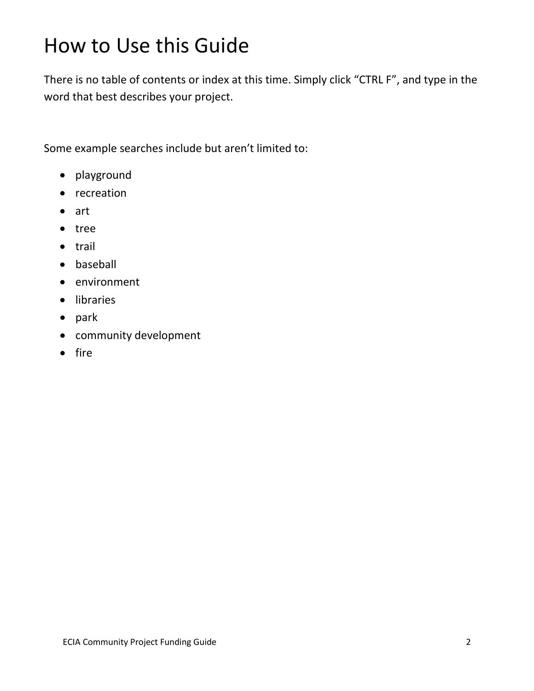# How to Use this Guide

There is no table of contents or index at this time. Simply click "CTRL F", and type in the word that best describes your project.

Some example searches include but aren't limited to:

- playground
- recreation
- art
- tree
- trail
- baseball
- environment
- libraries
- park
- community development
- fire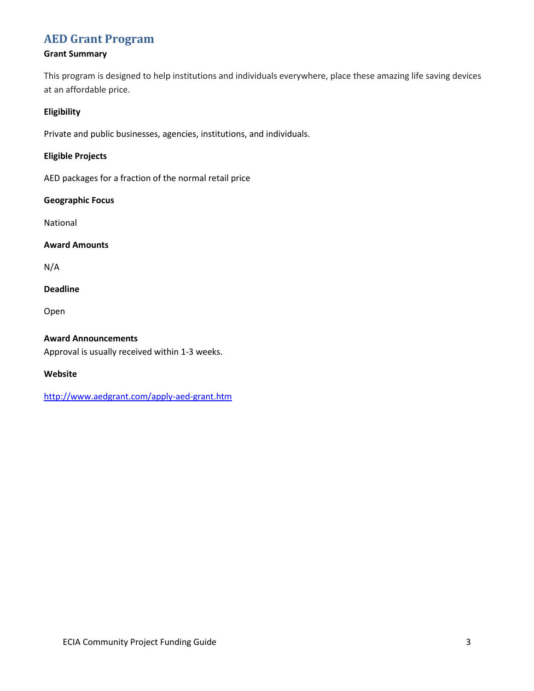# **[AED Grant Program](http://www.aedgrant.com/apply-aed-grant.htm)**

# **Grant Summary**

This program is designed to help institutions and individuals everywhere, place these amazing life saving devices at an affordable price.

# **Eligibility**

Private and public businesses, agencies, institutions, and individuals.

# **Eligible Projects**

AED packages for a fraction of the normal retail price

# **Geographic Focus**

National

# **Award Amounts**

N/A

# **Deadline**

Open

# **Award Announcements**

Approval is usually received within 1-3 weeks.

# **Website**

<http://www.aedgrant.com/apply-aed-grant.htm>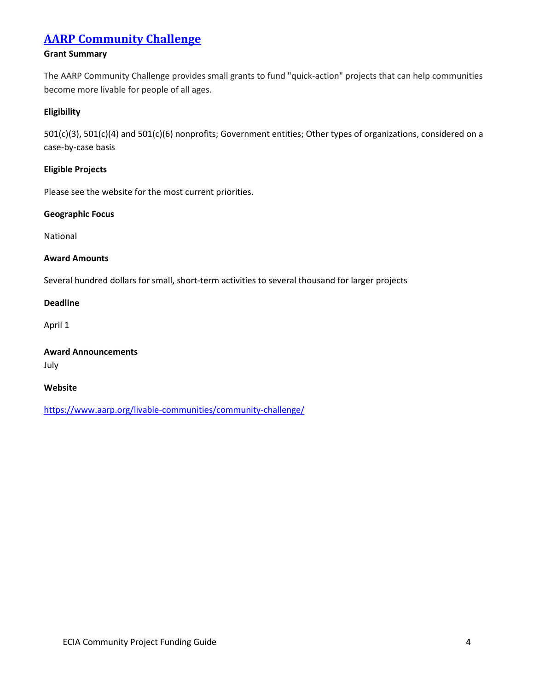# **[AARP Community Challenge](https://www.aarp.org/livable-communities/community-challenge/)**

# **Grant Summary**

The AARP Community Challenge provides small grants to fund "quick-action" projects that can help communities become more livable for people of all ages.

#### **Eligibility**

501(c)(3), 501(c)(4) and 501(c)(6) nonprofits; Government entities; Other types of organizations, considered on a case-by-case basis

#### **Eligible Projects**

Please see the website for the most current priorities.

#### **Geographic Focus**

National

#### **Award Amounts**

Several hundred dollars for small, short-term activities to several thousand for larger projects

#### **Deadline**

April 1

# **Award Announcements**

July

#### **Website**

<https://www.aarp.org/livable-communities/community-challenge/>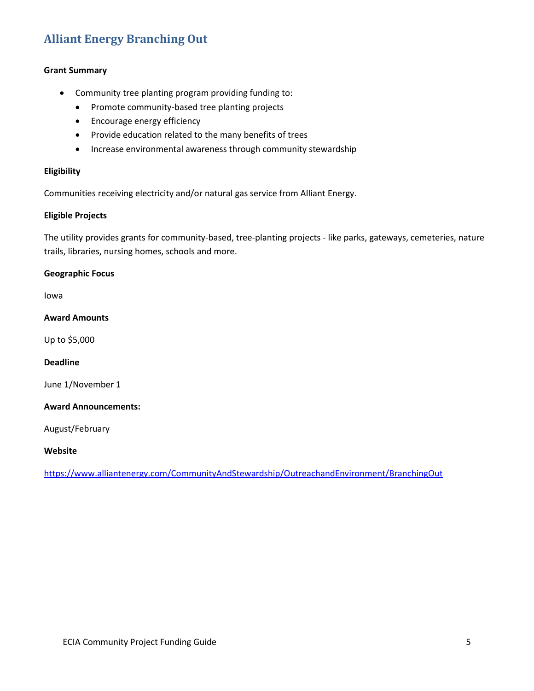# **[Alliant Energy Branching Out](https://www.alliantenergy.com/CommunityAndStewardship/OutreachandEnvironment/BranchingOut)**

#### **Grant Summary**

- Community tree planting program providing funding to:
	- Promote community-based tree planting projects
	- Encourage energy efficiency
	- Provide education related to the many benefits of trees
	- Increase environmental awareness through community stewardship

#### **Eligibility**

Communities receiving electricity and/or natural gas service from Alliant Energy.

#### **Eligible Projects**

The utility provides grants for community-based, tree-planting projects - like parks, gateways, cemeteries, nature trails, libraries, nursing homes, schools and more.

#### **Geographic Focus**

Iowa

**Award Amounts**

Up to \$5,000

#### **Deadline**

June 1/November 1

#### **Award Announcements:**

August/February

#### **Website**

<https://www.alliantenergy.com/CommunityAndStewardship/OutreachandEnvironment/BranchingOut>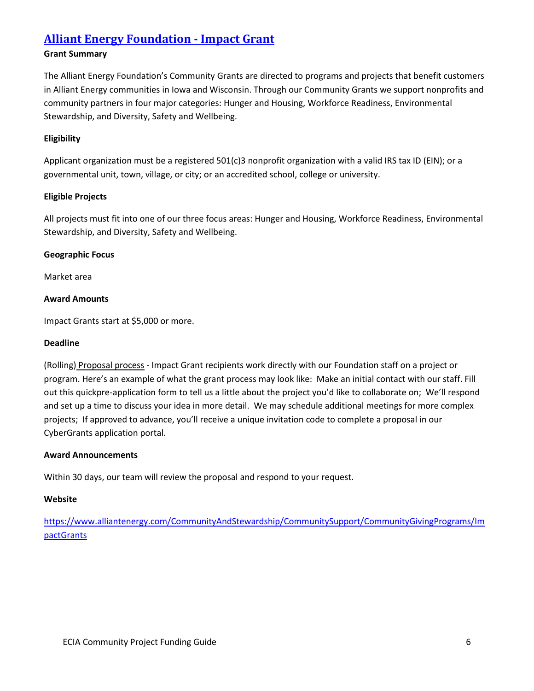# **[Alliant Energy Foundation -](https://www.alliantenergy.com/CommunityAndStewardship/CommunitySupport/CommunityGivingPrograms/ImpactGrants) Impact Grant**

## **Grant Summary**

The Alliant Energy Foundation's Community Grants are directed to programs and projects that benefit customers in Alliant Energy communities in Iowa and Wisconsin. Through our Community Grants we support nonprofits and community partners in four major categories: Hunger and Housing, Workforce Readiness, Environmental Stewardship, and Diversity, Safety and Wellbeing.

## **Eligibility**

Applicant organization must be a registered 501(c)3 nonprofit organization with a valid IRS tax ID (EIN); or a governmental unit, town, village, or city; or an accredited school, college or university.

# **Eligible Projects**

All projects must fit into one of our three focus areas: Hunger and Housing, Workforce Readiness, Environmental Stewardship, and Diversity, Safety and Wellbeing.

# **Geographic Focus**

Market area

# **Award Amounts**

Impact Grants start at \$5,000 or more.

#### **Deadline**

(Rolling) Proposal process - Impact Grant recipients work directly with our Foundation staff on a project or program. Here's an example of what the grant process may look like: Make an initial contact with our staff. Fill out this quickpre-application form to tell us a little about the project you'd like to collaborate on; We'll respond and set up a time to discuss your idea in more detail. We may schedule additional meetings for more complex projects; If approved to advance, you'll receive a unique invitation code to complete a proposal in our CyberGrants application portal.

#### **Award Announcements**

Within 30 days, our team will review the proposal and respond to your request.

#### **Website**

[https://www.alliantenergy.com/CommunityAndStewardship/CommunitySupport/CommunityGivingPrograms/Im](https://www.alliantenergy.com/CommunityAndStewardship/CommunitySupport/CommunityGivingPrograms/ImpactGrants) [pactGrants](https://www.alliantenergy.com/CommunityAndStewardship/CommunitySupport/CommunityGivingPrograms/ImpactGrants)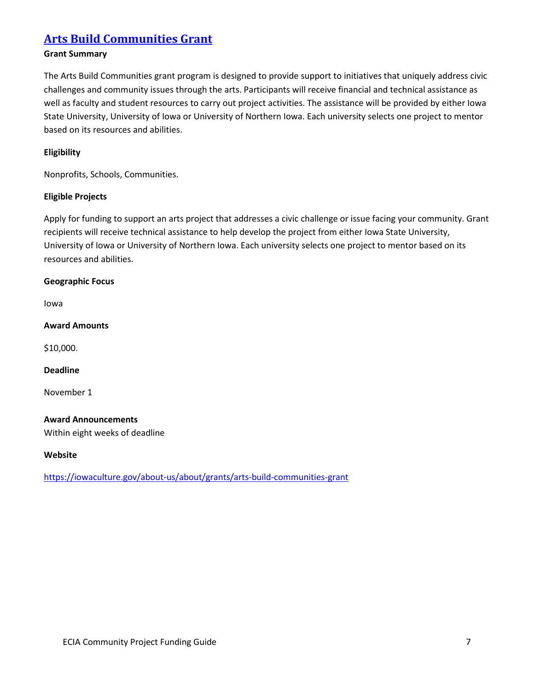# **[Arts Build Communities Grant](https://iowaculture.gov/about-us/about/grants/arts-build-communities-grant)**

# **Grant Summary**

The Arts Build Communities grant program is designed to provide support to initiatives that uniquely address civic challenges and community issues through the arts. Participants will receive financial and technical assistance as well as faculty and student resources to carry out project activities. The assistance will be provided by either Iowa State University, University of Iowa or University of Northern Iowa. Each university selects one project to mentor based on its resources and abilities.

# **Eligibility**

Nonprofits, Schools, Communities.

# **Eligible Projects**

Apply for funding to support an arts project that addresses a civic challenge or issue facing your community. Grant recipients will receive technical assistance to help develop the project from either Iowa State University, University of Iowa or University of Northern Iowa. Each university selects one project to mentor based on its resources and abilities.

#### **Geographic Focus**

Iowa

#### **Award Amounts**

\$10,000.

# **Deadline**

November 1

#### **Award Announcements**

Within eight weeks of deadline

#### **Website**

https://iowaculture.gov/about-us/about/grants/arts-build-communities-grant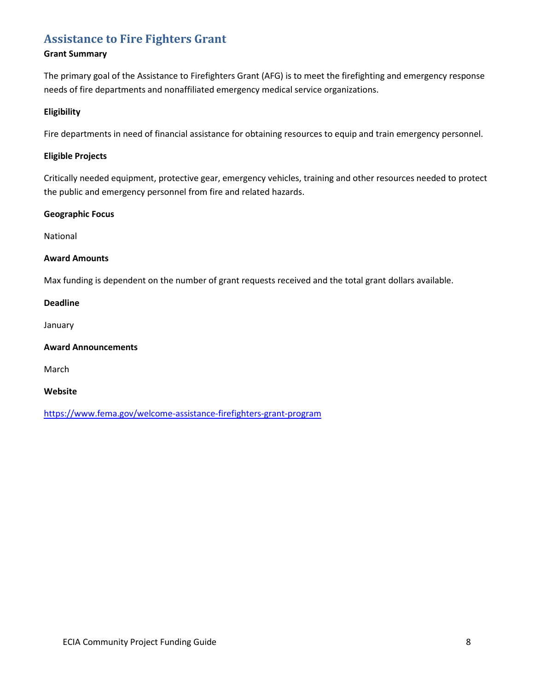# **[Assistance to Fire Fighters Grant](https://www.fema.gov/welcome-assistance-firefighters-grant-program)**

# **Grant Summary**

The primary goal of the Assistance to Firefighters Grant (AFG) is to meet the firefighting and emergency response needs of fire departments and nonaffiliated emergency medical service organizations.

#### **Eligibility**

Fire departments in need of financial assistance for obtaining resources to equip and train emergency personnel.

#### **Eligible Projects**

Critically needed equipment, protective gear, emergency vehicles, training and other resources needed to protect the public and emergency personnel from fire and related hazards.

#### **Geographic Focus**

National

#### **Award Amounts**

Max funding is dependent on the number of grant requests received and the total grant dollars available.

#### **Deadline**

January

#### **Award Announcements**

March

#### **Website**

<https://www.fema.gov/welcome-assistance-firefighters-grant-program>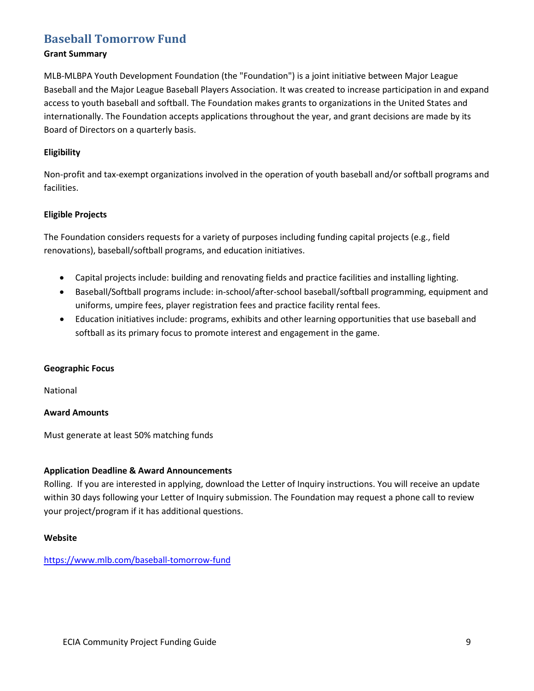# **[Baseball Tomorrow Fund](https://www.mlb.com/baseball-tomorrow-fund)**

#### **Grant Summary**

MLB-MLBPA Youth Development Foundation (the "Foundation") is a joint initiative between Major League Baseball and the Major League Baseball Players Association. It was created to increase participation in and expand access to youth baseball and softball. The Foundation makes grants to organizations in the United States and internationally. The Foundation accepts applications throughout the year, and grant decisions are made by its Board of Directors on a quarterly basis.

#### **Eligibility**

Non-profit and tax-exempt organizations involved in the operation of youth baseball and/or softball programs and facilities.

#### **Eligible Projects**

The Foundation considers requests for a variety of purposes including funding capital projects (e.g., field renovations), baseball/softball programs, and education initiatives.

- Capital projects include: building and renovating fields and practice facilities and installing lighting.
- Baseball/Softball programs include: in-school/after-school baseball/softball programming, equipment and uniforms, umpire fees, player registration fees and practice facility rental fees.
- Education initiatives include: programs, exhibits and other learning opportunities that use baseball and softball as its primary focus to promote interest and engagement in the game.

#### **Geographic Focus**

National

#### **Award Amounts**

Must generate at least 50% matching funds

#### **Application Deadline & Award Announcements**

Rolling. If you are interested in applying, download the Letter of Inquiry instructions. You will receive an update within 30 days following your Letter of Inquiry submission. The Foundation may request a phone call to review your project/program if it has additional questions.

#### **Website**

#### <https://www.mlb.com/baseball-tomorrow-fund>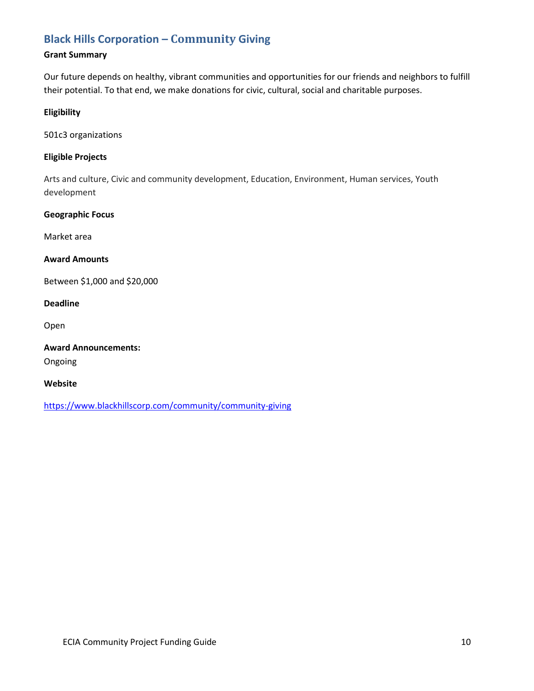# **[Black Hills Corporation –](https://www.blackhillscorp.com/community/community-giving) Community Giving**

# **Grant Summary**

Our future depends on healthy, vibrant communities and opportunities for our friends and neighbors to fulfill their potential. To that end, we make donations for civic, cultural, social and charitable purposes.

#### **Eligibility**

501c3 organizations

#### **Eligible Projects**

Arts and culture, Civic and community development, Education, Environment, Human services, Youth development

#### **Geographic Focus**

Market area

# **Award Amounts**

Between \$1,000 and \$20,000

# **Deadline**

Open

# **Award Announcements:**

Ongoing

#### **Website**

<https://www.blackhillscorp.com/community/community-giving>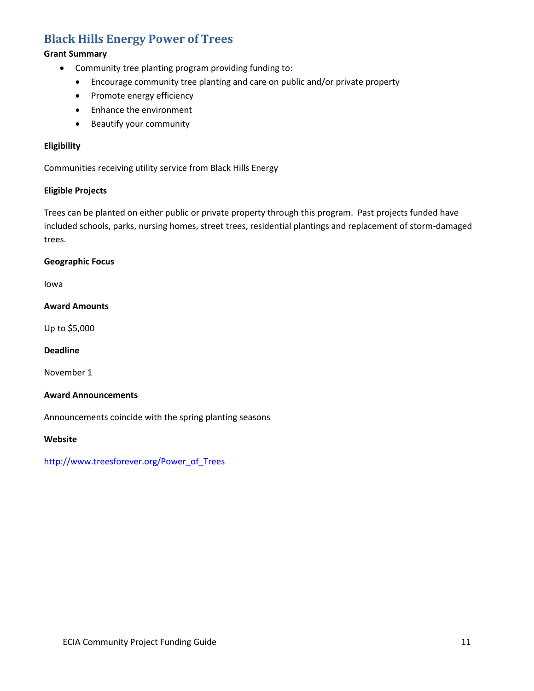# **[Black Hills Energy Power of Trees](http://www.treesforever.org/Power_of_Trees)**

# **Grant Summary**

- Community tree planting program providing funding to:
	- Encourage community tree planting and care on public and/or private property
	- Promote energy efficiency
	- Enhance the environment
	- Beautify your community

# **Eligibility**

Communities receiving utility service from Black Hills Energy

#### **Eligible Projects**

Trees can be planted on either public or private property through this program. Past projects funded have included schools, parks, nursing homes, street trees, residential plantings and replacement of storm-damaged trees.

#### **Geographic Focus**

Iowa

#### **Award Amounts**

Up to \$5,000

#### **Deadline**

November 1

#### **Award Announcements**

Announcements coincide with the spring planting seasons

#### **Website**

[http://www.treesforever.org/Power\\_of\\_Trees](http://www.treesforever.org/Power_of_Trees)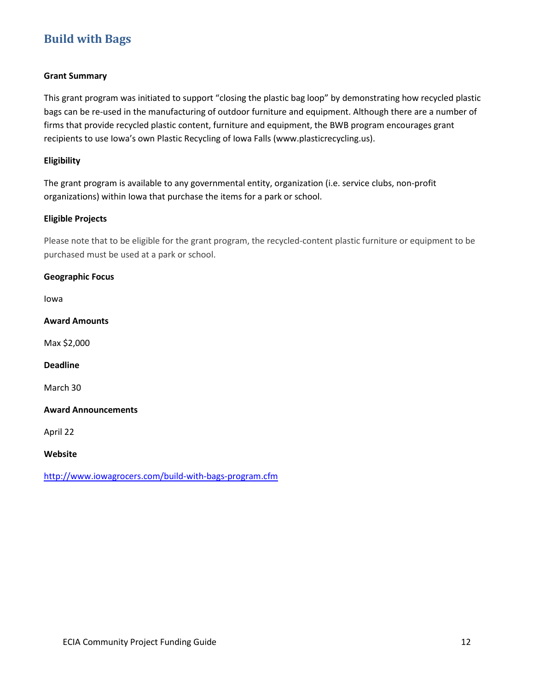# **[Build with Bags](http://www.iowagrocers.com/build-with-bags-program.cfm)**

#### **Grant Summary**

This grant program was initiated to support "closing the plastic bag loop" by demonstrating how recycled plastic bags can be re-used in the manufacturing of outdoor furniture and equipment. Although there are a number of firms that provide recycled plastic content, furniture and equipment, the BWB program encourages grant recipients to use Iowa's own Plastic Recycling of Iowa Falls (www.plasticrecycling.us).

#### **Eligibility**

The grant program is available to any governmental entity, organization (i.e. service clubs, non-profit organizations) within Iowa that purchase the items for a park or school.

#### **Eligible Projects**

Please note that to be eligible for the grant program, the recycled-content plastic furniture or equipment to be purchased must be used at a park or school.

#### **Geographic Focus**

Iowa

**Award Amounts**

Max \$2,000

# **Deadline**

March 30

#### **Award Announcements**

April 22

#### **Website**

http://www.iowagrocers.com/build-with-bags-program.cfm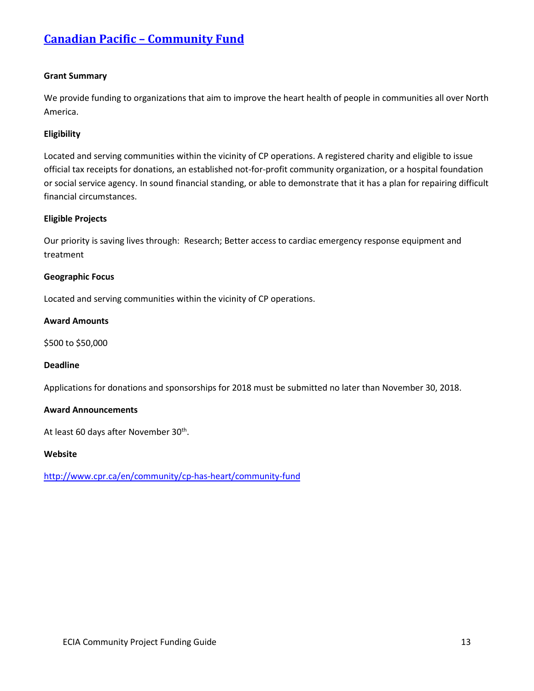# **[Canadian Pacific –](http://www.cpr.ca/en/community/cp-has-heart/community-fund) Community Fund**

#### **Grant Summary**

We provide funding to organizations that aim to improve the heart health of people in communities all over North America.

#### **Eligibility**

Located and serving communities within the vicinity of CP operations. A registered charity and eligible to issue official tax receipts for donations, an established not-for-profit community organization, or a hospital foundation or social service agency. In sound financial standing, or able to demonstrate that it has a plan for repairing difficult financial circumstances.

#### **Eligible Projects**

Our priority is saving lives through: Research; Better access to cardiac emergency response equipment and treatment

#### **Geographic Focus**

Located and serving communities within the vicinity of CP operations.

#### **Award Amounts**

\$500 to \$50,000

#### **Deadline**

Applications for donations and sponsorships for 2018 must be submitted no later than November 30, 2018.

#### **Award Announcements**

At least 60 days after November 30<sup>th</sup>.

#### **Website**

http://www.cpr.ca/en/community/cp-has-heart/community-fund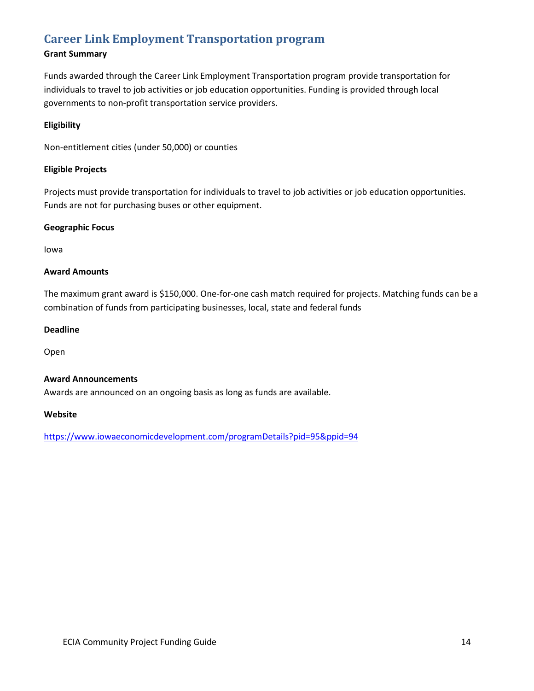# **[Career Link Employment Transportation program](https://www.iowaeconomicdevelopment.com/programDetails?pid=95&ppid=94)**

# **Grant Summary**

Funds awarded through the Career Link Employment Transportation program provide transportation for individuals to travel to job activities or job education opportunities. Funding is provided through local governments to non-profit transportation service providers.

## **Eligibility**

Non-entitlement cities (under 50,000) or counties

## **Eligible Projects**

Projects must provide transportation for individuals to travel to job activities or job education opportunities. Funds are not for purchasing buses or other equipment.

#### **Geographic Focus**

Iowa

#### **Award Amounts**

The maximum grant award is \$150,000. One-for-one cash match required for projects. Matching funds can be a combination of funds from participating businesses, local, state and federal funds

#### **Deadline**

Open

#### **Award Announcements**

Awards are announced on an ongoing basis as long as funds are available.

#### **Website**

<https://www.iowaeconomicdevelopment.com/programDetails?pid=95&ppid=94>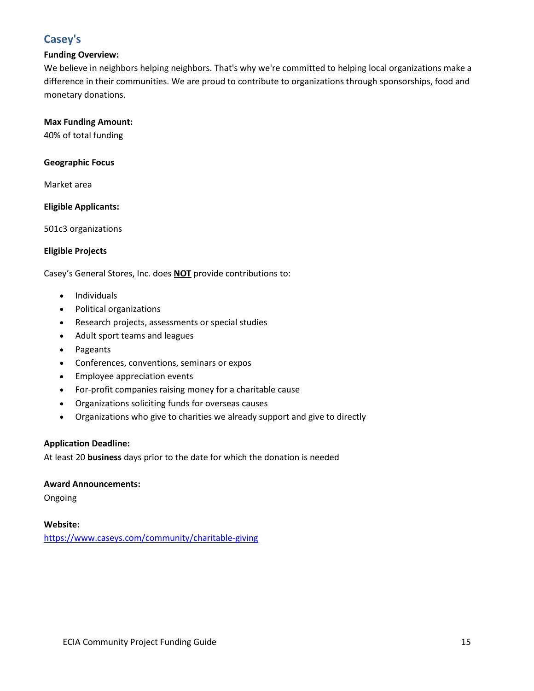# **[Casey's](http://www.caseys.com/charitable_giving)**

# **Funding Overview:**

We believe in neighbors helping neighbors. That's why we're committed to helping local organizations make a difference in their communities. We are proud to contribute to organizations through sponsorships, food and monetary donations.

## **Max Funding Amount:**

40% of total funding

**Geographic Focus**

Market area

# **Eligible Applicants:**

501c3 organizations

# **Eligible Projects**

Casey's General Stores, Inc. does **NOT** provide contributions to:

- Individuals
- Political organizations
- Research projects, assessments or special studies
- Adult sport teams and leagues
- Pageants
- Conferences, conventions, seminars or expos
- Employee appreciation events
- For-profit companies raising money for a charitable cause
- Organizations soliciting funds for overseas causes
- Organizations who give to charities we already support and give to directly

#### **Application Deadline:**

At least 20 **business** days prior to the date for which the donation is needed

#### **Award Announcements:**

Ongoing

# **Website:**

<https://www.caseys.com/community/charitable-giving>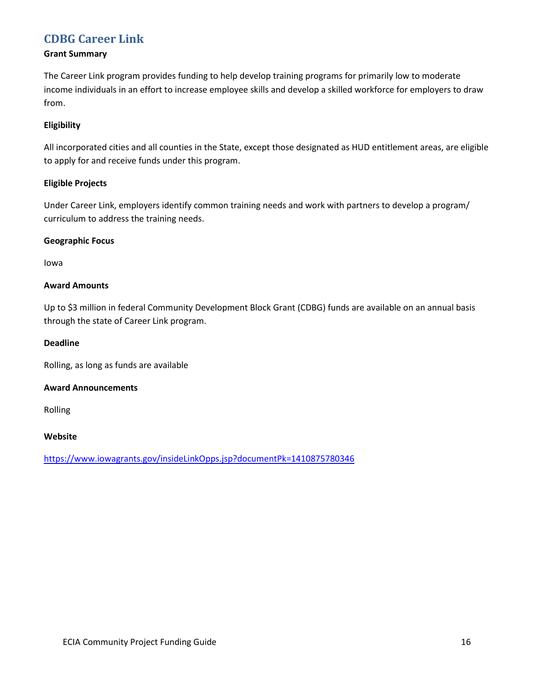# **[CDBG Career Link](https://www.iowagrants.gov/insideLinkOpps.jsp?documentPk=1410875780346)**

# **Grant Summary**

The Career Link program provides funding to help develop training programs for primarily low to moderate income individuals in an effort to increase employee skills and develop a skilled workforce for employers to draw from.

# **Eligibility**

All incorporated cities and all counties in the State, except those designated as HUD entitlement areas, are eligible to apply for and receive funds under this program.

# **Eligible Projects**

Under Career Link, employers identify common training needs and work with partners to develop a program/ curriculum to address the training needs.

# **Geographic Focus**

Iowa

# **Award Amounts**

Up to \$3 million in federal Community Development Block Grant (CDBG) funds are available on an annual basis through the state of Career Link program.

## **Deadline**

Rolling, as long as funds are available

#### **Award Announcements**

Rolling

#### **Website**

<https://www.iowagrants.gov/insideLinkOpps.jsp?documentPk=1410875780346>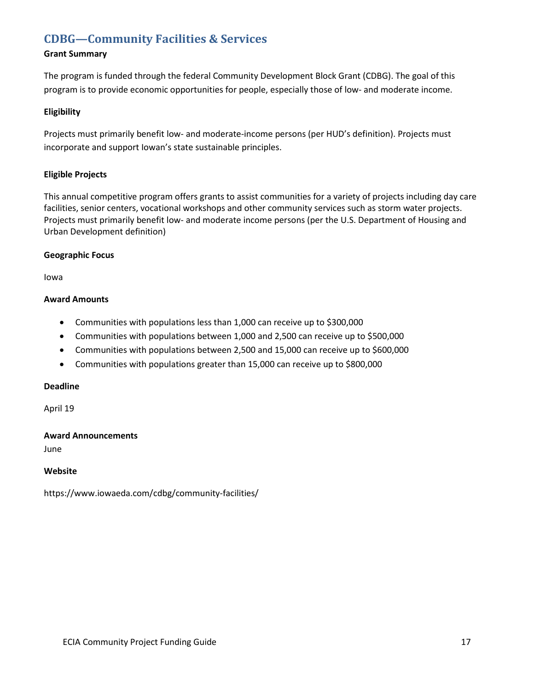# **[CDBG—Community Facilities & Services](https://www.iowaeda.com/cdbg/community-facilities/)**

# **Grant Summary**

The program is funded through the federal Community Development Block Grant (CDBG). The goal of this program is to provide economic opportunities for people, especially those of low- and moderate income.

## **Eligibility**

Projects must primarily benefit low- and moderate-income persons (per HUD's definition). Projects must incorporate and support Iowan's state sustainable principles.

# **Eligible Projects**

This annual competitive program offers grants to assist communities for a variety of projects including day care facilities, senior centers, vocational workshops and other community services such as storm water projects. Projects must primarily benefit low- and moderate income persons (per the U.S. Department of Housing and Urban Development definition)

#### **Geographic Focus**

Iowa

#### **Award Amounts**

- Communities with populations less than 1,000 can receive up to \$300,000
- Communities with populations between 1,000 and 2,500 can receive up to \$500,000
- Communities with populations between 2,500 and 15,000 can receive up to \$600,000
- Communities with populations greater than 15,000 can receive up to \$800,000

#### **Deadline**

April 19

#### **Award Announcements**

June

#### **Website**

https://www.iowaeda.com/cdbg/community-facilities/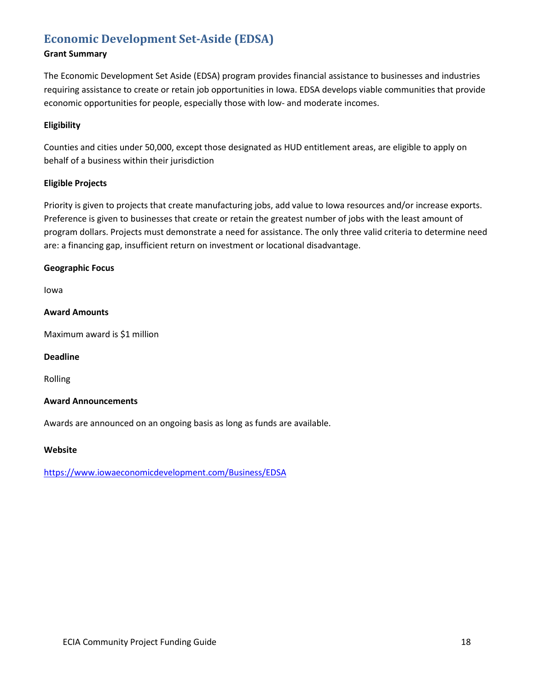# **[Economic Development Set-Aside \(EDSA\)](https://www.iowaeconomicdevelopment.com/Business/EDSA)**

# **Grant Summary**

The Economic Development Set Aside (EDSA) program provides financial assistance to businesses and industries requiring assistance to create or retain job opportunities in Iowa. EDSA develops viable communities that provide economic opportunities for people, especially those with low- and moderate incomes.

## **Eligibility**

Counties and cities under 50,000, except those designated as HUD entitlement areas, are eligible to apply on behalf of a business within their jurisdiction

# **Eligible Projects**

Priority is given to projects that create manufacturing jobs, add value to Iowa resources and/or increase exports. Preference is given to businesses that create or retain the greatest number of jobs with the least amount of program dollars. Projects must demonstrate a need for assistance. The only three valid criteria to determine need are: a financing gap, insufficient return on investment or locational disadvantage.

#### **Geographic Focus**

Iowa

# **Award Amounts**

Maximum award is \$1 million

#### **Deadline**

Rolling

#### **Award Announcements**

Awards are announced on an ongoing basis as long as funds are available.

#### **Website**

<https://www.iowaeconomicdevelopment.com/Business/EDSA>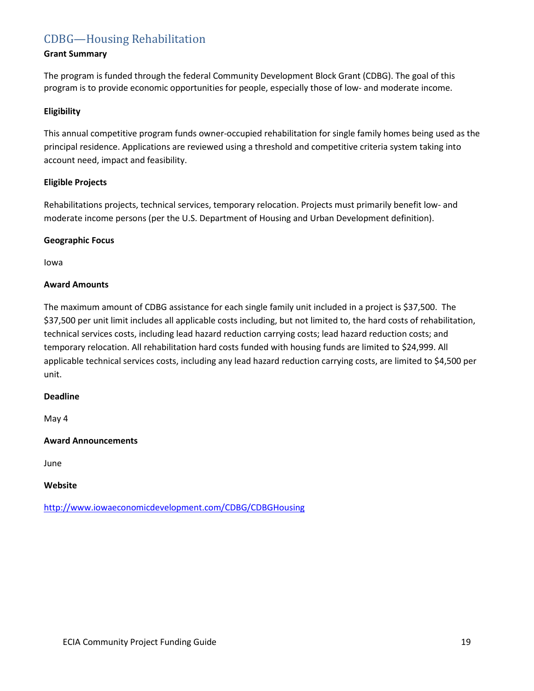# [CDBG—Housing Rehabilitation](https://www.iowaeda.com/cdbg/housing-rehabilitation/)

# **Grant Summary**

The program is funded through the federal Community Development Block Grant (CDBG). The goal of this program is to provide economic opportunities for people, especially those of low- and moderate income.

#### **Eligibility**

This annual competitive program funds owner-occupied rehabilitation for single family homes being used as the principal residence. Applications are reviewed using a threshold and competitive criteria system taking into account need, impact and feasibility.

#### **Eligible Projects**

Rehabilitations projects, technical services, temporary relocation. Projects must primarily benefit low- and moderate income persons (per the U.S. Department of Housing and Urban Development definition).

#### **Geographic Focus**

Iowa

#### **Award Amounts**

The maximum amount of CDBG assistance for each single family unit included in a project is \$37,500. The \$37,500 per unit limit includes all applicable costs including, but not limited to, the hard costs of rehabilitation, technical services costs, including lead hazard reduction carrying costs; lead hazard reduction costs; and temporary relocation. All rehabilitation hard costs funded with housing funds are limited to \$24,999. All applicable technical services costs, including any lead hazard reduction carrying costs, are limited to \$4,500 per unit.

#### **Deadline**

May 4

#### **Award Announcements**

June

## **Website**

<http://www.iowaeconomicdevelopment.com/CDBG/CDBGHousing>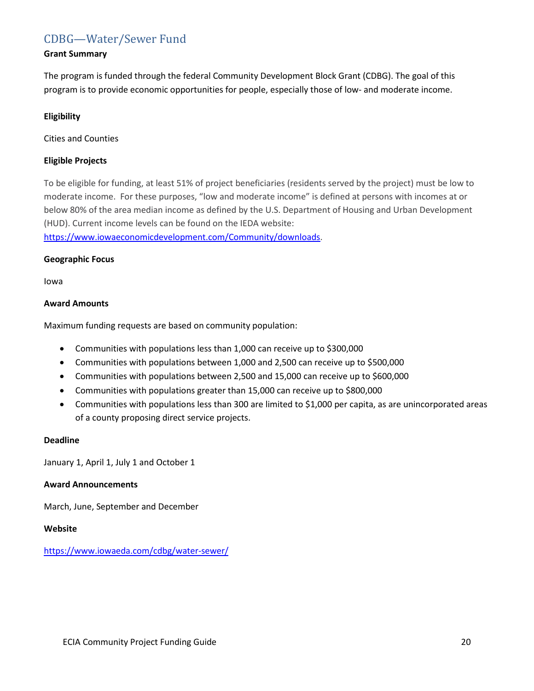# [CDBG—Water/Sewer Fund](https://www.iowaeda.com/cdbg/water-sewer/)

#### **Grant Summary**

The program is funded through the federal Community Development Block Grant (CDBG). The goal of this program is to provide economic opportunities for people, especially those of low- and moderate income.

## **Eligibility**

Cities and Counties

# **Eligible Projects**

To be eligible for funding, at least 51% of project beneficiaries (residents served by the project) must be low to moderate income. For these purposes, "low and moderate income" is defined at persons with incomes at or below 80% of the area median income as defined by the U.S. Department of Housing and Urban Development (HUD). Current income levels can be found on the IEDA website:

[https://www.iowaeconomicdevelopment.com/Community/downloads.](https://www.iowaeconomicdevelopment.com/Community/downloads)

#### **Geographic Focus**

Iowa

# **Award Amounts**

Maximum funding requests are based on community population:

- Communities with populations less than 1,000 can receive up to \$300,000
- Communities with populations between 1,000 and 2,500 can receive up to \$500,000
- Communities with populations between 2,500 and 15,000 can receive up to \$600,000
- Communities with populations greater than 15,000 can receive up to \$800,000
- Communities with populations less than 300 are limited to \$1,000 per capita, as are unincorporated areas of a county proposing direct service projects.

#### **Deadline**

January 1, April 1, July 1 and October 1

## **Award Announcements**

March, June, September and December

#### **Website**

<https://www.iowaeda.com/cdbg/water-sewer/>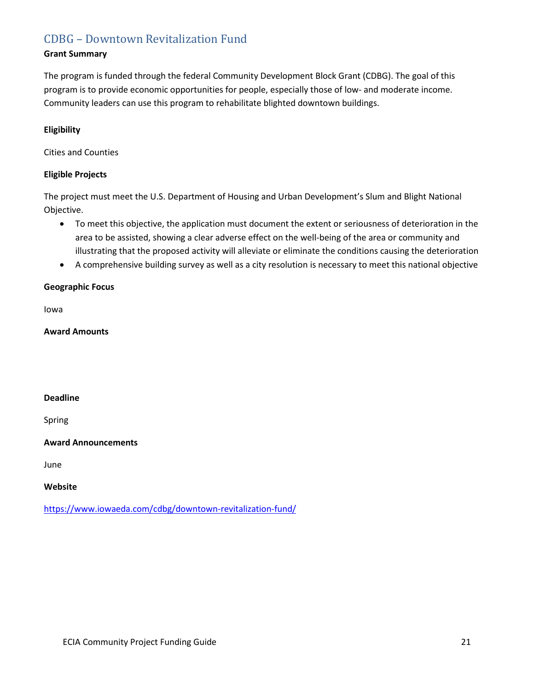# CDBG – [Downtown Revitalization Fund](https://www.iowaeda.com/cdbg/downtown-revitalization-fund/)

# **Grant Summary**

The program is funded through the federal Community Development Block Grant (CDBG). The goal of this program is to provide economic opportunities for people, especially those of low- and moderate income. Community leaders can use this program to rehabilitate blighted downtown buildings.

# **Eligibility**

Cities and Counties

# **Eligible Projects**

The project must meet the U.S. Department of Housing and Urban Development's Slum and Blight National Objective.

- To meet this objective, the application must document the extent or seriousness of deterioration in the area to be assisted, showing a clear adverse effect on the well-being of the area or community and illustrating that the proposed activity will alleviate or eliminate the conditions causing the deterioration
- A comprehensive building survey as well as a city resolution is necessary to meet this national objective

#### **Geographic Focus**

Iowa

#### **Award Amounts**

## **Deadline**

Spring

#### **Award Announcements**

June

#### **Website**

<https://www.iowaeda.com/cdbg/downtown-revitalization-fund/>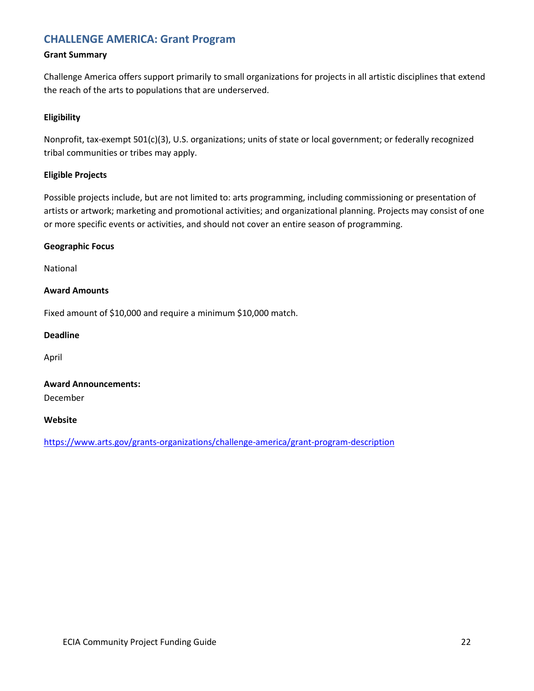# **[CHALLENGE AMERICA: Grant Program](https://www.arts.gov/grants-organizations/challenge-america/grant-program-description)**

#### **Grant Summary**

Challenge America offers support primarily to small organizations for projects in all artistic disciplines that extend the reach of the arts to populations that are underserved.

#### **Eligibility**

Nonprofit, tax-exempt 501(c)(3), U.S. organizations; units of state or local government; or federally recognized tribal communities or tribes may apply.

#### **Eligible Projects**

Possible projects include, but are not limited to: arts programming, including commissioning or presentation of artists or artwork; marketing and promotional activities; and organizational planning. Projects may consist of one or more specific events or activities, and should not cover an entire season of programming.

#### **Geographic Focus**

National

#### **Award Amounts**

Fixed amount of \$10,000 and require a minimum \$10,000 match.

### **Deadline**

April

# **Award Announcements:**

December

## **Website**

<https://www.arts.gov/grants-organizations/challenge-america/grant-program-description>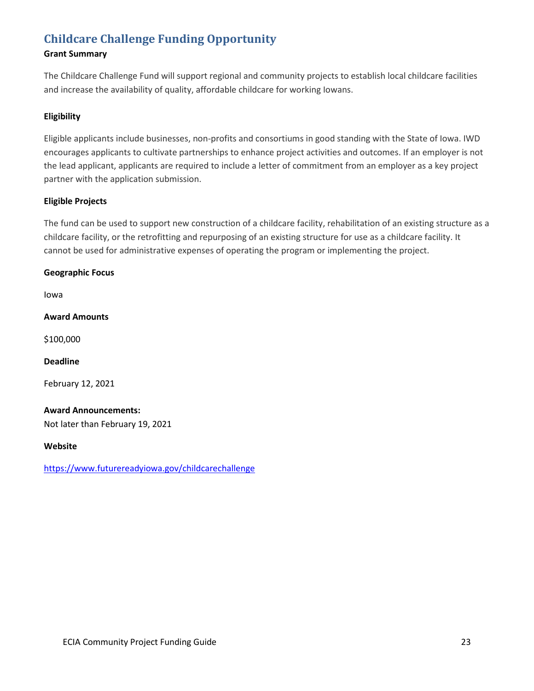# **[Childcare Challenge Funding Opportunity](https://www.futurereadyiowa.gov/childcarechallenge)**

# **Grant Summary**

The Childcare Challenge Fund will support regional and community projects to establish local childcare facilities and increase the availability of quality, affordable childcare for working Iowans.

# **Eligibility**

Eligible applicants include businesses, non-profits and consortiums in good standing with the State of Iowa. IWD encourages applicants to cultivate partnerships to enhance project activities and outcomes. If an employer is not the lead applicant, applicants are required to include a letter of commitment from an employer as a key project partner with the application submission.

# **Eligible Projects**

The fund can be used to support new construction of a childcare facility, rehabilitation of an existing structure as a childcare facility, or the retrofitting and repurposing of an existing structure for use as a childcare facility. It cannot be used for administrative expenses of operating the program or implementing the project.

# **Geographic Focus**

Iowa

**Award Amounts**

\$100,000

#### **Deadline**

February 12, 2021

#### **Award Announcements:**

Not later than February 19, 2021

#### **Website**

<https://www.futurereadyiowa.gov/childcarechallenge>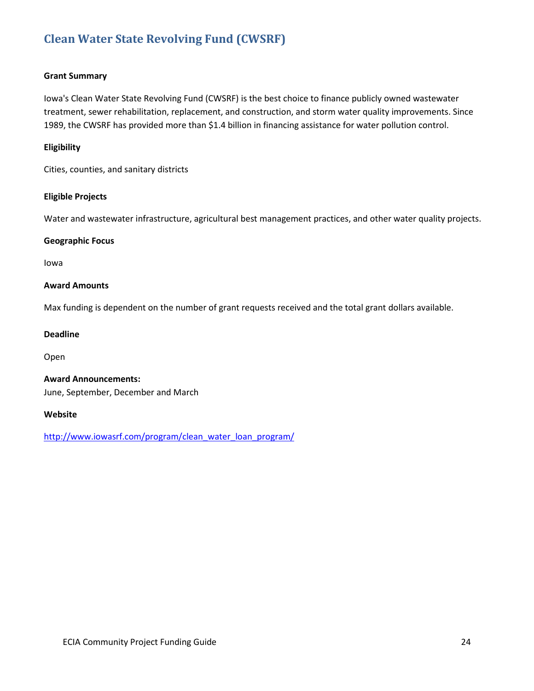# **[Clean Water State Revolving Fund \(CWSRF\)](http://www.iowasrf.com/program/clean_water_loan_program/)**

#### **Grant Summary**

Iowa's Clean Water State Revolving Fund (CWSRF) is the best choice to finance publicly owned wastewater treatment, sewer rehabilitation, replacement, and construction, and storm water quality improvements. Since 1989, the CWSRF has provided more than \$1.4 billion in financing assistance for water pollution control.

#### **Eligibility**

Cities, counties, and sanitary districts

#### **Eligible Projects**

Water and wastewater infrastructure, agricultural best management practices, and other water quality projects.

#### **Geographic Focus**

Iowa

#### **Award Amounts**

Max funding is dependent on the number of grant requests received and the total grant dollars available.

#### **Deadline**

Open

**Award Announcements:** June, September, December and March

#### **Website**

[http://www.iowasrf.com/program/clean\\_water\\_loan\\_program/](http://www.iowasrf.com/program/clean_water_loan_program/)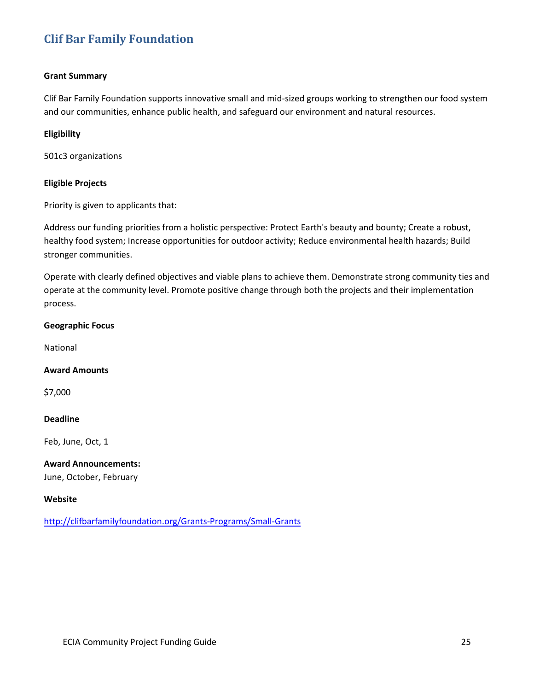# **[Clif](http://clifbarfamilyfoundation.org/Grants-Programs/Small-Grants) Bar Family Foundation**

#### **Grant Summary**

Clif Bar Family Foundation supports innovative small and mid-sized groups working to strengthen our food system and our communities, enhance public health, and safeguard our environment and natural resources.

#### **Eligibility**

501c3 organizations

## **Eligible Projects**

Priority is given to applicants that:

Address our funding priorities from a holistic perspective: Protect Earth's beauty and bounty; Create a robust, healthy food system; Increase opportunities for outdoor activity; Reduce environmental health hazards; Build stronger communities.

Operate with clearly defined objectives and viable plans to achieve them. Demonstrate strong community ties and operate at the community level. Promote positive change through both the projects and their implementation process.

# **Geographic Focus**

National

#### **Award Amounts**

\$7,000

#### **Deadline**

Feb, June, Oct, 1

#### **Award Announcements:**

June, October, February

#### **Website**

<http://clifbarfamilyfoundation.org/Grants-Programs/Small-Grants>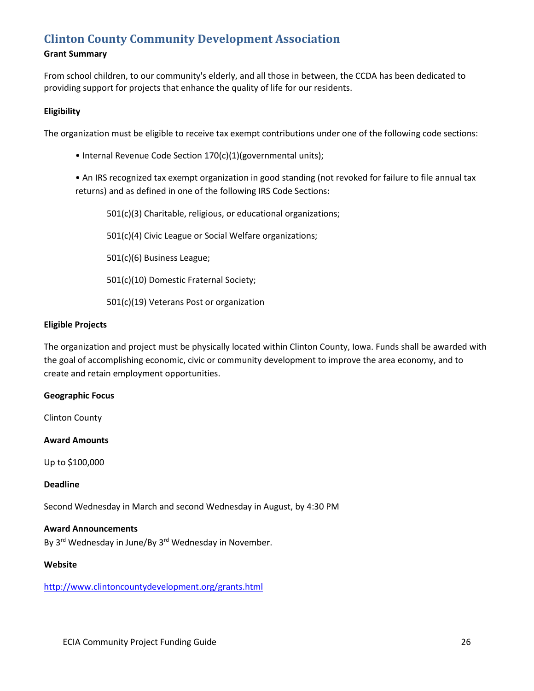# **[Clinton County Community Development Association](http://www.clintoncountydevelopment.org/grants.html)**

# **Grant Summary**

From school children, to our community's elderly, and all those in between, the CCDA has been dedicated to providing support for projects that enhance the quality of life for our residents.

#### **Eligibility**

The organization must be eligible to receive tax exempt contributions under one of the following code sections:

• Internal Revenue Code Section 170(c)(1)(governmental units);

• An IRS recognized tax exempt organization in good standing (not revoked for failure to file annual tax returns) and as defined in one of the following IRS Code Sections:

501(c)(3) Charitable, religious, or educational organizations;

501(c)(4) Civic League or Social Welfare organizations;

501(c)(6) Business League;

501(c)(10) Domestic Fraternal Society;

501(c)(19) Veterans Post or organization

#### **Eligible Projects**

The organization and project must be physically located within Clinton County, Iowa. Funds shall be awarded with the goal of accomplishing economic, civic or community development to improve the area economy, and to create and retain employment opportunities.

#### **Geographic Focus**

Clinton County

**Award Amounts**

Up to \$100,000

#### **Deadline**

Second Wednesday in March and second Wednesday in August, by 4:30 PM

#### **Award Announcements**

By 3<sup>rd</sup> Wednesday in June/By 3<sup>rd</sup> Wednesday in November.

#### **Website**

<http://www.clintoncountydevelopment.org/grants.html>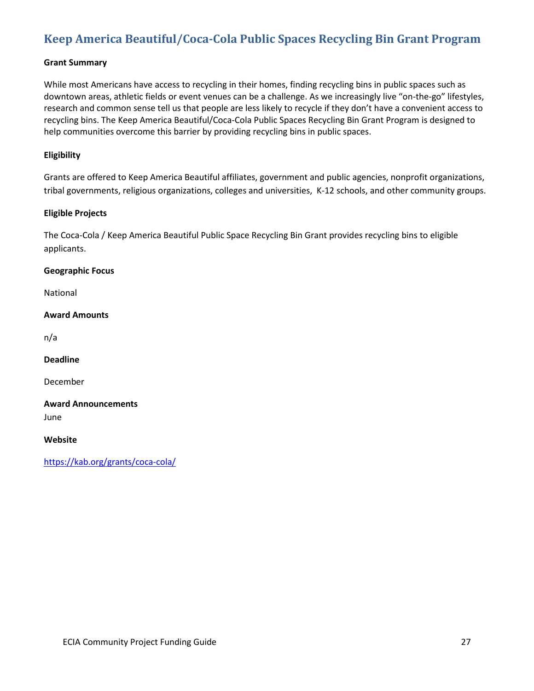# **[Keep America Beautiful/Coca-Cola Public Spaces Recycling Bin Grant Program](https://kab.org/grants/coca-cola/)**

#### **Grant Summary**

While most Americans have access to recycling in their homes, finding recycling bins in public spaces such as downtown areas, athletic fields or event venues can be a challenge. As we increasingly live "on-the-go" lifestyles, research and common sense tell us that people are less likely to recycle if they don't have a convenient access to recycling bins. The Keep America Beautiful/Coca-Cola Public Spaces Recycling Bin Grant Program is designed to help communities overcome this barrier by providing recycling bins in public spaces.

## **Eligibility**

Grants are offered to Keep America Beautiful affiliates, government and public agencies, nonprofit organizations, tribal governments, religious organizations, colleges and universities, K-12 schools, and other community groups.

#### **Eligible Projects**

The Coca-Cola / Keep America Beautiful Public Space Recycling Bin Grant provides recycling bins to eligible applicants.

**Geographic Focus**

National

#### **Award Amounts**

n/a

**Deadline**

December

**Award Announcements**

June

**Website**

<https://kab.org/grants/coca-cola/>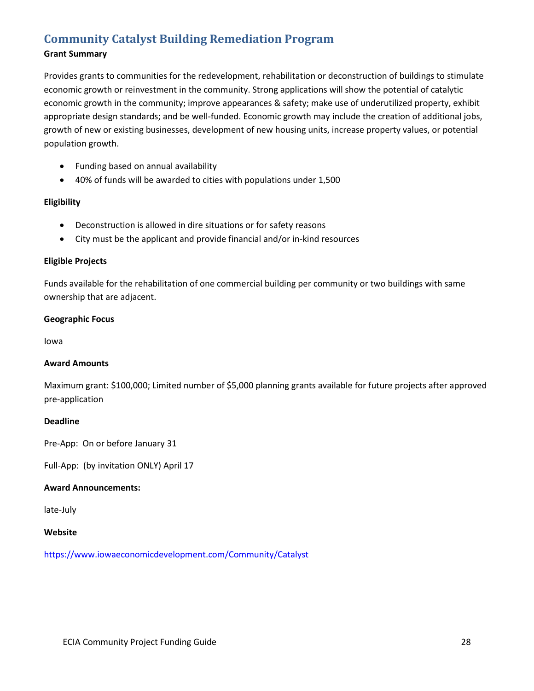# **[Community Catalyst Building Remediation Program](https://www.iowaeconomicdevelopment.com/Community/Catalyst)**

# **Grant Summary**

Provides grants to communities for the redevelopment, rehabilitation or deconstruction of buildings to stimulate economic growth or reinvestment in the community. Strong applications will show the potential of catalytic economic growth in the community; improve appearances & safety; make use of underutilized property, exhibit appropriate design standards; and be well-funded. Economic growth may include the creation of additional jobs, growth of new or existing businesses, development of new housing units, increase property values, or potential population growth.

- Funding based on annual availability
- 40% of funds will be awarded to cities with populations under 1,500

#### **Eligibility**

- Deconstruction is allowed in dire situations or for safety reasons
- City must be the applicant and provide financial and/or in-kind resources

#### **Eligible Projects**

Funds available for the rehabilitation of one commercial building per community or two buildings with same ownership that are adjacent.

#### **Geographic Focus**

Iowa

#### **Award Amounts**

Maximum grant: \$100,000; Limited number of \$5,000 planning grants available for future projects after approved pre-application

#### **Deadline**

Pre-App: On or before January 31

Full-App: (by invitation ONLY) April 17

#### **Award Announcements:**

late-July

#### **Website**

<https://www.iowaeconomicdevelopment.com/Community/Catalyst>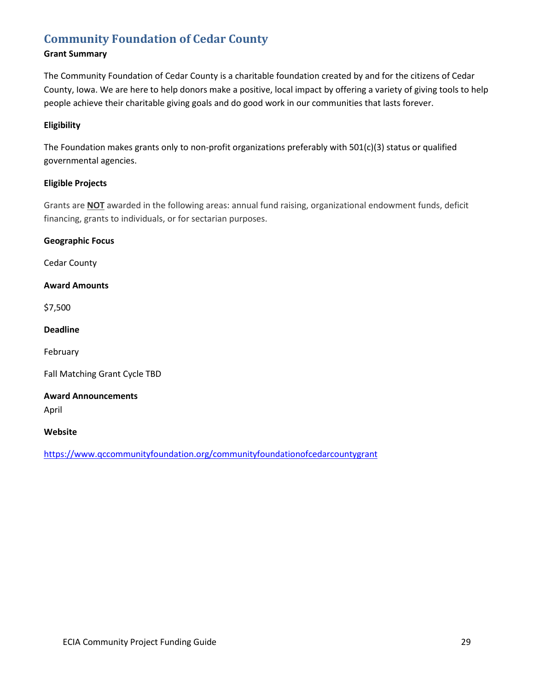# **[Community Foundation of Cedar County](https://www.qccommunityfoundation.org/communityfoundationofcedarcountygrant)**

# **Grant Summary**

The Community Foundation of Cedar County is a charitable foundation created by and for the citizens of Cedar County, Iowa. We are here to help donors make a positive, local impact by offering a variety of giving tools to help people achieve their charitable giving goals and do good work in our communities that lasts forever.

# **Eligibility**

The Foundation makes grants only to non-profit organizations preferably with 501(c)(3) status or qualified governmental agencies.

# **Eligible Projects**

Grants are **NOT** awarded in the following areas: annual fund raising, organizational endowment funds, deficit financing, grants to individuals, or for sectarian purposes.

#### **Geographic Focus**

Cedar County

# **Award Amounts**

\$7,500

#### **Deadline**

February

Fall Matching Grant Cycle TBD

# **Award Announcements**

April

#### **Website**

<https://www.qccommunityfoundation.org/communityfoundationofcedarcountygrant>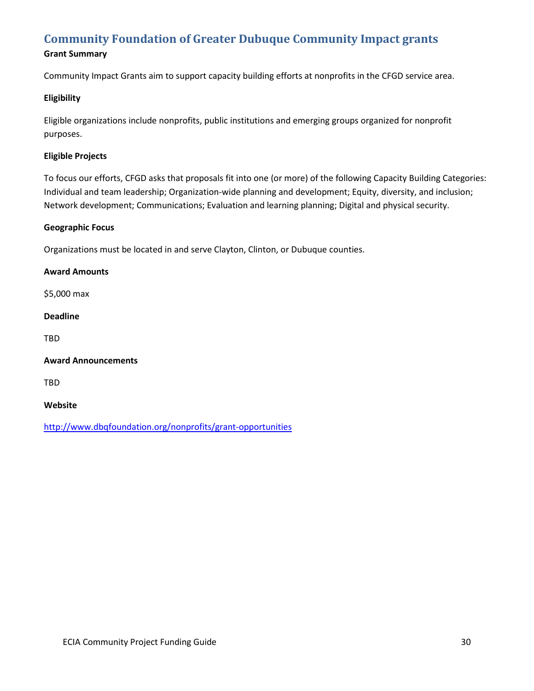# **[Community Foundation of Greater Dubuque Community Impact grants](http://www.dbqfoundation.org/nonprofits/grant-opportunities)**

# **Grant Summary**

Community Impact Grants aim to support capacity building efforts at nonprofits in the CFGD service area.

## **Eligibility**

Eligible organizations include nonprofits, public institutions and emerging groups organized for nonprofit purposes.

## **Eligible Projects**

To focus our efforts, CFGD asks that proposals fit into one (or more) of the following Capacity Building Categories: Individual and team leadership; Organization-wide planning and development; Equity, diversity, and inclusion; Network development; Communications; Evaluation and learning planning; Digital and physical security.

### **Geographic Focus**

Organizations must be located in and serve Clayton, Clinton, or Dubuque counties.

#### **Award Amounts**

\$5,000 max

## **Deadline**

TBD

#### **Award Announcements**

TBD

#### **Website**

<http://www.dbqfoundation.org/nonprofits/grant-opportunities>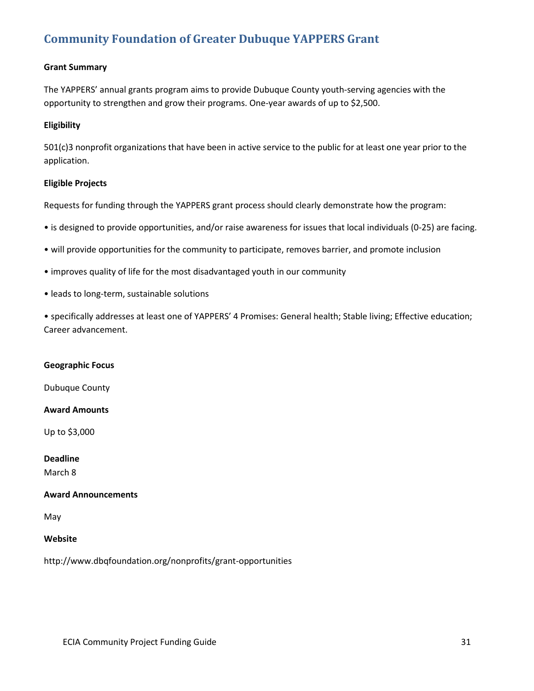# **[Community Foundation of Greater Dubuque YAPPERS Grant](http://www.dbqfoundation.org/nonprofits/grant-opportunities)**

# **Grant Summary**

The YAPPERS' annual grants program aims to provide Dubuque County youth-serving agencies with the opportunity to strengthen and grow their programs. One-year awards of up to \$2,500.

#### **Eligibility**

501(c)3 nonprofit organizations that have been in active service to the public for at least one year prior to the application.

#### **Eligible Projects**

Requests for funding through the YAPPERS grant process should clearly demonstrate how the program:

- is designed to provide opportunities, and/or raise awareness for issues that local individuals (0-25) are facing.
- will provide opportunities for the community to participate, removes barrier, and promote inclusion
- improves quality of life for the most disadvantaged youth in our community
- leads to long-term, sustainable solutions

• specifically addresses at least one of YAPPERS' 4 Promises: General health; Stable living; Effective education; Career advancement.

#### **Geographic Focus**

Dubuque County

#### **Award Amounts**

Up to \$3,000

#### **Deadline**

March 8

#### **Award Announcements**

May

## **Website**

http://www.dbqfoundation.org/nonprofits/grant-opportunities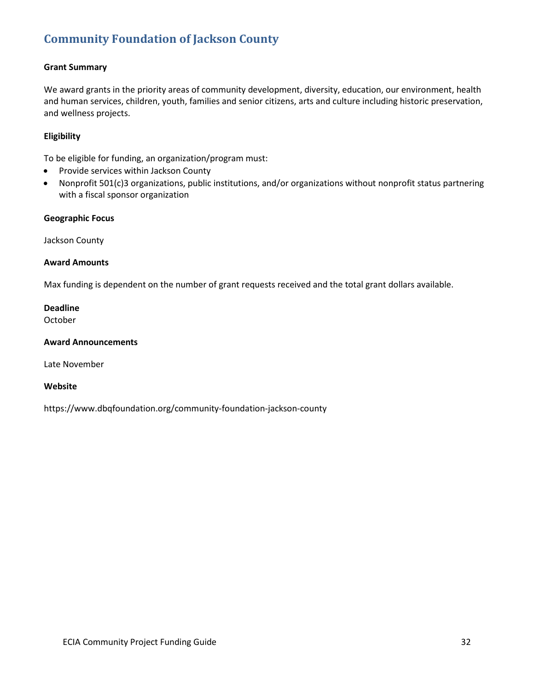# **[Community Foundation of Jackson County](http://www.dbqfoundation.org/nonprofits/grant-opportunities)**

# **Grant Summary**

We award grants in the priority areas of community development, diversity, education, our environment, health and human services, children, youth, families and senior citizens, arts and culture including historic preservation, and wellness projects.

# **Eligibility**

To be eligible for funding, an organization/program must:

- Provide services within Jackson County
- Nonprofit 501(c)3 organizations, public institutions, and/or organizations without nonprofit status partnering with a fiscal sponsor organization

#### **Geographic Focus**

Jackson County

#### **Award Amounts**

Max funding is dependent on the number of grant requests received and the total grant dollars available.

#### **Deadline**

October

#### **Award Announcements**

Late November

#### **Website**

https://www.dbqfoundation.org/community-foundation-jackson-county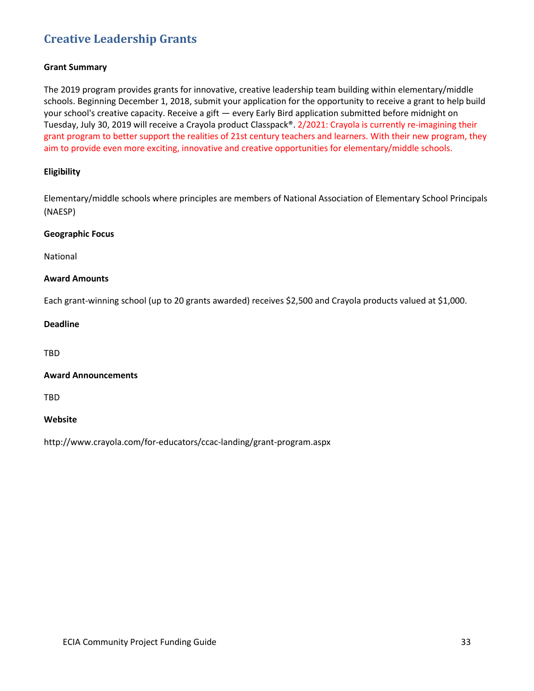# **[Creative Leadership Grants](http://www.crayola.com/for-educators/ccac-landing/grant-program.aspx)**

#### **Grant Summary**

The 2019 program provides grants for innovative, creative leadership team building within elementary/middle schools. Beginning December 1, 2018, submit your application for the opportunity to receive a grant to help build your school's creative capacity. Receive a gift — every Early Bird application submitted before midnight on Tuesday, July 30, 2019 will receive a Crayola product Classpack®. 2/2021: Crayola is currently re-imagining their grant program to better support the realities of 21st century teachers and learners. With their new program, they aim to provide even more exciting, innovative and creative opportunities for elementary/middle schools.

## **Eligibility**

Elementary/middle schools where principles are members of National Association of Elementary School Principals (NAESP)

#### **Geographic Focus**

National

#### **Award Amounts**

Each grant-winning school (up to 20 grants awarded) receives \$2,500 and Crayola products valued at \$1,000.

#### **Deadline**

TBD

#### **Award Announcements**

TBD

#### **Website**

http://www.crayola.com/for-educators/ccac-landing/grant-program.aspx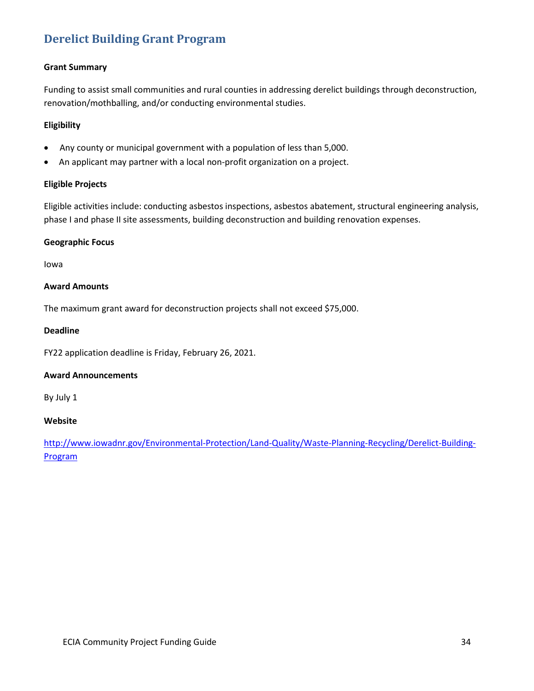# **[Derelict Building Grant Program](http://www.iowadnr.gov/Environmental-Protection/Land-Quality/Waste-Planning-Recycling/Derelict-Building-Program)**

# **Grant Summary**

Funding to assist small communities and rural counties in addressing derelict buildings through deconstruction, renovation/mothballing, and/or conducting environmental studies.

## **Eligibility**

- Any county or municipal government with a population of less than 5,000.
- An applicant may partner with a local non-profit organization on a project.

# **Eligible Projects**

Eligible activities include: conducting asbestos inspections, asbestos abatement, structural engineering analysis, phase I and phase II site assessments, building deconstruction and building renovation expenses.

#### **Geographic Focus**

Iowa

#### **Award Amounts**

The maximum grant award for deconstruction projects shall not exceed \$75,000.

## **Deadline**

FY22 application deadline is Friday, February 26, 2021.

#### **Award Announcements**

By July 1

#### **Website**

[http://www.iowadnr.gov/Environmental-Protection/Land-Quality/Waste-Planning-Recycling/Derelict-Building-](http://www.iowadnr.gov/Environmental-Protection/Land-Quality/Waste-Planning-Recycling/Derelict-Building-Program)[Program](http://www.iowadnr.gov/Environmental-Protection/Land-Quality/Waste-Planning-Recycling/Derelict-Building-Program)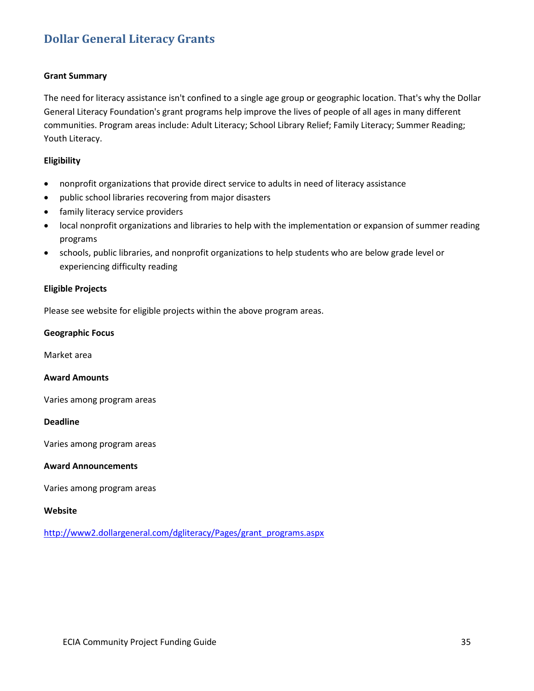# **[Dollar General Literacy Grants](http://www2.dollargeneral.com/dgliteracy/Pages/grant_programs.aspx)**

#### **Grant Summary**

The need for literacy assistance isn't confined to a single age group or geographic location. That's why the Dollar General Literacy Foundation's grant programs help improve the lives of people of all ages in many different communities. Program areas include: Adult Literacy; School Library Relief; Family Literacy; Summer Reading; Youth Literacy.

#### **Eligibility**

- nonprofit organizations that provide direct service to adults in need of literacy assistance
- public school libraries recovering from major disasters
- family literacy service providers
- local nonprofit organizations and libraries to help with the implementation or expansion of summer reading programs
- schools, public libraries, and nonprofit organizations to help students who are below grade level or experiencing difficulty reading

#### **Eligible Projects**

Please see website for eligible projects within the above program areas.

#### **Geographic Focus**

Market area

#### **Award Amounts**

Varies among program areas

#### **Deadline**

Varies among program areas

#### **Award Announcements**

Varies among program areas

#### **Website**

[http://www2.dollargeneral.com/dgliteracy/Pages/grant\\_programs.aspx](http://www2.dollargeneral.com/dgliteracy/Pages/grant_programs.aspx)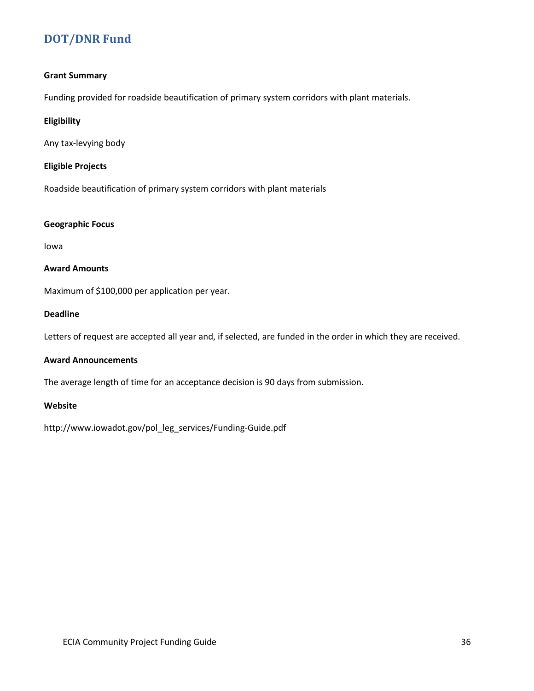# **[DOT/DNR Fund](http://www.iowadot.gov/pol_leg_services/Funding-Guide.pdf)**

## **Grant Summary**

Funding provided for roadside beautification of primary system corridors with plant materials.

## **Eligibility**

Any tax-levying body

## **Eligible Projects**

Roadside beautification of primary system corridors with plant materials

#### **Geographic Focus**

Iowa

## **Award Amounts**

Maximum of \$100,000 per application per year.

## **Deadline**

Letters of request are accepted all year and, if selected, are funded in the order in which they are received.

## **Award Announcements**

The average length of time for an acceptance decision is 90 days from submission.

## **Website**

http://www.iowadot.gov/pol\_leg\_services/Funding-Guide.pdf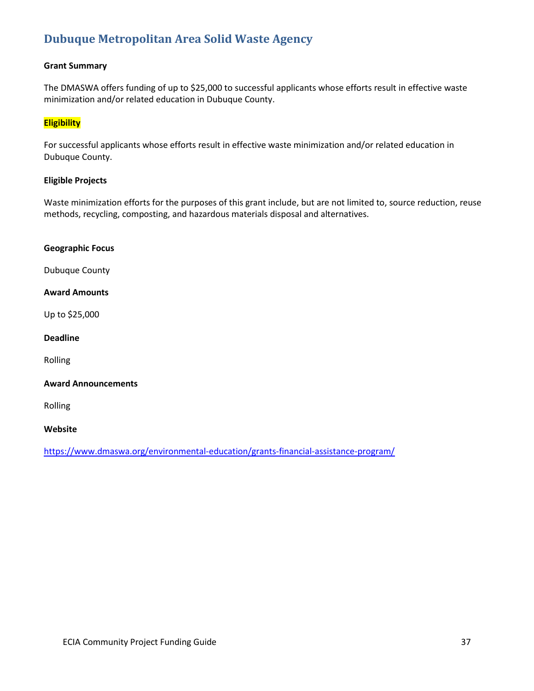# **[Dubuque Metropolitan Area Solid Waste Agency](https://www.dmaswa.org/environmental-education/grants-financial-assistance-program/)**

## **Grant Summary**

The DMASWA offers funding of up to \$25,000 to successful applicants whose efforts result in effective waste minimization and/or related education in Dubuque County.

## **Eligibility**

For successful applicants whose efforts result in effective waste minimization and/or related education in Dubuque County.

### **Eligible Projects**

Waste minimization efforts for the purposes of this grant include, but are not limited to, source reduction, reuse methods, recycling, composting, and hazardous materials disposal and alternatives.

#### **Geographic Focus**

Dubuque County

### **Award Amounts**

Up to \$25,000

#### **Deadline**

Rolling

## **Award Announcements**

Rolling

## **Website**

<https://www.dmaswa.org/environmental-education/grants-financial-assistance-program/>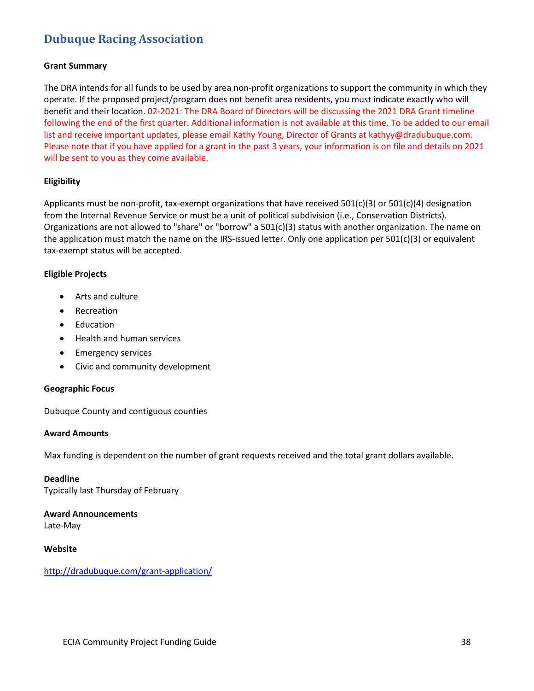# **[Dubuque Racing Association](http://dradubuque.com/grant-application/)**

## **Grant Summary**

The DRA intends for all funds to be used by area non-profit organizations to support the community in which they operate. If the proposed project/program does not benefit area residents, you must indicate exactly who will benefit and their location. 02-2021: The DRA Board of Directors will be discussing the 2021 DRA Grant timeline following the end of the first quarter. Additional information is not available at this time. To be added to our email list and receive important updates, please email Kathy Young, Director of Grants at kathyy@dradubuque.com. Please note that if you have applied for a grant in the past 3 years, your information is on file and details on 2021 will be sent to you as they come available.

## **Eligibility**

Applicants must be non-profit, tax-exempt organizations that have received 501(c)(3) or 501(c)(4) designation from the Internal Revenue Service or must be a unit of political subdivision (i.e., Conservation Districts). Organizations are not allowed to "share" or "borrow" a 501(c)(3) status with another organization. The name on the application must match the name on the IRS-issued letter. Only one application per 501(c)(3) or equivalent tax-exempt status will be accepted.

## **Eligible Projects**

- Arts and culture
- Recreation
- Education
- Health and human services
- Emergency services
- Civic and community development

#### **Geographic Focus**

Dubuque County and contiguous counties

#### **Award Amounts**

Max funding is dependent on the number of grant requests received and the total grant dollars available.

**Deadline** Typically last Thursday of February

**Award Announcements** Late-May

## **Website**

<http://dradubuque.com/grant-application/>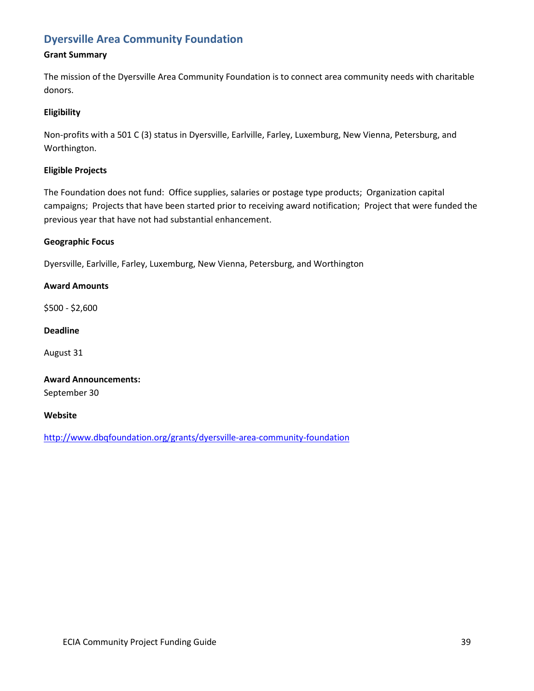# **Dyersville Area [Community Foundation](http://bit.ly/1IYqj2h)**

## **Grant Summary**

The mission of the Dyersville Area Community Foundation is to connect area community needs with charitable donors.

## **Eligibility**

Non-profits with a 501 C (3) status in Dyersville, Earlville, Farley, Luxemburg, New Vienna, Petersburg, and Worthington.

## **Eligible Projects**

The Foundation does not fund: Office supplies, salaries or postage type products; Organization capital campaigns; Projects that have been started prior to receiving award notification; Project that were funded the previous year that have not had substantial enhancement.

## **Geographic Focus**

Dyersville, Earlville, Farley, Luxemburg, New Vienna, Petersburg, and Worthington

## **Award Amounts**

\$500 - \$2,600

## **Deadline**

August 31

# **Award Announcements:**

September 30

#### **Website**

<http://www.dbqfoundation.org/grants/dyersville-area-community-foundation>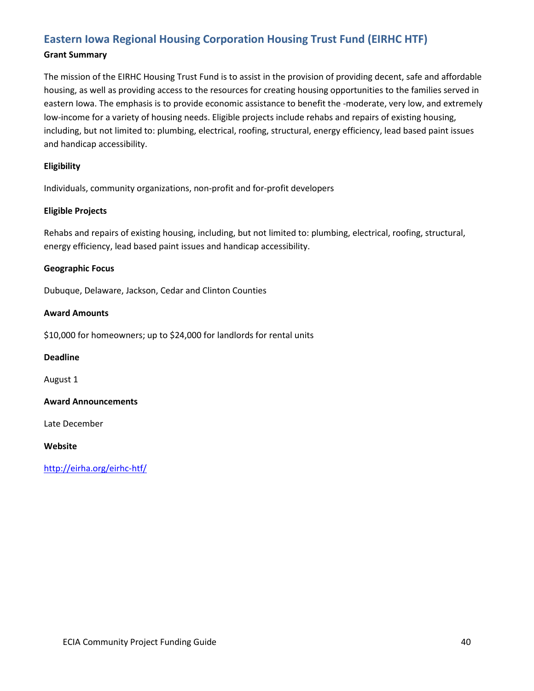# **[Eastern Iowa Regional Housing Corporation Housing Trust Fund \(EIRHC HTF\)](http://eirha.org/eirhc-htf/)**

## **Grant Summary**

The mission of the EIRHC Housing Trust Fund is to assist in the provision of providing decent, safe and affordable housing, as well as providing access to the resources for creating housing opportunities to the families served in eastern Iowa. The emphasis is to provide economic assistance to benefit the -moderate, very low, and extremely low-income for a variety of housing needs. Eligible projects include rehabs and repairs of existing housing, including, but not limited to: plumbing, electrical, roofing, structural, energy efficiency, lead based paint issues and handicap accessibility.

## **Eligibility**

Individuals, community organizations, non-profit and for-profit developers

## **Eligible Projects**

Rehabs and repairs of existing housing, including, but not limited to: plumbing, electrical, roofing, structural, energy efficiency, lead based paint issues and handicap accessibility.

## **Geographic Focus**

Dubuque, Delaware, Jackson, Cedar and Clinton Counties

## **Award Amounts**

\$10,000 for homeowners; up to \$24,000 for landlords for rental units

#### **Deadline**

August 1

## **Award Announcements**

Late December

#### **Website**

<http://eirha.org/eirhc-htf/>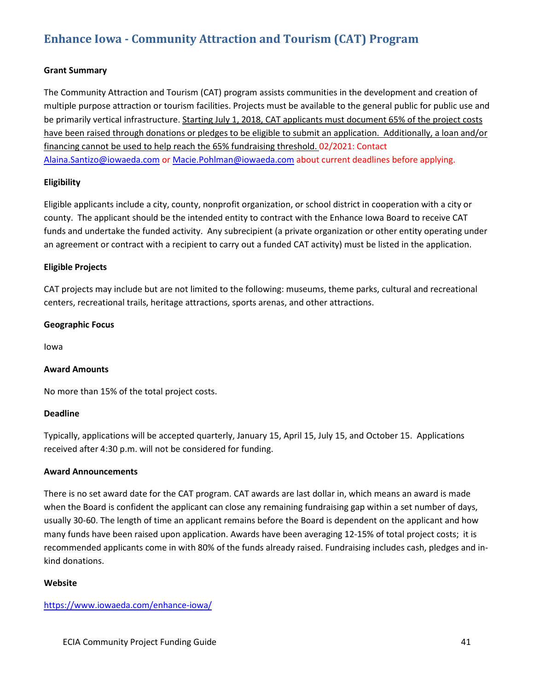# **Enhance Iowa - [Community Attraction and Tourism \(CAT\) Program](https://www.iowaeda.com/enhance-iowa/)**

## **Grant Summary**

The Community Attraction and Tourism (CAT) program assists communities in the development and creation of multiple purpose attraction or tourism facilities. Projects must be available to the general public for public use and be primarily vertical infrastructure. Starting July 1, 2018, CAT applicants must document 65% of the project costs have been raised through donations or pledges to be eligible to submit an application. Additionally, a loan and/or financing cannot be used to help reach the 65% fundraising threshold. 02/2021: Contact [Alaina.Santizo@iowaeda.com](mailto:Alaina.Santizo@iowaeda.com) or [Macie.Pohlman@iowaeda.com](mailto:Macie.Pohlman@iowaeda.com) about current deadlines before applying.

## **Eligibility**

Eligible applicants include a city, county, nonprofit organization, or school district in cooperation with a city or county. The applicant should be the intended entity to contract with the Enhance Iowa Board to receive CAT funds and undertake the funded activity. Any subrecipient (a private organization or other entity operating under an agreement or contract with a recipient to carry out a funded CAT activity) must be listed in the application.

## **Eligible Projects**

CAT projects may include but are not limited to the following: museums, theme parks, cultural and recreational centers, recreational trails, heritage attractions, sports arenas, and other attractions.

## **Geographic Focus**

Iowa

## **Award Amounts**

No more than 15% of the total project costs.

#### **Deadline**

Typically, applications will be accepted quarterly, January 15, April 15, July 15, and October 15. Applications received after 4:30 p.m. will not be considered for funding.

#### **Award Announcements**

There is no set award date for the CAT program. CAT awards are last dollar in, which means an award is made when the Board is confident the applicant can close any remaining fundraising gap within a set number of days, usually 30-60. The length of time an applicant remains before the Board is dependent on the applicant and how many funds have been raised upon application. Awards have been averaging 12-15% of total project costs; it is recommended applicants come in with 80% of the funds already raised. Fundraising includes cash, pledges and inkind donations.

#### **Website**

https://www.iowaeda.com/enhance-iowa/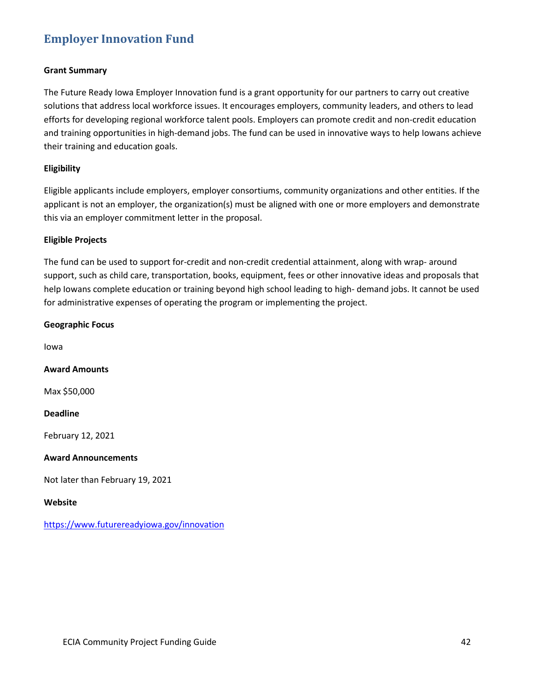# **[Employer Innovation Fund](https://www.futurereadyiowa.gov/innovation)**

## **Grant Summary**

The Future Ready Iowa Employer Innovation fund is a grant opportunity for our partners to carry out creative solutions that address local workforce issues. It encourages employers, community leaders, and others to lead efforts for developing regional workforce talent pools. Employers can promote credit and non-credit education and training opportunities in high-demand jobs. The fund can be used in innovative ways to help Iowans achieve their training and education goals.

## **Eligibility**

Eligible applicants include employers, employer consortiums, community organizations and other entities. If the applicant is not an employer, the organization(s) must be aligned with one or more employers and demonstrate this via an employer commitment letter in the proposal.

## **Eligible Projects**

The fund can be used to support for-credit and non-credit credential attainment, along with wrap- around support, such as child care, transportation, books, equipment, fees or other innovative ideas and proposals that help Iowans complete education or training beyond high school leading to high- demand jobs. It cannot be used for administrative expenses of operating the program or implementing the project.

## **Geographic Focus**

Iowa

# **Award Amounts**

Max \$50,000

## **Deadline**

February 12, 2021

## **Award Announcements**

Not later than February 19, 2021

#### **Website**

https://www.futurereadyiowa.gov/innovation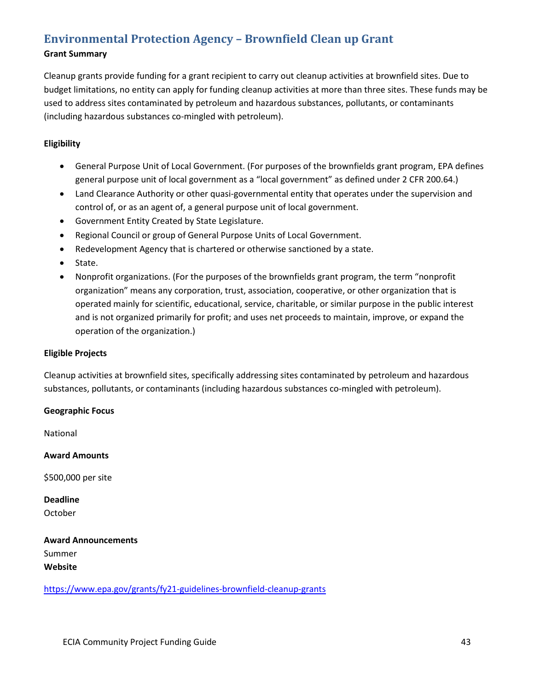# **[Environmental Protection Agency –](https://www.epa.gov/grants/fy21-guidelines-brownfield-cleanup-grants) Brownfield Clean up Grant**

## **Grant Summary**

Cleanup grants provide funding for a grant recipient to carry out cleanup activities at brownfield sites. Due to budget limitations, no entity can apply for funding cleanup activities at more than three sites. These funds may be used to address sites contaminated by petroleum and hazardous substances, pollutants, or contaminants (including hazardous substances co-mingled with petroleum).

# **Eligibility**

- General Purpose Unit of Local Government. (For purposes of the brownfields grant program, EPA defines general purpose unit of local government as a "local government" as defined under 2 CFR 200.64.)
- Land Clearance Authority or other quasi-governmental entity that operates under the supervision and control of, or as an agent of, a general purpose unit of local government.
- Government Entity Created by State Legislature.
- Regional Council or group of General Purpose Units of Local Government.
- Redevelopment Agency that is chartered or otherwise sanctioned by a state.
- State.
- Nonprofit organizations. (For the purposes of the brownfields grant program, the term "nonprofit organization" means any corporation, trust, association, cooperative, or other organization that is operated mainly for scientific, educational, service, charitable, or similar purpose in the public interest and is not organized primarily for profit; and uses net proceeds to maintain, improve, or expand the operation of the organization.)

## **Eligible Projects**

Cleanup activities at brownfield sites, specifically addressing sites contaminated by petroleum and hazardous substances, pollutants, or contaminants (including hazardous substances co-mingled with petroleum).

## **Geographic Focus**

National

**Award Amounts**

\$500,000 per site

**Deadline** October

**Award Announcements** Summer **Website**

<https://www.epa.gov/grants/fy21-guidelines-brownfield-cleanup-grants>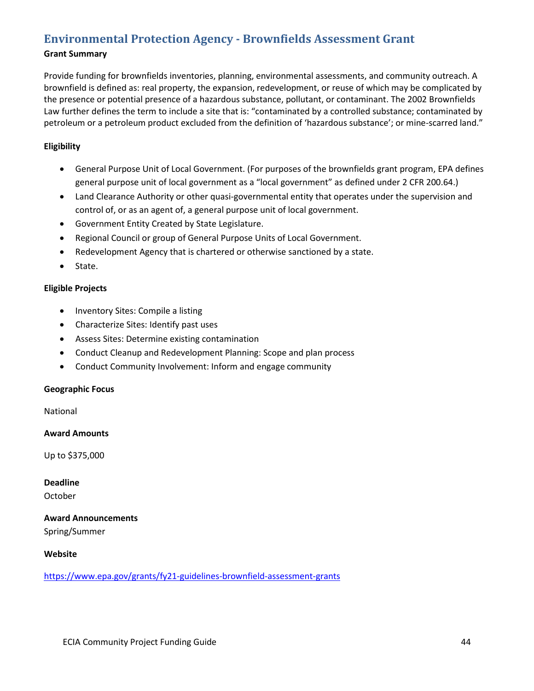# **[Environmental Protection Agency -](https://www.epa.gov/grants/fy21-guidelines-brownfield-assessment-grants) Brownfields Assessment Grant**

## **Grant Summary**

Provide funding for brownfields inventories, planning, environmental assessments, and community outreach. A brownfield is defined as: real property, the expansion, redevelopment, or reuse of which may be complicated by the presence or potential presence of a hazardous substance, pollutant, or contaminant. The 2002 Brownfields Law further defines the term to include a site that is: "contaminated by a controlled substance; contaminated by petroleum or a petroleum product excluded from the definition of 'hazardous substance'; or mine-scarred land."

## **Eligibility**

- General Purpose Unit of Local Government. (For purposes of the brownfields grant program, EPA defines general purpose unit of local government as a "local government" as defined under 2 CFR 200.64.)
- Land Clearance Authority or other quasi-governmental entity that operates under the supervision and control of, or as an agent of, a general purpose unit of local government.
- Government Entity Created by State Legislature.
- Regional Council or group of General Purpose Units of Local Government.
- Redevelopment Agency that is chartered or otherwise sanctioned by a state.
- State.

## **Eligible Projects**

- Inventory Sites: Compile a listing
- Characterize Sites: Identify past uses
- Assess Sites: Determine existing contamination
- Conduct Cleanup and Redevelopment Planning: Scope and plan process
- Conduct Community Involvement: Inform and engage community

#### **Geographic Focus**

National

#### **Award Amounts**

Up to \$375,000

**Deadline** October

**Award Announcements** Spring/Summer

## **Website**

<https://www.epa.gov/grants/fy21-guidelines-brownfield-assessment-grants>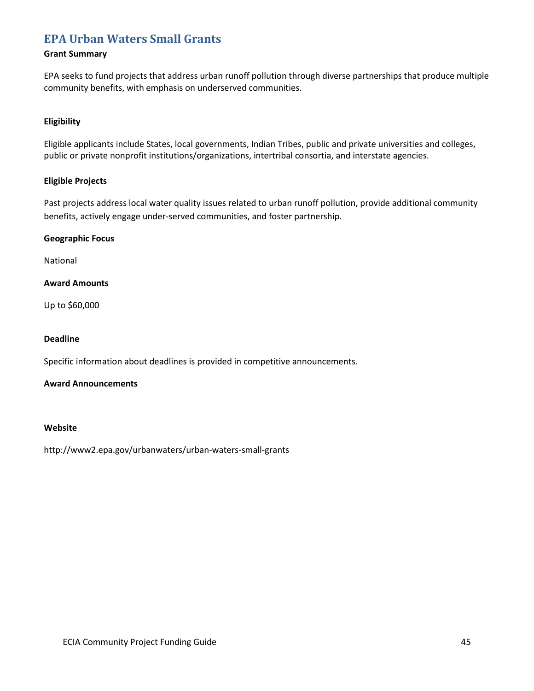# **[EPA Urban Waters Small Grants](http://www2.epa.gov/urbanwaters/urban-waters-small-grants)**

## **Grant Summary**

EPA seeks to fund projects that address urban runoff pollution through diverse partnerships that produce multiple community benefits, with emphasis on underserved communities.

## **Eligibility**

Eligible applicants include States, local governments, Indian Tribes, public and private universities and colleges, public or private nonprofit institutions/organizations, intertribal consortia, and interstate agencies.

## **Eligible Projects**

Past projects address local water quality issues related to urban runoff pollution, provide additional community benefits, actively engage under-served communities, and foster partnership.

## **Geographic Focus**

National

## **Award Amounts**

Up to \$60,000

## **Deadline**

Specific information about deadlines is provided in competitive announcements.

## **Award Announcements**

## **Website**

http://www2.epa.gov/urbanwaters/urban-waters-small-grants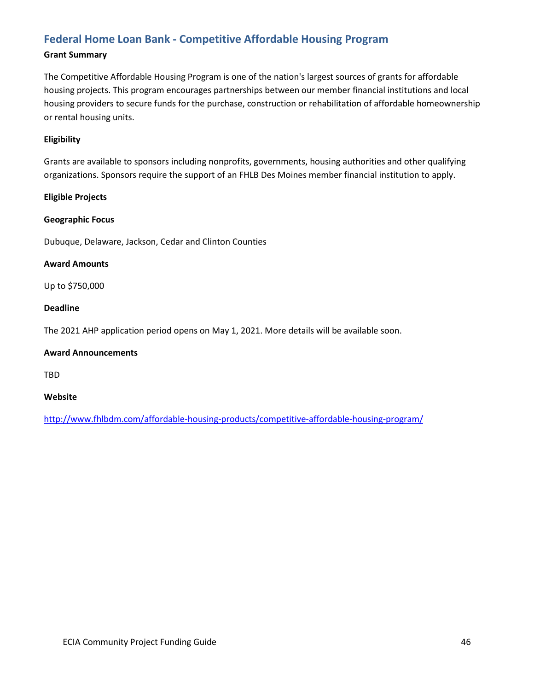# **Federal Home Loan Bank - [Competitive Affordable Housing Program](http://www.fhlbdm.com/affordable-housing-products/competitive-affordable-housing-program/)**

## **Grant Summary**

The Competitive Affordable Housing Program is one of the nation's largest sources of grants for affordable housing projects. This program encourages partnerships between our member financial institutions and local housing providers to secure funds for the purchase, construction or rehabilitation of affordable homeownership or rental housing units.

## **Eligibility**

Grants are available to sponsors including nonprofits, governments, housing authorities and other qualifying organizations. Sponsors require the support of an FHLB Des Moines member financial institution to apply.

## **Eligible Projects**

## **Geographic Focus**

Dubuque, Delaware, Jackson, Cedar and Clinton Counties

## **Award Amounts**

Up to \$750,000

## **Deadline**

The 2021 AHP application period opens on May 1, 2021. More details will be available soon.

## **Award Announcements**

TBD

## **Website**

<http://www.fhlbdm.com/affordable-housing-products/competitive-affordable-housing-program/>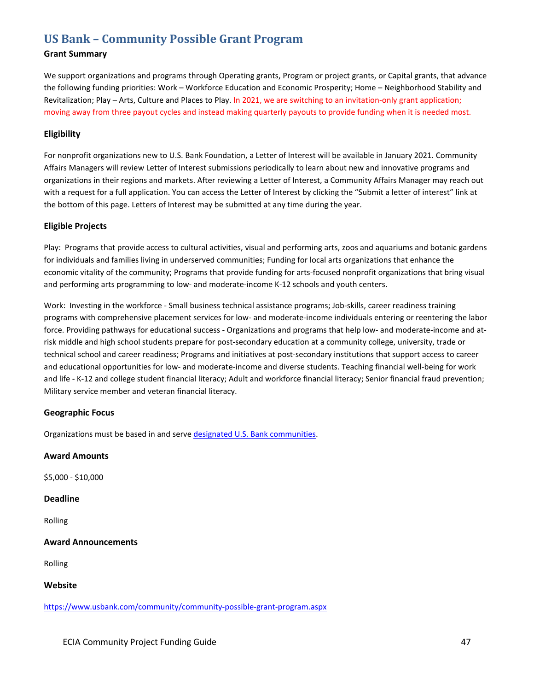# **US Bank – [Community Possible Grant Program](https://www.usbank.com/community/community-possible-grant-program.aspx)**

## **Grant Summary**

We support organizations and programs through Operating grants, Program or project grants, or Capital grants, that advance the following funding priorities: Work – Workforce Education and Economic Prosperity; Home – Neighborhood Stability and Revitalization; Play – Arts, Culture and Places to Play. In 2021, we are switching to an invitation-only grant application; moving away from three payout cycles and instead making quarterly payouts to provide funding when it is needed most.

## **Eligibility**

For nonprofit organizations new to U.S. Bank Foundation, a Letter of Interest will be available in January 2021. Community Affairs Managers will review Letter of Interest submissions periodically to learn about new and innovative programs and organizations in their regions and markets. After reviewing a Letter of Interest, a Community Affairs Manager may reach out with a request for a full application. You can access the Letter of Interest by clicking the "Submit a letter of interest" link at the bottom of this page. Letters of Interest may be submitted at any time during the year.

## **Eligible Projects**

Play: Programs that provide access to cultural activities, visual and performing arts, zoos and aquariums and botanic gardens for individuals and families living in underserved communities; Funding for local arts organizations that enhance the economic vitality of the community; Programs that provide funding for arts-focused nonprofit organizations that bring visual and performing arts programming to low- and moderate-income K-12 schools and youth centers.

Work: Investing in the workforce - Small business technical assistance programs; Job-skills, career readiness training programs with comprehensive placement services for low- and moderate-income individuals entering or reentering the labor force. Providing pathways for educational success - Organizations and programs that help low- and moderate-income and atrisk middle and high school students prepare for post-secondary education at a community college, university, trade or technical school and career readiness; Programs and initiatives at post-secondary institutions that support access to career and educational opportunities for low- and moderate-income and diverse students. Teaching financial well-being for work and life - K-12 and college student financial literacy; Adult and workforce financial literacy; Senior financial fraud prevention; Military service member and veteran financial literacy.

#### **Geographic Focus**

Organizations must be based in and serve [designated U.S. Bank communities.](https://www.usbank.com/pdf/community/US_Bank_Grant_Guidelines_2018.pdf)

#### **Award Amounts**

\$5,000 - \$10,000

## **Deadline**

Rolling

## **Award Announcements**

Rolling

#### **Website**

<https://www.usbank.com/community/community-possible-grant-program.aspx>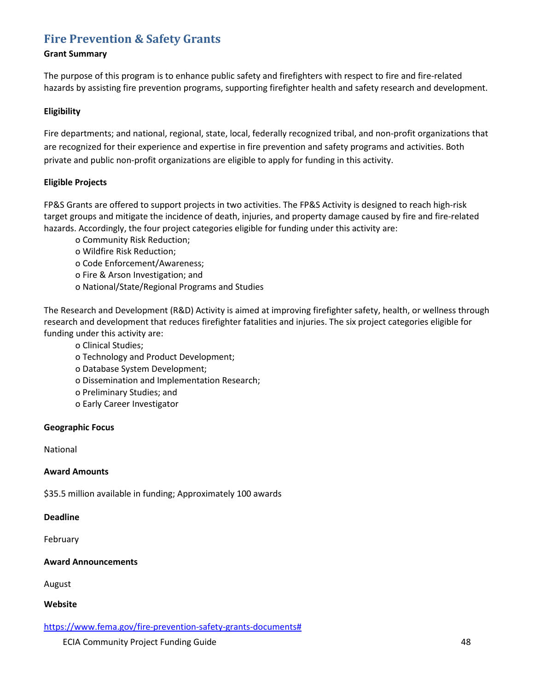# **[Fire Prevention & Safety Grants](https://www.fema.gov/fire-prevention-safety-grants-documents)**

## **Grant Summary**

The purpose of this program is to enhance public safety and firefighters with respect to fire and fire-related hazards by assisting fire prevention programs, supporting firefighter health and safety research and development.

## **Eligibility**

Fire departments; and national, regional, state, local, federally recognized tribal, and non-profit organizations that are recognized for their experience and expertise in fire prevention and safety programs and activities. Both private and public non-profit organizations are eligible to apply for funding in this activity.

## **Eligible Projects**

FP&S Grants are offered to support projects in two activities. The FP&S Activity is designed to reach high-risk target groups and mitigate the incidence of death, injuries, and property damage caused by fire and fire-related hazards. Accordingly, the four project categories eligible for funding under this activity are:

- o Community Risk Reduction;
- o Wildfire Risk Reduction;
- o Code Enforcement/Awareness;
- o Fire & Arson Investigation; and
- o National/State/Regional Programs and Studies

The Research and Development (R&D) Activity is aimed at improving firefighter safety, health, or wellness through research and development that reduces firefighter fatalities and injuries. The six project categories eligible for funding under this activity are:

- o Clinical Studies;
- o Technology and Product Development;
- o Database System Development;
- o Dissemination and Implementation Research;
- o Preliminary Studies; and
- o Early Career Investigator

## **Geographic Focus**

National

## **Award Amounts**

\$35.5 million available in funding; Approximately 100 awards

## **Deadline**

February

## **Award Announcements**

August

## **Website**

https://www.fema.gov/fire-prevention-safety-grants-documents#

ECIA Community Project Funding Guide **48** ASS 2004 12:30 AM ASS 2004 12:30 AM ASS 2004 12:30 AM ASS 2004 12:30 AM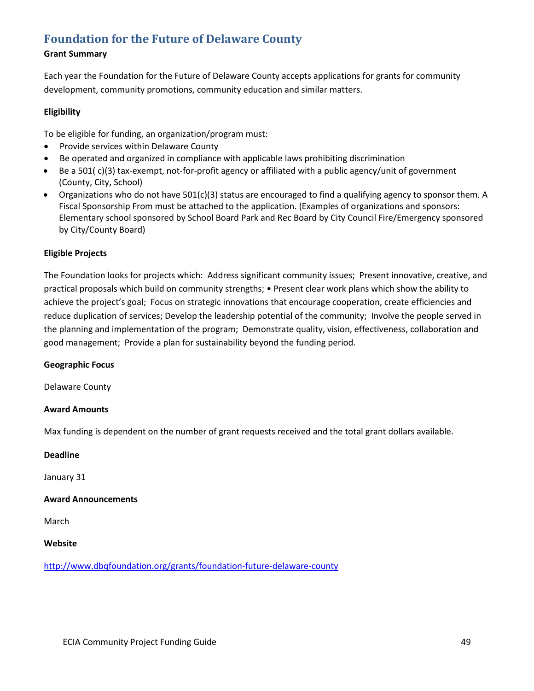# **[Foundation for the Future of Delaware County](http://www.dbqfoundation.org/grants/foundation-future-delaware-county)**

## **Grant Summary**

Each year the Foundation for the Future of Delaware County accepts applications for grants for community development, community promotions, community education and similar matters.

## **Eligibility**

To be eligible for funding, an organization/program must:

- Provide services within Delaware County
- Be operated and organized in compliance with applicable laws prohibiting discrimination
- Be a 501( c)(3) tax-exempt, not-for-profit agency or affiliated with a public agency/unit of government (County, City, School)
- Organizations who do not have 501(c)(3) status are encouraged to find a qualifying agency to sponsor them. A Fiscal Sponsorship From must be attached to the application. (Examples of organizations and sponsors: Elementary school sponsored by School Board Park and Rec Board by City Council Fire/Emergency sponsored by City/County Board)

## **Eligible Projects**

The Foundation looks for projects which: Address significant community issues; Present innovative, creative, and practical proposals which build on community strengths; • Present clear work plans which show the ability to achieve the project's goal; Focus on strategic innovations that encourage cooperation, create efficiencies and reduce duplication of services; Develop the leadership potential of the community; Involve the people served in the planning and implementation of the program; Demonstrate quality, vision, effectiveness, collaboration and good management; Provide a plan for sustainability beyond the funding period.

## **Geographic Focus**

Delaware County

## **Award Amounts**

Max funding is dependent on the number of grant requests received and the total grant dollars available.

#### **Deadline**

January 31

## **Award Announcements**

March

## **Website**

<http://www.dbqfoundation.org/grants/foundation-future-delaware-county>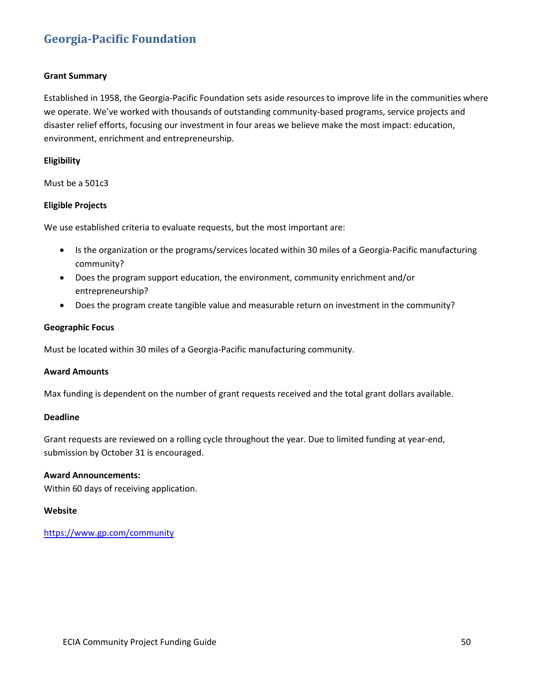# **[Georgia-Pacific Foundation](https://www.gp.com/community)**

## **Grant Summary**

Established in 1958, the Georgia-Pacific Foundation sets aside resources to improve life in the communities where we operate. We've worked with thousands of outstanding community-based programs, service projects and disaster relief efforts, focusing our investment in four areas we believe make the most impact: education, environment, enrichment and entrepreneurship.

## **Eligibility**

Must be a 501c3

## **Eligible Projects**

We use established criteria to evaluate requests, but the most important are:

- Is the organization or the programs/services located within 30 miles of a Georgia-Pacific manufacturing community?
- Does the program support education, the environment, community enrichment and/or entrepreneurship?
- Does the program create tangible value and measurable return on investment in the community?

#### **Geographic Focus**

Must be located within 30 miles of a Georgia-Pacific manufacturing community.

#### **Award Amounts**

Max funding is dependent on the number of grant requests received and the total grant dollars available.

## **Deadline**

Grant requests are reviewed on a rolling cycle throughout the year. Due to limited funding at year-end, submission by October 31 is encouraged.

## **Award Announcements:**

Within 60 days of receiving application.

#### **Website**

<https://www.gp.com/community>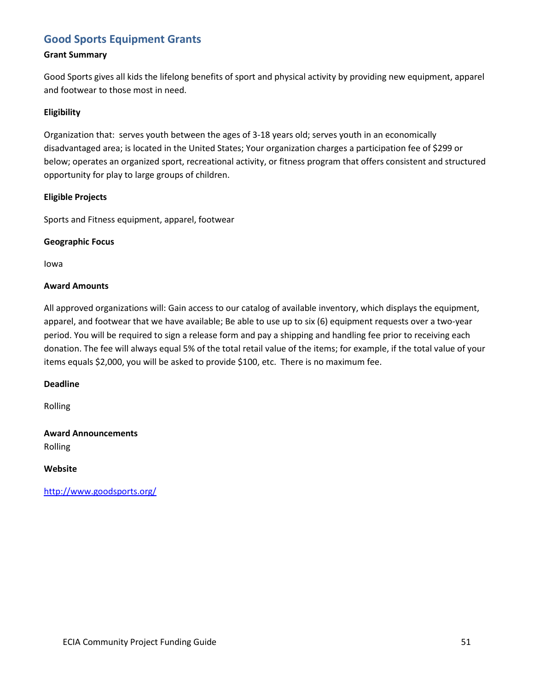# **Good Sports [Equipment Grants](http://www.goodsports.org/)**

## **Grant Summary**

Good Sports gives all kids the lifelong benefits of sport and physical activity by providing new equipment, apparel and footwear to those most in need.

## **Eligibility**

Organization that: serves youth between the ages of 3-18 years old; serves youth in an economically disadvantaged area; is located in the United States; Your organization charges a participation fee of \$299 or below; operates an organized sport, recreational activity, or fitness program that offers consistent and structured opportunity for play to large groups of children.

## **Eligible Projects**

Sports and Fitness equipment, apparel, footwear

## **Geographic Focus**

Iowa

## **Award Amounts**

All approved organizations will: Gain access to our catalog of available inventory, which displays the equipment, apparel, and footwear that we have available; Be able to use up to six (6) equipment requests over a two-year period. You will be required to sign a release form and pay a shipping and handling fee prior to receiving each donation. The fee will always equal 5% of the total retail value of the items; for example, if the total value of your items equals \$2,000, you will be asked to provide \$100, etc. There is no maximum fee.

## **Deadline**

Rolling

# **Award Announcements**

Rolling

## **Website**

<http://www.goodsports.org/>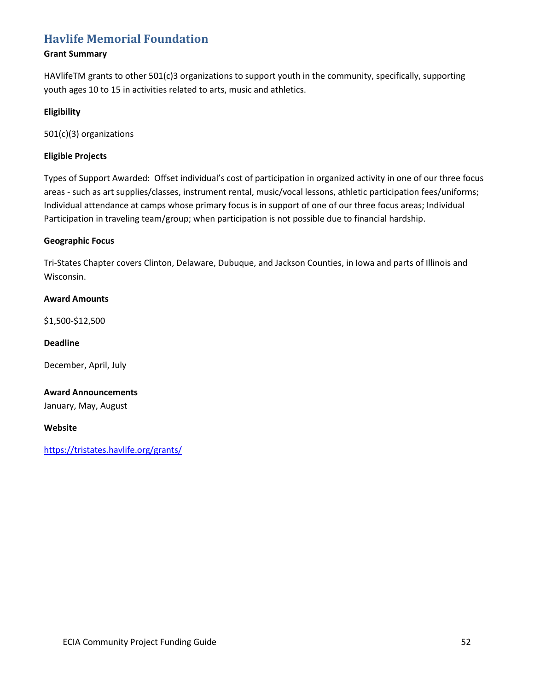# **[Havlife Memorial Foundation](https://tristates.havlife.org/grants/)**

## **Grant Summary**

HAVlifeTM grants to other 501(c)3 organizations to support youth in the community, specifically, supporting youth ages 10 to 15 in activities related to arts, music and athletics.

## **Eligibility**

501(c)(3) organizations

## **Eligible Projects**

Types of Support Awarded: Offset individual's cost of participation in organized activity in one of our three focus areas - such as art supplies/classes, instrument rental, music/vocal lessons, athletic participation fees/uniforms; Individual attendance at camps whose primary focus is in support of one of our three focus areas; Individual Participation in traveling team/group; when participation is not possible due to financial hardship.

## **Geographic Focus**

Tri-States Chapter covers Clinton, Delaware, Dubuque, and Jackson Counties, in Iowa and parts of Illinois and Wisconsin.

## **Award Amounts**

\$1,500-\$12,500

## **Deadline**

December, April, July

# **Award Announcements**

January, May, August

## **Website**

<https://tristates.havlife.org/grants/>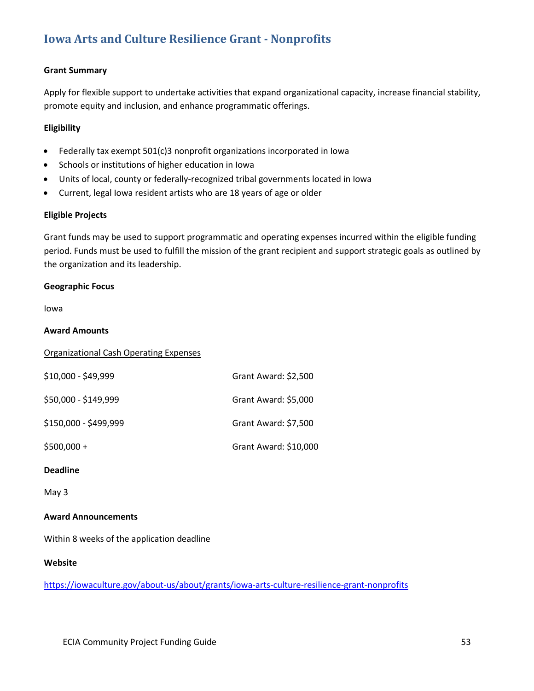# **[Iowa Arts and Culture Resilience](https://iowaculture.gov/about-us/about/grants/iowa-arts-culture-resilience-grant-nonprofits) Grant - Nonprofits**

## **Grant Summary**

Apply for flexible support to undertake activities that expand organizational capacity, increase financial stability, promote equity and inclusion, and enhance programmatic offerings.

## **Eligibility**

- Federally tax exempt 501(c)3 nonprofit organizations incorporated in Iowa
- Schools or institutions of higher education in Iowa
- Units of local, county or federally-recognized tribal governments located in Iowa
- Current, legal Iowa resident artists who are 18 years of age or older

#### **Eligible Projects**

Grant funds may be used to support programmatic and operating expenses incurred within the eligible funding period. Funds must be used to fulfill the mission of the grant recipient and support strategic goals as outlined by the organization and its leadership.

#### **Geographic Focus**

Iowa

#### **Award Amounts**

| <b>Organizational Cash Operating Expenses</b> |                       |
|-----------------------------------------------|-----------------------|
| $$10,000 - $49,999$                           | Grant Award: \$2,500  |
| \$50,000 - \$149,999                          | Grant Award: \$5,000  |
| \$150,000 - \$499,999                         | Grant Award: \$7,500  |
| $$500,000 +$                                  | Grant Award: \$10,000 |
|                                               |                       |

## **Deadline**

May 3

#### **Award Announcements**

Within 8 weeks of the application deadline

### **Website**

<https://iowaculture.gov/about-us/about/grants/iowa-arts-culture-resilience-grant-nonprofits>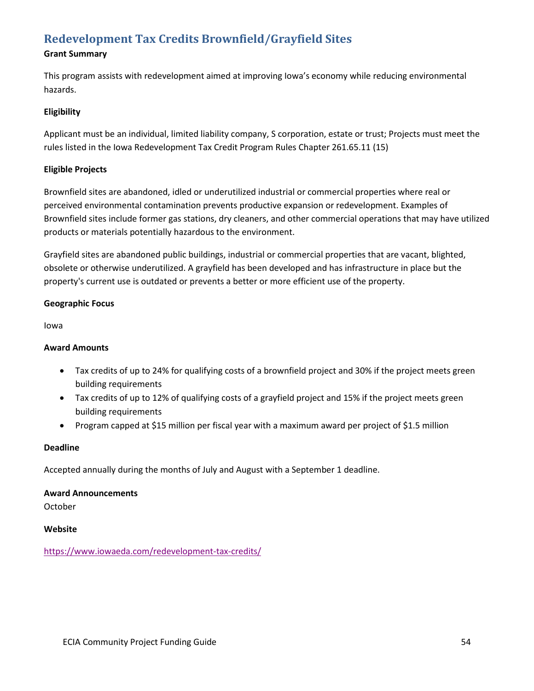# **[Redevelopment Tax Credits](https://www.iowaeda.com/redevelopment-tax-credits/) Brownfield/Grayfield Sites**

# **Grant Summary**

This program assists with redevelopment aimed at improving Iowa's economy while reducing environmental hazards.

## **Eligibility**

Applicant must be an individual, limited liability company, S corporation, estate or trust; Projects must meet the rules listed in the Iowa Redevelopment Tax Credit Program Rules Chapter 261.65.11 (15)

## **Eligible Projects**

Brownfield sites are abandoned, idled or underutilized industrial or commercial properties where real or perceived environmental contamination prevents productive expansion or redevelopment. Examples of Brownfield sites include former gas stations, dry cleaners, and other commercial operations that may have utilized products or materials potentially hazardous to the environment.

Grayfield sites are abandoned public buildings, industrial or commercial properties that are vacant, blighted, obsolete or otherwise underutilized. A grayfield has been developed and has infrastructure in place but the property's current use is outdated or prevents a better or more efficient use of the property.

## **Geographic Focus**

Iowa

## **Award Amounts**

- Tax credits of up to 24% for qualifying costs of a brownfield project and 30% if the project meets green building requirements
- Tax credits of up to 12% of qualifying costs of a grayfield project and 15% if the project meets green building requirements
- Program capped at \$15 million per fiscal year with a maximum award per project of \$1.5 million

## **Deadline**

Accepted annually during the months of July and August with a September 1 deadline.

## **Award Announcements**

October

## **Website**

<https://www.iowaeda.com/redevelopment-tax-credits/>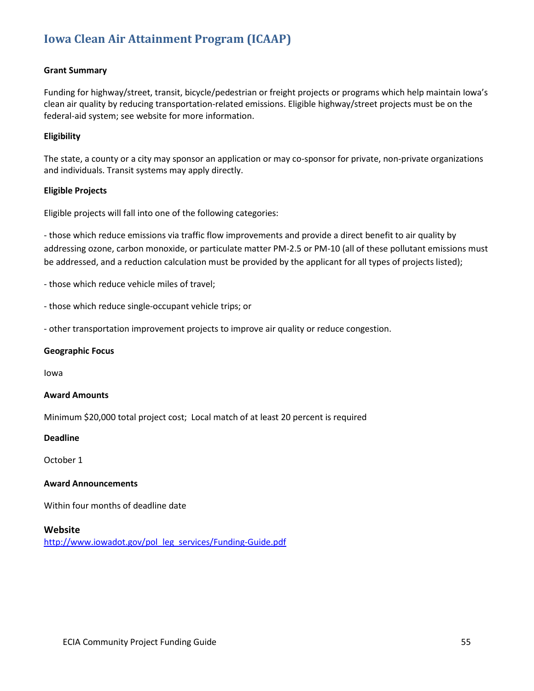# **[Iowa Clean Air Attainment Program \(ICAAP\)](http://www.iowadot.gov/pol_leg_services/Funding-Guide.pdf)**

## **Grant Summary**

Funding for highway/street, transit, bicycle/pedestrian or freight projects or programs which help maintain Iowa's clean air quality by reducing transportation-related emissions. Eligible highway/street projects must be on the federal-aid system; see website for more information.

#### **Eligibility**

The state, a county or a city may sponsor an application or may co-sponsor for private, non-private organizations and individuals. Transit systems may apply directly.

#### **Eligible Projects**

Eligible projects will fall into one of the following categories:

- those which reduce emissions via traffic flow improvements and provide a direct benefit to air quality by addressing ozone, carbon monoxide, or particulate matter PM-2.5 or PM-10 (all of these pollutant emissions must be addressed, and a reduction calculation must be provided by the applicant for all types of projects listed);

- those which reduce vehicle miles of travel;

- those which reduce single-occupant vehicle trips; or

- other transportation improvement projects to improve air quality or reduce congestion.

#### **Geographic Focus**

Iowa

#### **Award Amounts**

Minimum \$20,000 total project cost; Local match of at least 20 percent is required

#### **Deadline**

October 1

#### **Award Announcements**

Within four months of deadline date

#### **Website**

[http://www.iowadot.gov/pol\\_leg\\_services/Funding-Guide.pdf](http://www.iowadot.gov/pol_leg_services/Funding-Guide.pdf)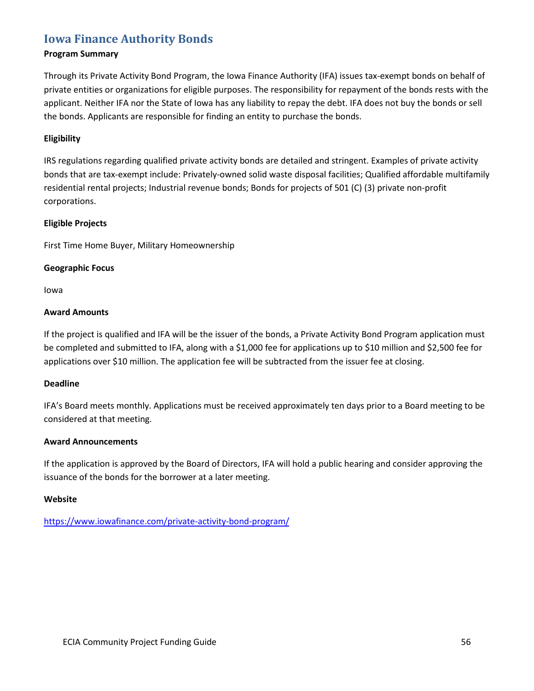# **[Iowa Finance Authority Bonds](https://www.iowafinance.com/private-activity-bond-program/)**

## **Program Summary**

Through its Private Activity Bond Program, the Iowa Finance Authority (IFA) issues tax-exempt bonds on behalf of private entities or organizations for eligible purposes. The responsibility for repayment of the bonds rests with the applicant. Neither IFA nor the State of Iowa has any liability to repay the debt. IFA does not buy the bonds or sell the bonds. Applicants are responsible for finding an entity to purchase the bonds.

## **Eligibility**

IRS regulations regarding qualified private activity bonds are detailed and stringent. Examples of private activity bonds that are tax-exempt include: Privately-owned solid waste disposal facilities; Qualified affordable multifamily residential rental projects; Industrial revenue bonds; Bonds for projects of 501 (C) (3) private non-profit corporations.

## **Eligible Projects**

First Time Home Buyer, Military Homeownership

## **Geographic Focus**

Iowa

## **Award Amounts**

If the project is qualified and IFA will be the issuer of the bonds, a Private Activity Bond Program application must be completed and submitted to IFA, along with a \$1,000 fee for applications up to \$10 million and \$2,500 fee for applications over \$10 million. The application fee will be subtracted from the issuer fee at closing.

## **Deadline**

IFA's Board meets monthly. Applications must be received approximately ten days prior to a Board meeting to be considered at that meeting.

## **Award Announcements**

If the application is approved by the Board of Directors, IFA will hold a public hearing and consider approving the issuance of the bonds for the borrower at a later meeting.

#### **Website**

<https://www.iowafinance.com/private-activity-bond-program/>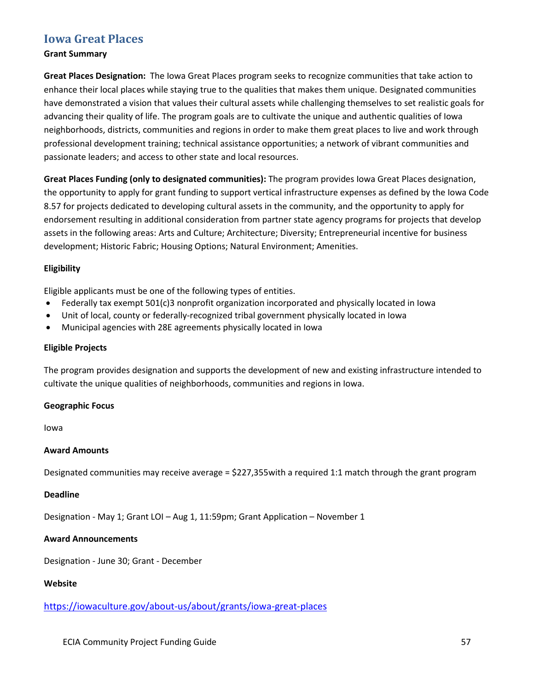# **[Iowa Great Places](https://iowaculture.gov/about-us/about/grants/iowa-great-places)**

## **Grant Summary**

**Great Places Designation:** The Iowa Great Places program seeks to recognize communities that take action to enhance their local places while staying true to the qualities that makes them unique. Designated communities have demonstrated a vision that values their cultural assets while challenging themselves to set realistic goals for advancing their quality of life. The program goals are to cultivate the unique and authentic qualities of Iowa neighborhoods, districts, communities and regions in order to make them great places to live and work through professional development training; technical assistance opportunities; a network of vibrant communities and passionate leaders; and access to other state and local resources.

**Great Places Funding (only to designated communities):** The program provides Iowa Great Places designation, the opportunity to apply for grant funding to support vertical infrastructure expenses as defined by the Iowa Code 8.57 for projects dedicated to developing cultural assets in the community, and the opportunity to apply for endorsement resulting in additional consideration from partner state agency programs for projects that develop assets in the following areas: Arts and Culture; Architecture; Diversity; Entrepreneurial incentive for business development; Historic Fabric; Housing Options; Natural Environment; Amenities.

## **Eligibility**

Eligible applicants must be one of the following types of entities.

- Federally tax exempt 501(c)3 nonprofit organization incorporated and physically located in Iowa
- Unit of local, county or federally-recognized tribal government physically located in Iowa
- Municipal agencies with 28E agreements physically located in Iowa

## **Eligible Projects**

The program provides designation and supports the development of new and existing infrastructure intended to cultivate the unique qualities of neighborhoods, communities and regions in Iowa.

## **Geographic Focus**

Iowa

## **Award Amounts**

Designated communities may receive average = \$227,355with a required 1:1 match through the grant program

## **Deadline**

Designation - May 1; Grant LOI – Aug 1, 11:59pm; Grant Application – November 1

# **Award Announcements**

Designation - June 30; Grant - December

# **Website**

<https://iowaculture.gov/about-us/about/grants/iowa-great-places>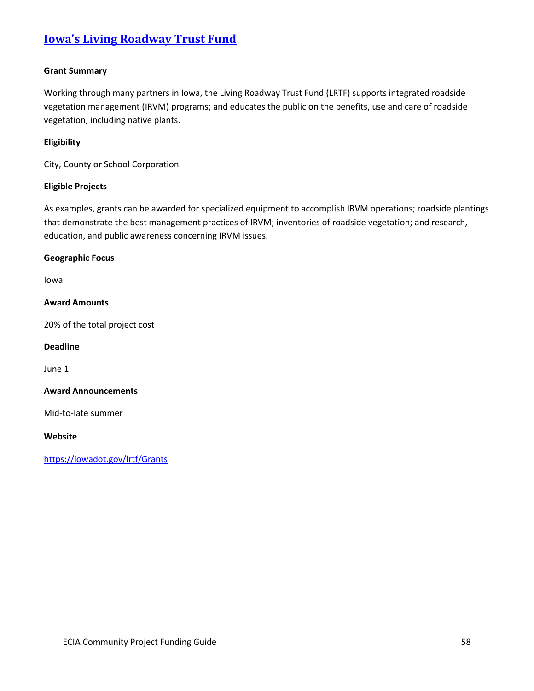# **Iowa's [Living Roadway Trust Fund](https://iowadot.gov/lrtf/Grants)**

## **Grant Summary**

Working through many partners in Iowa, the Living Roadway Trust Fund (LRTF) supports integrated roadside vegetation management (IRVM) programs; and educates the public on the benefits, use and care of roadside vegetation, including native plants.

## **Eligibility**

City, County or School Corporation

## **Eligible Projects**

As examples, grants can be awarded for specialized equipment to accomplish IRVM operations; roadside plantings that demonstrate the best management practices of IRVM; inventories of roadside vegetation; and research, education, and public awareness concerning IRVM issues.

#### **Geographic Focus**

Iowa

## **Award Amounts**

20% of the total project cost

## **Deadline**

June 1

#### **Award Announcements**

Mid-to-late summer

## **Website**

<https://iowadot.gov/lrtf/Grants>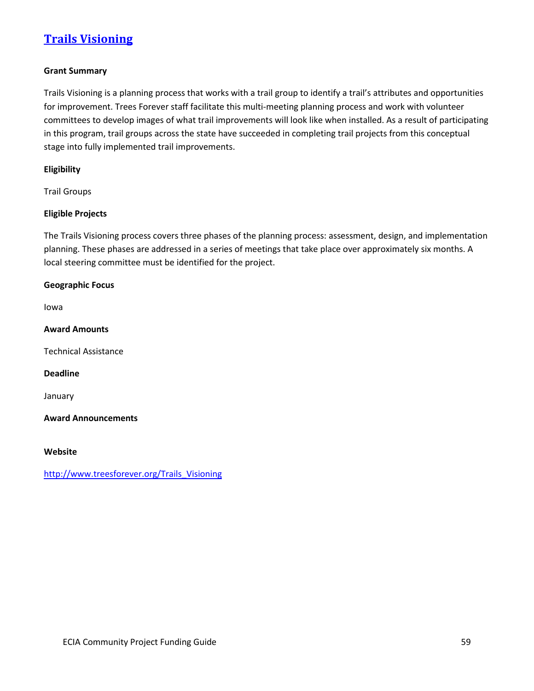# **[Trails Visioning](http://www.treesforever.org/Trails_Visioning)**

## **Grant Summary**

Trails Visioning is a planning process that works with a trail group to identify a trail's attributes and opportunities for improvement. Trees Forever staff facilitate this multi-meeting planning process and work with volunteer committees to develop images of what trail improvements will look like when installed. As a result of participating in this program, trail groups across the state have succeeded in completing trail projects from this conceptual stage into fully implemented trail improvements.

## **Eligibility**

Trail Groups

## **Eligible Projects**

The Trails Visioning process covers three phases of the planning process: assessment, design, and implementation planning. These phases are addressed in a series of meetings that take place over approximately six months. A local steering committee must be identified for the project.

# **Geographic Focus**

Iowa

**Award Amounts**

Technical Assistance

## **Deadline**

January

**Award Announcements**

#### **Website**

[http://www.treesforever.org/Trails\\_Visioning](http://www.treesforever.org/Trails_Visioning)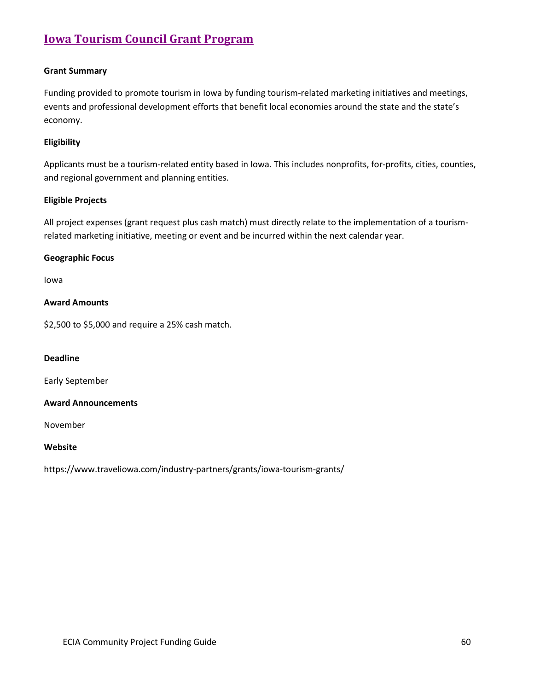# **[Iowa Tourism Council Grant Program](https://www.traveliowa.com/industry-partners/grants/iowa-tourism-grants/)**

## **Grant Summary**

Funding provided to promote tourism in Iowa by funding tourism-related marketing initiatives and meetings, events and professional development efforts that benefit local economies around the state and the state's economy.

## **Eligibility**

Applicants must be a tourism-related entity based in Iowa. This includes nonprofits, for-profits, cities, counties, and regional government and planning entities.

## **Eligible Projects**

All project expenses (grant request plus cash match) must directly relate to the implementation of a tourismrelated marketing initiative, meeting or event and be incurred within the next calendar year.

## **Geographic Focus**

Iowa

## **Award Amounts**

\$2,500 to \$5,000 and require a 25% cash match.

## **Deadline**

Early September

## **Award Announcements**

November

## **Website**

https://www.traveliowa.com/industry-partners/grants/iowa-tourism-grants/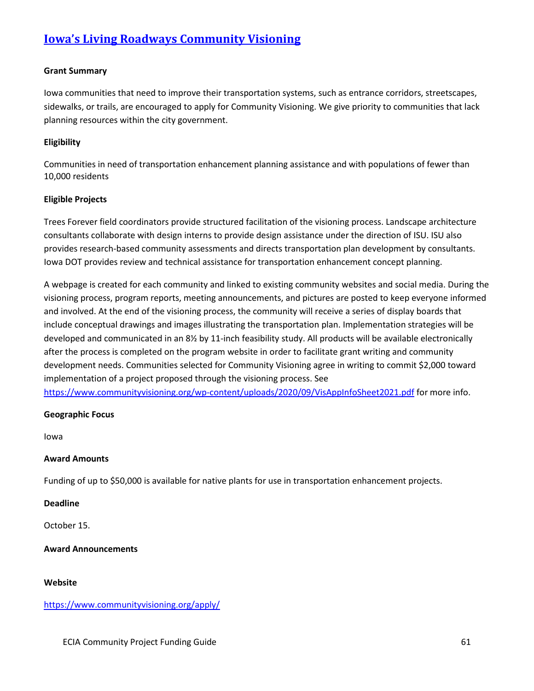# **[Iowa's Living Roadways Community Visioning](https://www.communityvisioning.org/apply/)**

## **Grant Summary**

Iowa communities that need to improve their transportation systems, such as entrance corridors, streetscapes, sidewalks, or trails, are encouraged to apply for Community Visioning. We give priority to communities that lack planning resources within the city government.

## **Eligibility**

Communities in need of transportation enhancement planning assistance and with populations of fewer than 10,000 residents

## **Eligible Projects**

Trees Forever field coordinators provide structured facilitation of the visioning process. Landscape architecture consultants collaborate with design interns to provide design assistance under the direction of ISU. ISU also provides research-based community assessments and directs transportation plan development by consultants. Iowa DOT provides review and technical assistance for transportation enhancement concept planning.

A webpage is created for each community and linked to existing community websites and social media. During the visioning process, program reports, meeting announcements, and pictures are posted to keep everyone informed and involved. At the end of the visioning process, the community will receive a series of display boards that include conceptual drawings and images illustrating the transportation plan. Implementation strategies will be developed and communicated in an 8½ by 11-inch feasibility study. All products will be available electronically after the process is completed on the program website in order to facilitate grant writing and community development needs. Communities selected for Community Visioning agree in writing to commit \$2,000 toward implementation of a project proposed through the visioning process. See <https://www.communityvisioning.org/wp-content/uploads/2020/09/VisAppInfoSheet2021.pdf> for more info.

#### **Geographic Focus**

Iowa

#### **Award Amounts**

Funding of up to \$50,000 is available for native plants for use in transportation enhancement projects.

## **Deadline**

October 15.

## **Award Announcements**

#### **Website**

## <https://www.communityvisioning.org/apply/>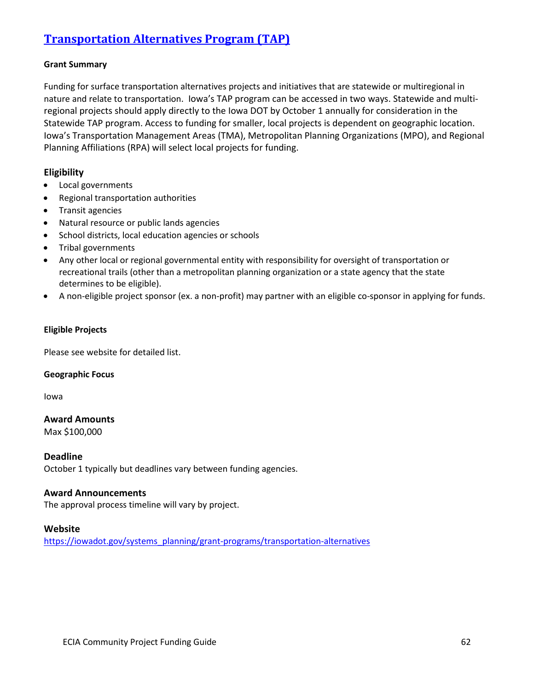# **[Transportation Alternatives Program \(TAP\)](https://iowadot.gov/systems_planning/grant-programs/transportation-alternatives)**

## **Grant Summary**

Funding for surface transportation alternatives projects and initiatives that are statewide or multiregional in nature and relate to transportation. Iowa's TAP program can be accessed in two ways. Statewide and multiregional projects should apply directly to the Iowa DOT by October 1 annually for consideration in the Statewide TAP program. Access to funding for smaller, local projects is dependent on geographic location. Iowa's Transportation Management Areas (TMA), Metropolitan Planning Organizations (MPO), and Regional Planning Affiliations (RPA) will select local projects for funding.

## **Eligibility**

- Local governments
- Regional transportation authorities
- Transit agencies
- Natural resource or public lands agencies
- School districts, local education agencies or schools
- Tribal governments
- Any other local or regional governmental entity with responsibility for oversight of transportation or recreational trails (other than a metropolitan planning organization or a state agency that the state determines to be eligible).
- A non-eligible project sponsor (ex. a non-profit) may partner with an eligible co-sponsor in applying for funds.

## **Eligible Projects**

Please see website for detailed list.

## **Geographic Focus**

Iowa

## **Award Amounts**

Max \$100,000

## **Deadline**

October 1 typically but deadlines vary between funding agencies.

## **Award Announcements**

The approval process timeline will vary by project.

## **Website**

https://iowadot.gov/systems\_planning/grant-programs/transportation-alternatives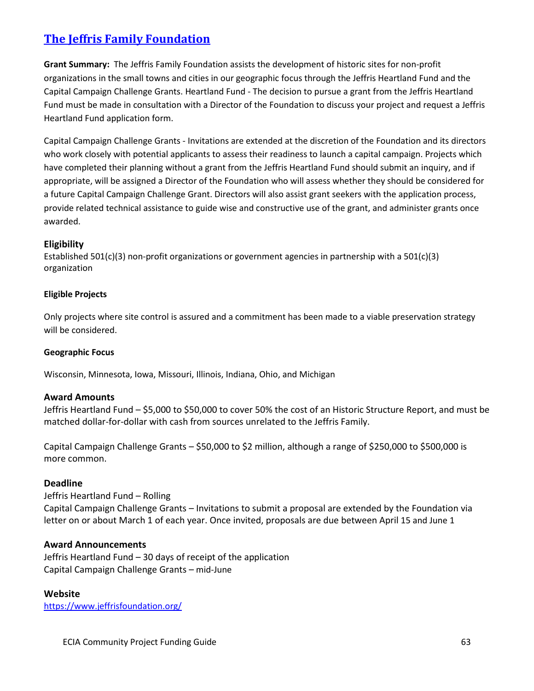# **[The Jeffris Family Foundation](https://www.jeffrisfoundation.org/)**

**Grant Summary:** The Jeffris Family Foundation assists the development of historic sites for non-profit organizations in the small towns and cities in our geographic focus through the Jeffris Heartland Fund and the Capital Campaign Challenge Grants. Heartland Fund - The decision to pursue a grant from the Jeffris Heartland Fund must be made in consultation with a Director of the Foundation to discuss your project and request a Jeffris Heartland Fund application form.

Capital Campaign Challenge Grants - Invitations are extended at the discretion of the Foundation and its directors who work closely with potential applicants to assess their readiness to launch a capital campaign. Projects which have completed their planning without a grant from the Jeffris Heartland Fund should submit an inquiry, and if appropriate, will be assigned a Director of the Foundation who will assess whether they should be considered for a future Capital Campaign Challenge Grant. Directors will also assist grant seekers with the application process, provide related technical assistance to guide wise and constructive use of the grant, and administer grants once awarded.

# **Eligibility**

Established 501(c)(3) non-profit organizations or government agencies in partnership with a 501(c)(3) organization

## **Eligible Projects**

Only projects where site control is assured and a commitment has been made to a viable preservation strategy will be considered.

## **Geographic Focus**

Wisconsin, Minnesota, Iowa, Missouri, Illinois, Indiana, Ohio, and Michigan

## **Award Amounts**

Jeffris Heartland Fund – \$5,000 to \$50,000 to cover 50% the cost of an Historic Structure Report, and must be matched dollar-for-dollar with cash from sources unrelated to the Jeffris Family.

Capital Campaign Challenge Grants – \$50,000 to \$2 million, although a range of \$250,000 to \$500,000 is more common.

# **Deadline**

Jeffris Heartland Fund – Rolling Capital Campaign Challenge Grants – Invitations to submit a proposal are extended by the Foundation via letter on or about March 1 of each year. Once invited, proposals are due between April 15 and June 1

# **Award Announcements**

Jeffris Heartland Fund – 30 days of receipt of the application Capital Campaign Challenge Grants – mid-June

## **Website**

https://www.jeffrisfoundation.org/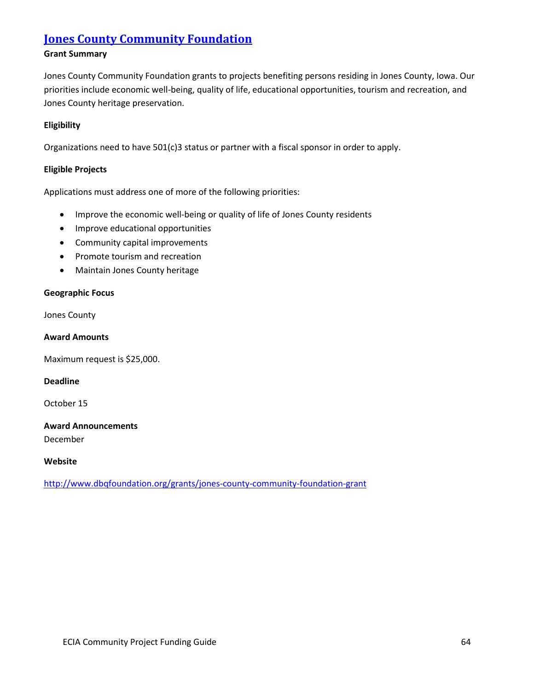# **[Jones County Community Foundation](http://www.dbqfoundation.org/grants/jones-county-community-foundation-grant)**

## **Grant Summary**

Jones County Community Foundation grants to projects benefiting persons residing in Jones County, Iowa. Our priorities include economic well-being, quality of life, educational opportunities, tourism and recreation, and Jones County heritage preservation.

## **Eligibility**

Organizations need to have 501(c)3 status or partner with a fiscal sponsor in order to apply.

## **Eligible Projects**

Applications must address one of more of the following priorities:

- Improve the economic well-being or quality of life of Jones County residents
- Improve educational opportunities
- Community capital improvements
- Promote tourism and recreation
- Maintain Jones County heritage

## **Geographic Focus**

## Jones County

## **Award Amounts**

Maximum request is \$25,000.

## **Deadline**

October 15

# **Award Announcements**

December

## **Website**

<http://www.dbqfoundation.org/grants/jones-county-community-foundation-grant>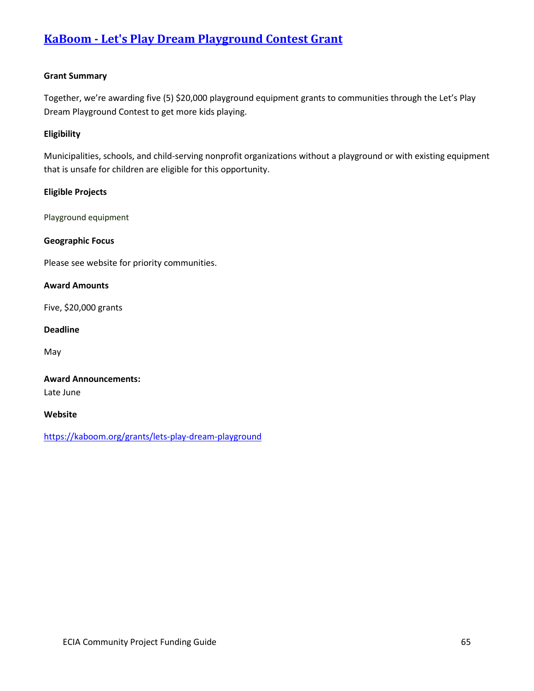# **KaBoom - [Let's Play Dream Playground](https://kaboom.org/grants/lets-play-dream-playground) Contest Grant**

## **Grant Summary**

Together, we're awarding five (5) \$20,000 playground equipment grants to communities through the Let's Play Dream Playground Contest to get more kids playing.

## **Eligibility**

Municipalities, schools, and child-serving nonprofit organizations without a playground or with existing equipment that is unsafe for children are eligible for this opportunity.

## **Eligible Projects**

Playground equipment

## **Geographic Focus**

Please see website for priority communities.

#### **Award Amounts**

Five, \$20,000 grants

## **Deadline**

May

# **Award Announcements:** Late June

#### **Website**

<https://kaboom.org/grants/lets-play-dream-playground>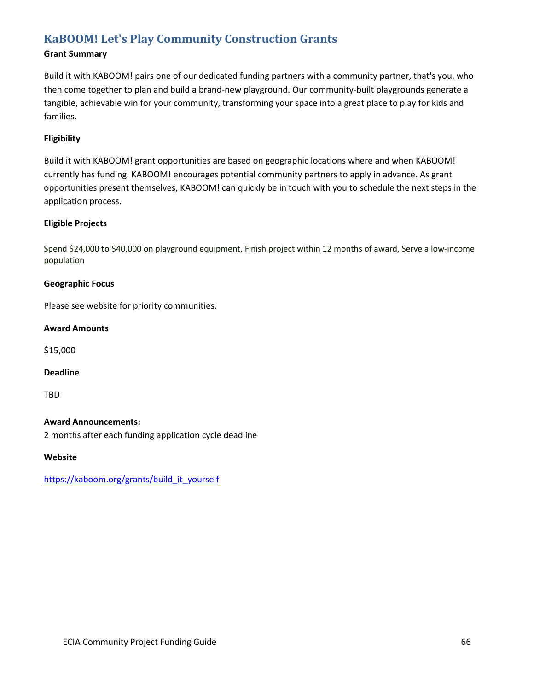# **[KaBOOM! Let's Play Community Construction Grants](https://kaboom.org/grants/build_it_yourself)**

# **Grant Summary**

Build it with KABOOM! pairs one of our dedicated funding partners with a community partner, that's you, who then come together to plan and build a brand-new playground. Our community-built playgrounds generate a tangible, achievable win for your community, transforming your space into a great place to play for kids and families.

## **Eligibility**

Build it with KABOOM! grant opportunities are based on geographic locations where and when KABOOM! currently has funding. KABOOM! encourages potential community partners to apply in advance. As grant opportunities present themselves, KABOOM! can quickly be in touch with you to schedule the next steps in the application process.

## **Eligible Projects**

Spend \$24,000 to \$40,000 on playground equipment, Finish project within 12 months of award, Serve a low-income population

## **Geographic Focus**

Please see website for priority communities.

## **Award Amounts**

\$15,000

#### **Deadline**

TBD

## **Award Announcements:**

2 months after each funding application cycle deadline

**Website**

https://kaboom.org/grants/build\_it\_yourself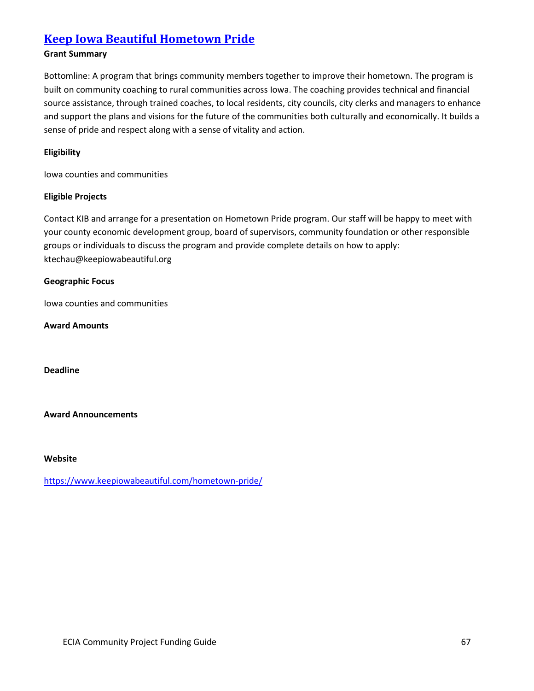# **[Keep Iowa Beautiful Hometown Pride](https://www.keepiowabeautiful.com/hometown-pride/)**

# **Grant Summary**

Bottomline: A program that brings community members together to improve their hometown. The program is built on community coaching to rural communities across Iowa. The coaching provides technical and financial source assistance, through trained coaches, to local residents, city councils, city clerks and managers to enhance and support the plans and visions for the future of the communities both culturally and economically. It builds a sense of pride and respect along with a sense of vitality and action.

## **Eligibility**

Iowa counties and communities

## **Eligible Projects**

Contact KIB and arrange for a presentation on Hometown Pride program. Our staff will be happy to meet with your county economic development group, board of supervisors, community foundation or other responsible groups or individuals to discuss the program and provide complete details on how to apply: ktechau@keepiowabeautiful.org

## **Geographic Focus**

Iowa counties and communities

**Award Amounts**

**Deadline**

**Award Announcements**

#### **Website**

<https://www.keepiowabeautiful.com/hometown-pride/>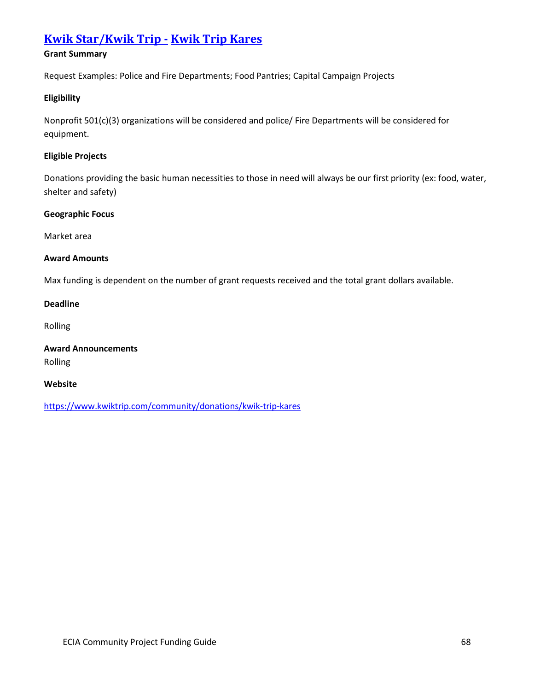# **[Kwik Star/Kwik Trip](https://www.kwiktrip.com/community/donations/kwik-trip-kares) - Kwik Trip Kares**

# **Grant Summary**

Request Examples: Police and Fire Departments; Food Pantries; Capital Campaign Projects

## **Eligibility**

Nonprofit 501(c)(3) organizations will be considered and police/ Fire Departments will be considered for equipment.

## **Eligible Projects**

Donations providing the basic human necessities to those in need will always be our first priority (ex: food, water, shelter and safety)

## **Geographic Focus**

Market area

## **Award Amounts**

Max funding is dependent on the number of grant requests received and the total grant dollars available.

## **Deadline**

Rolling

**Award Announcements** Rolling

## **Website**

<https://www.kwiktrip.com/community/donations/kwik-trip-kares>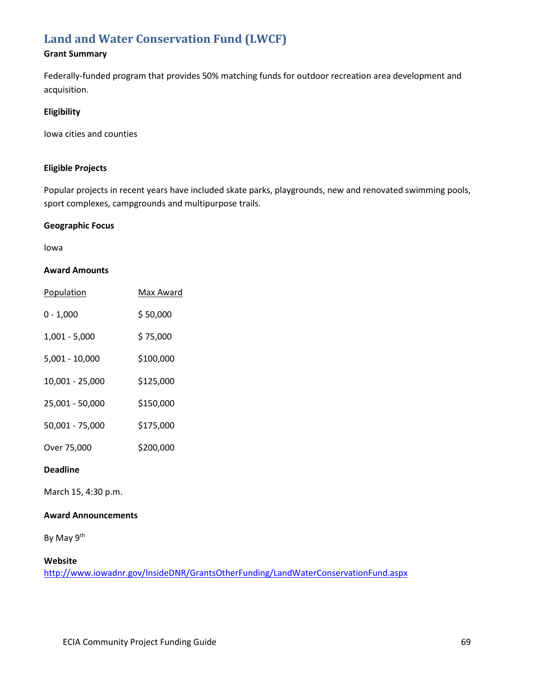# **[Land and Water Conservation Fund \(LWCF\)](http://www.iowadnr.gov/InsideDNR/GrantsOtherFunding/LandWaterConservationFund.aspx)**

# **Grant Summary**

Federally-funded program that provides 50% matching funds for outdoor recreation area development and acquisition.

## **Eligibility**

Iowa cities and counties

## **Eligible Projects**

Popular projects in recent years have included skate parks, playgrounds, new and renovated swimming pools, sport complexes, campgrounds and multipurpose trails.

## **Geographic Focus**

Iowa

## **Award Amounts**

| Population      | Max Award |
|-----------------|-----------|
| $0 - 1,000$     | \$50,000  |
| $1,001 - 5,000$ | \$75,000  |
| 5,001 - 10,000  | \$100,000 |
| 10,001 - 25,000 | \$125,000 |
| 25,001 - 50,000 | \$150,000 |
| 50,001 - 75,000 | \$175,000 |
| Over 75,000     | \$200,000 |

## **Deadline**

March 15, 4:30 p.m.

## **Award Announcements**

By May 9<sup>th</sup>

## **Website**

<http://www.iowadnr.gov/InsideDNR/GrantsOtherFunding/LandWaterConservationFund.aspx>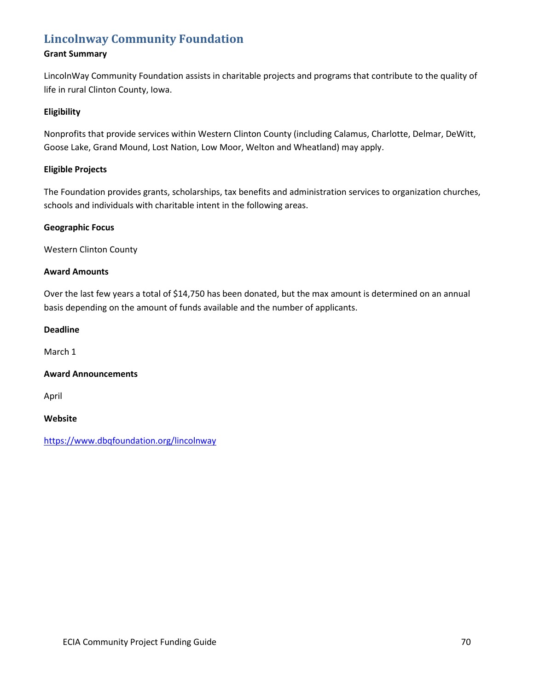# **[Lincolnway Community Foundation](https://www.dbqfoundation.org/lincolnway)**

## **Grant Summary**

LincolnWay Community Foundation assists in charitable projects and programs that contribute to the quality of life in rural Clinton County, Iowa.

## **Eligibility**

Nonprofits that provide services within Western Clinton County (including Calamus, Charlotte, Delmar, DeWitt, Goose Lake, Grand Mound, Lost Nation, Low Moor, Welton and Wheatland) may apply.

## **Eligible Projects**

The Foundation provides grants, scholarships, tax benefits and administration services to organization churches, schools and individuals with charitable intent in the following areas.

## **Geographic Focus**

Western Clinton County

## **Award Amounts**

Over the last few years a total of \$14,750 has been donated, but the max amount is determined on an annual basis depending on the amount of funds available and the number of applicants.

## **Deadline**

March 1

## **Award Announcements**

April

**Website**

<https://www.dbqfoundation.org/lincolnway>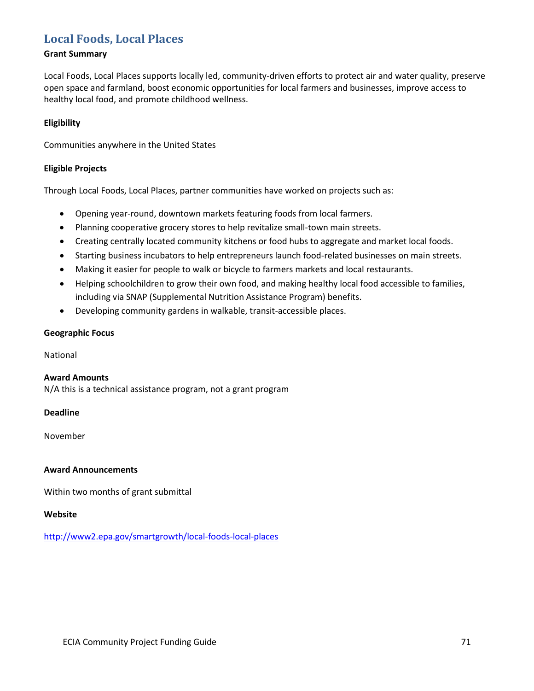# **[Local Foods, Local Places](http://www2.epa.gov/smartgrowth/local-foods-local-places)**

## **Grant Summary**

Local Foods, Local Places supports locally led, community-driven efforts to protect air and water quality, preserve open space and farmland, boost economic opportunities for local farmers and businesses, improve access to healthy local food, and promote childhood wellness.

## **Eligibility**

Communities anywhere in the United States

## **Eligible Projects**

Through Local Foods, Local Places, partner communities have worked on projects such as:

- Opening year-round, downtown markets featuring foods from local farmers.
- Planning cooperative grocery stores to help revitalize small-town main streets.
- Creating centrally located community kitchens or food hubs to aggregate and market local foods.
- Starting business incubators to help entrepreneurs launch food-related businesses on main streets.
- Making it easier for people to walk or bicycle to farmers markets and local restaurants.
- Helping schoolchildren to grow their own food, and making healthy local food accessible to families, including via SNAP (Supplemental Nutrition Assistance Program) benefits.
- Developing community gardens in walkable, transit-accessible places.

## **Geographic Focus**

National

## **Award Amounts**

N/A this is a technical assistance program, not a grant program

## **Deadline**

November

## **Award Announcements**

Within two months of grant submittal

## **Website**

<http://www2.epa.gov/smartgrowth/local-foods-local-places>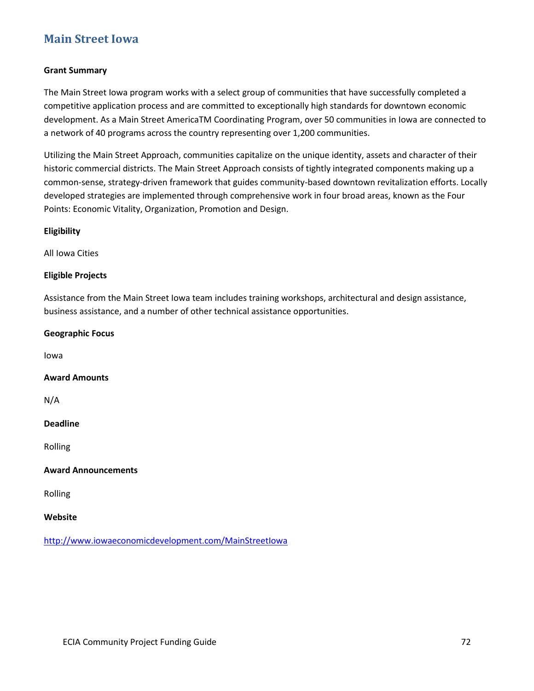## **[Main Street Iowa](http://www.iowaeconomicdevelopment.com/MainStreetIowa)**

### **Grant Summary**

The Main Street Iowa program works with a select group of communities that have successfully completed a competitive application process and are committed to exceptionally high standards for downtown economic development. As a Main Street AmericaTM Coordinating Program, over 50 communities in Iowa are connected to a network of 40 programs across the country representing over 1,200 communities.

Utilizing the Main Street Approach, communities capitalize on the unique identity, assets and character of their historic commercial districts. The Main Street Approach consists of tightly integrated components making up a common-sense, strategy-driven framework that guides community-based downtown revitalization efforts. Locally developed strategies are implemented through comprehensive work in four broad areas, known as the Four Points: Economic Vitality, Organization, Promotion and Design.

### **Eligibility**

All Iowa Cities

### **Eligible Projects**

Assistance from the Main Street Iowa team includes training workshops, architectural and design assistance, business assistance, and a number of other technical assistance opportunities.

### **Geographic Focus**

Iowa

### **Award Amounts**

N/A

### **Deadline**

Rolling

### **Award Announcements**

Rolling

### **Website**

<http://www.iowaeconomicdevelopment.com/MainStreetIowa>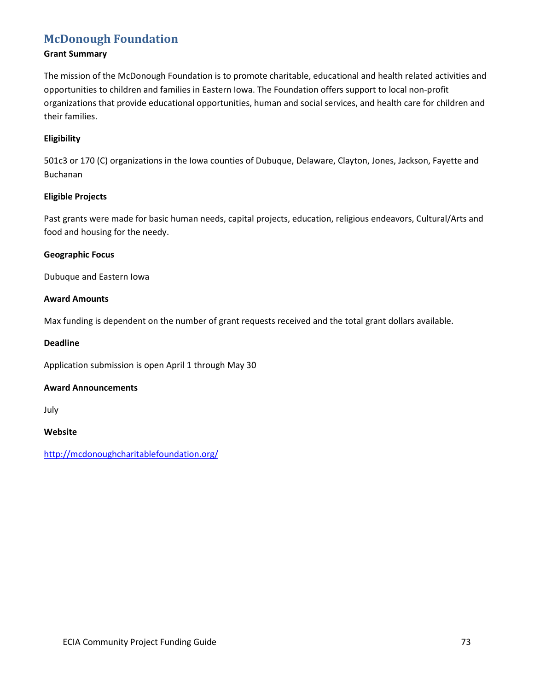### **[McDonough Foundation](http://mcdonoughcharitablefoundation.org/)**

### **Grant Summary**

The mission of the McDonough Foundation is to promote charitable, educational and health related activities and opportunities to children and families in Eastern Iowa. The Foundation offers support to local non-profit organizations that provide educational opportunities, human and social services, and health care for children and their families.

### **Eligibility**

501c3 or 170 (C) organizations in the Iowa counties of Dubuque, Delaware, Clayton, Jones, Jackson, Fayette and Buchanan

### **Eligible Projects**

Past grants were made for basic human needs, capital projects, education, religious endeavors, Cultural/Arts and food and housing for the needy.

### **Geographic Focus**

Dubuque and Eastern Iowa

### **Award Amounts**

Max funding is dependent on the number of grant requests received and the total grant dollars available.

### **Deadline**

Application submission is open April 1 through May 30

### **Award Announcements**

July

### **Website**

<http://mcdonoughcharitablefoundation.org/>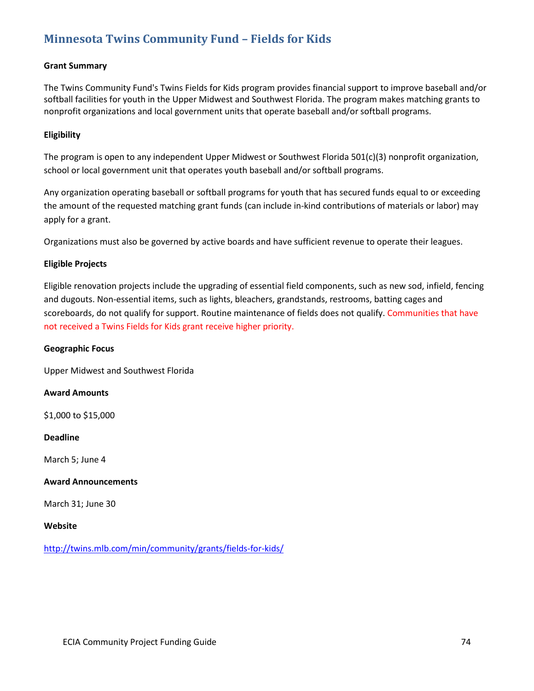# **[Minnesota Twins Community Fund –](http://twins.mlb.com/min/community/grants/fields-for-kids/) Fields for Kids**

### **Grant Summary**

The Twins Community Fund's Twins Fields for Kids program provides financial support to improve baseball and/or softball facilities for youth in the Upper Midwest and Southwest Florida. The program makes matching grants to nonprofit organizations and local government units that operate baseball and/or softball programs.

### **Eligibility**

The program is open to any independent Upper Midwest or Southwest Florida 501(c)(3) nonprofit organization, school or local government unit that operates youth baseball and/or softball programs.

Any organization operating baseball or softball programs for youth that has secured funds equal to or exceeding the amount of the requested matching grant funds (can include in-kind contributions of materials or labor) may apply for a grant.

Organizations must also be governed by active boards and have sufficient revenue to operate their leagues.

### **Eligible Projects**

Eligible renovation projects include the upgrading of essential field components, such as new sod, infield, fencing and dugouts. Non-essential items, such as lights, bleachers, grandstands, restrooms, batting cages and scoreboards, do not qualify for support. Routine maintenance of fields does not qualify. Communities that have not received a Twins Fields for Kids grant receive higher priority.

### **Geographic Focus**

Upper Midwest and Southwest Florida

### **Award Amounts**

\$1,000 to \$15,000

#### **Deadline**

March 5; June 4

### **Award Announcements**

March 31; June 30

#### **Website**

<http://twins.mlb.com/min/community/grants/fields-for-kids/>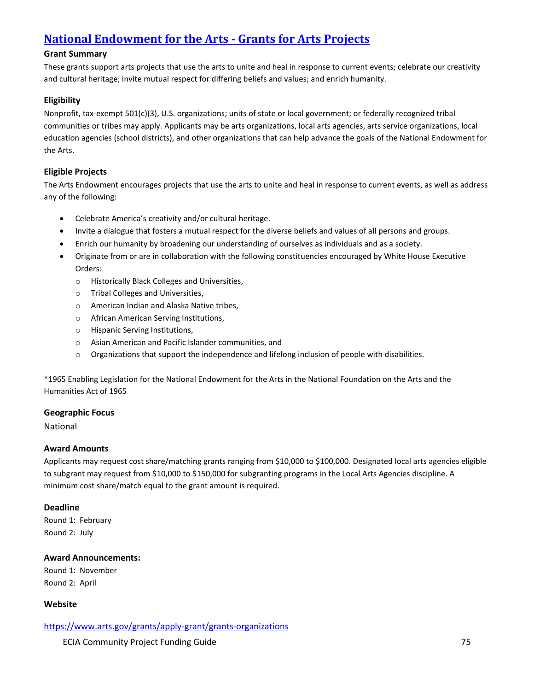# **[National Endowment for the Arts -](https://www.arts.gov/grants/apply-grant/grants-organizations) Grants for Arts Projects**

### **Grant Summary**

These grants support arts projects that use the arts to unite and heal in response to current events; celebrate our creativity and cultural heritage; invite mutual respect for differing beliefs and values; and enrich humanity.

### **Eligibility**

Nonprofit, tax-exempt 501(c)(3), U.S. organizations; units of state or local government; or federally recognized tribal communities or tribes may apply. Applicants may be arts organizations, local arts agencies, arts service organizations, local education agencies (school districts), and other organizations that can help advance the goals of the National Endowment for the Arts.

### **Eligible Projects**

The Arts Endowment encourages projects that use the arts to unite and heal in response to current events, as well as address any of the following:

- Celebrate America's creativity and/or cultural heritage.
- Invite a dialogue that fosters a mutual respect for the diverse beliefs and values of all persons and groups.
- Enrich our humanity by broadening our understanding of ourselves as individuals and as a society.
- Originate from or are in collaboration with the following constituencies encouraged by White House Executive Orders:
	- o Historically Black Colleges and Universities,
	- o Tribal Colleges and Universities,
	- o American Indian and Alaska Native tribes,
	- o African American Serving Institutions,
	- o Hispanic Serving Institutions,
	- o Asian American and Pacific Islander communities, and
	- o Organizations that support the independence and lifelong inclusion of people with disabilities.

\*1965 Enabling Legislation for the National Endowment for the Arts in the National Foundation on the Arts and the Humanities Act of 1965

### **Geographic Focus**

National

### **Award Amounts**

Applicants may request cost share/matching grants ranging from \$10,000 to \$100,000. Designated local arts agencies eligible to subgrant may request from \$10,000 to \$150,000 for subgranting programs in the Local Arts Agencies discipline. A minimum cost share/match equal to the grant amount is required.

### **Deadline**

Round 1: February Round 2: July

### **Award Announcements:**

Round 1: November Round 2: April

### **Website**

<https://www.arts.gov/grants/apply-grant/grants-organizations>

ECIA Community Project Funding Guide 75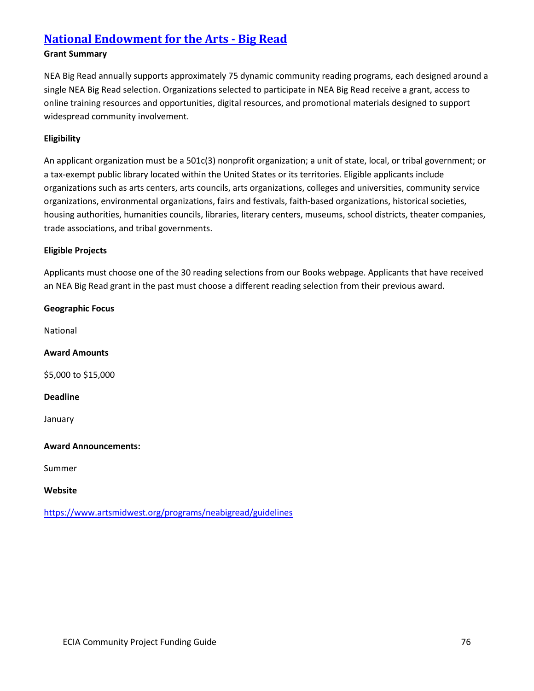### **[National Endowment for the Arts -](https://www.artsmidwest.org/programs/neabigread/guidelines) Big Read**

### **Grant Summary**

NEA Big Read annually supports approximately 75 dynamic community reading programs, each designed around a single NEA Big Read selection. Organizations selected to participate in NEA Big Read receive a grant, access to online training resources and opportunities, digital resources, and promotional materials designed to support widespread community involvement.

### **Eligibility**

An applicant organization must be a 501c(3) nonprofit organization; a unit of state, local, or tribal government; or a tax-exempt public library located within the United States or its territories. Eligible applicants include organizations such as arts centers, arts councils, arts organizations, colleges and universities, community service organizations, environmental organizations, fairs and festivals, faith-based organizations, historical societies, housing authorities, humanities councils, libraries, literary centers, museums, school districts, theater companies, trade associations, and tribal governments.

### **Eligible Projects**

Applicants must choose one of the 30 reading selections from our Books webpage. Applicants that have received an NEA Big Read grant in the past must choose a different reading selection from their previous award.

**Geographic Focus** National **Award Amounts** \$5,000 to \$15,000 **Deadline** January **Award Announcements:** Summer **Website**

<https://www.artsmidwest.org/programs/neabigread/guidelines>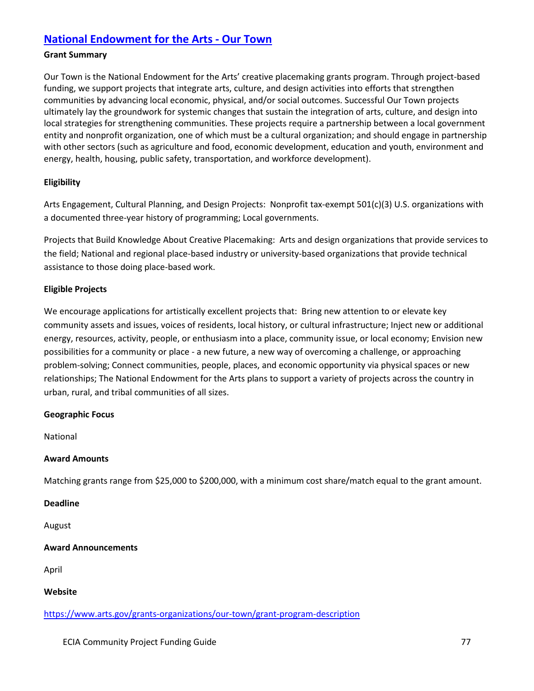### **[National Endowment for the Arts -](https://www.arts.gov/grants-organizations/our-town/grant-program-description) Our Town**

### **Grant Summary**

Our Town is the National Endowment for the Arts' creative placemaking grants program. Through project-based funding, we support projects that integrate arts, culture, and design activities into efforts that strengthen communities by advancing local economic, physical, and/or social outcomes. Successful Our Town projects ultimately lay the groundwork for systemic changes that sustain the integration of arts, culture, and design into local strategies for strengthening communities. These projects require a partnership between a local government entity and nonprofit organization, one of which must be a cultural organization; and should engage in partnership with other sectors (such as agriculture and food, economic development, education and youth, environment and energy, health, housing, public safety, transportation, and workforce development).

### **Eligibility**

Arts Engagement, Cultural Planning, and Design Projects: Nonprofit tax-exempt 501(c)(3) U.S. organizations with a documented three-year history of programming; Local governments.

Projects that Build Knowledge About Creative Placemaking: Arts and design organizations that provide services to the field; National and regional place-based industry or university-based organizations that provide technical assistance to those doing place-based work.

### **Eligible Projects**

We encourage applications for artistically excellent projects that: Bring new attention to or elevate key community assets and issues, voices of residents, local history, or cultural infrastructure; Inject new or additional energy, resources, activity, people, or enthusiasm into a place, community issue, or local economy; Envision new possibilities for a community or place - a new future, a new way of overcoming a challenge, or approaching problem-solving; Connect communities, people, places, and economic opportunity via physical spaces or new relationships; The National Endowment for the Arts plans to support a variety of projects across the country in urban, rural, and tribal communities of all sizes.

### **Geographic Focus**

National

### **Award Amounts**

Matching grants range from \$25,000 to \$200,000, with a minimum cost share/match equal to the grant amount.

### **Deadline**

August

### **Award Announcements**

April

**Website**

<https://www.arts.gov/grants-organizations/our-town/grant-program-description>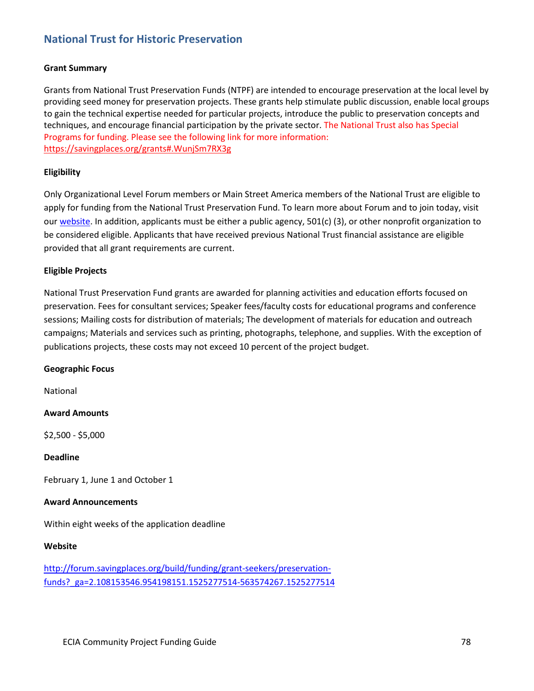### **[National Trust for Historic Preservation](http://forum.savingplaces.org/build/funding/grant-seekers/preservation-funds?_ga=2.108153546.954198151.1525277514-563574267.1525277514)**

### **Grant Summary**

Grants from National Trust Preservation Funds (NTPF) are intended to encourage preservation at the local level by providing seed money for preservation projects. These grants help stimulate public discussion, enable local groups to gain the technical expertise needed for particular projects, introduce the public to preservation concepts and techniques, and encourage financial participation by the private sector. The National Trust also has Special Programs for funding. Please see the following link for more information: <https://savingplaces.org/grants#.WunjSm7RX3g>

### **Eligibility**

Only Organizational Level Forum members or Main Street America members of the National Trust are eligible to apply for funding from the National Trust Preservation Fund. To learn more about Forum and to join today, visit our [website.](http://forum.savingplaces.org/join) In addition, applicants must be either a public agency, 501(c) (3), or other nonprofit organization to be considered eligible. Applicants that have received previous National Trust financial assistance are eligible provided that all grant requirements are current.

### **Eligible Projects**

National Trust Preservation Fund grants are awarded for planning activities and education efforts focused on preservation. Fees for consultant services; Speaker fees/faculty costs for educational programs and conference sessions; Mailing costs for distribution of materials; The development of materials for education and outreach campaigns; Materials and services such as printing, photographs, telephone, and supplies. With the exception of publications projects, these costs may not exceed 10 percent of the project budget.

### **Geographic Focus**

National

### **Award Amounts**

\$2,500 - \$5,000

### **Deadline**

February 1, June 1 and October 1

### **Award Announcements**

Within eight weeks of the application deadline

### **Website**

[http://forum.savingplaces.org/build/funding/grant-seekers/preservation](http://forum.savingplaces.org/build/funding/grant-seekers/preservation-funds?_ga=2.108153546.954198151.1525277514-563574267.1525277514)[funds?\\_ga=2.108153546.954198151.1525277514-563574267.1525277514](http://forum.savingplaces.org/build/funding/grant-seekers/preservation-funds?_ga=2.108153546.954198151.1525277514-563574267.1525277514)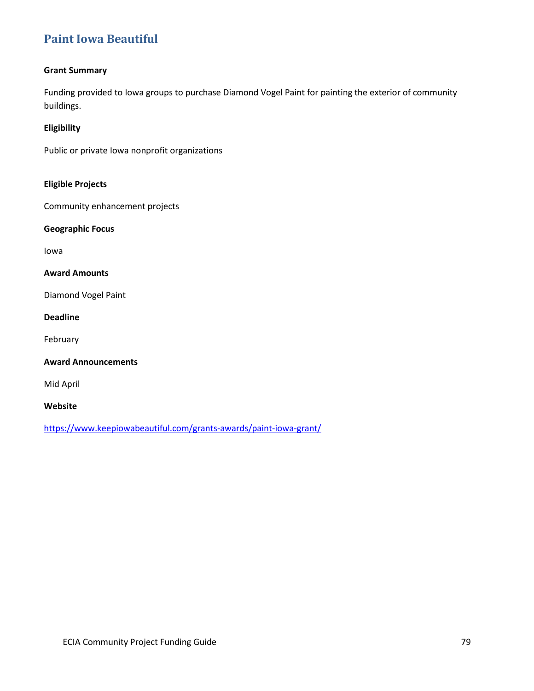# **[Paint Iowa Beautiful](https://www.keepiowabeautiful.com/grants-awards/paint-iowa-grant/)**

### **Grant Summary**

Funding provided to Iowa groups to purchase Diamond Vogel Paint for painting the exterior of community buildings.

### **Eligibility**

Public or private Iowa nonprofit organizations

### **Eligible Projects**

Community enhancement projects

**Geographic Focus**

Iowa

### **Award Amounts**

Diamond Vogel Paint

### **Deadline**

February

### **Award Announcements**

Mid April

**Website**

<https://www.keepiowabeautiful.com/grants-awards/paint-iowa-grant/>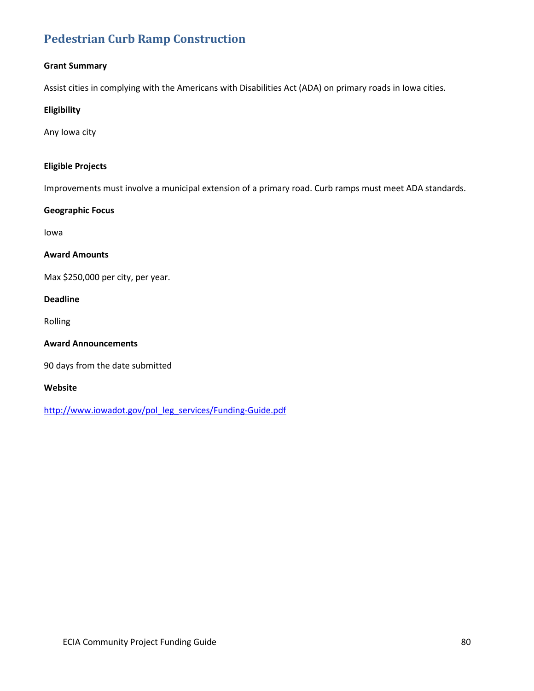# **[Pedestrian Curb Ramp Construction](http://www.iowadot.gov/pol_leg_services/Funding-Guide.pdf)**

### **Grant Summary**

Assist cities in complying with the Americans with Disabilities Act (ADA) on primary roads in Iowa cities.

### **Eligibility**

Any Iowa city

### **Eligible Projects**

Improvements must involve a municipal extension of a primary road. Curb ramps must meet ADA standards.

### **Geographic Focus**

Iowa

### **Award Amounts**

Max \$250,000 per city, per year.

### **Deadline**

Rolling

### **Award Announcements**

90 days from the date submitted

### **Website**

[http://www.iowadot.gov/pol\\_leg\\_services/Funding-Guide.pdf](http://www.iowadot.gov/pol_leg_services/Funding-Guide.pdf)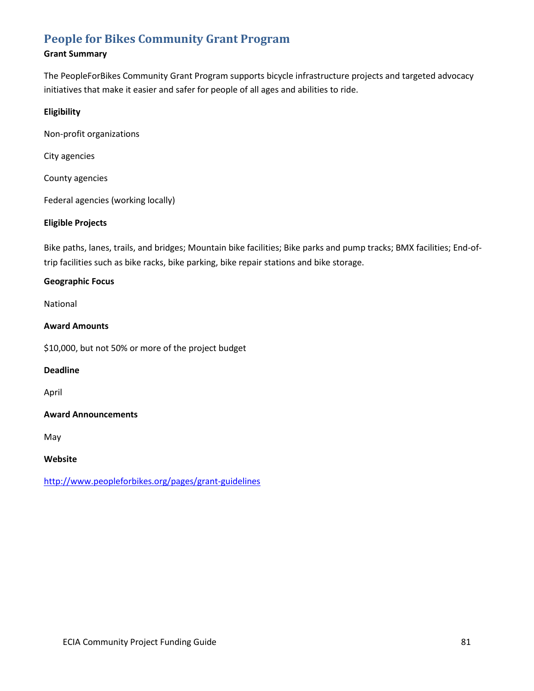# **[People for Bikes Community Grant Program](http://www.peopleforbikes.org/pages/grant-guidelines)**

### **Grant Summary**

The PeopleForBikes Community Grant Program supports bicycle infrastructure projects and targeted advocacy initiatives that make it easier and safer for people of all ages and abilities to ride.

### **Eligibility**

Non-profit organizations

City agencies

County agencies

Federal agencies (working locally)

### **Eligible Projects**

Bike paths, lanes, trails, and bridges; Mountain bike facilities; Bike parks and pump tracks; BMX facilities; End-oftrip facilities such as bike racks, bike parking, bike repair stations and bike storage.

### **Geographic Focus**

National

### **Award Amounts**

\$10,000, but not 50% or more of the project budget

### **Deadline**

April

### **Award Announcements**

May

### **Website**

<http://www.peopleforbikes.org/pages/grant-guidelines>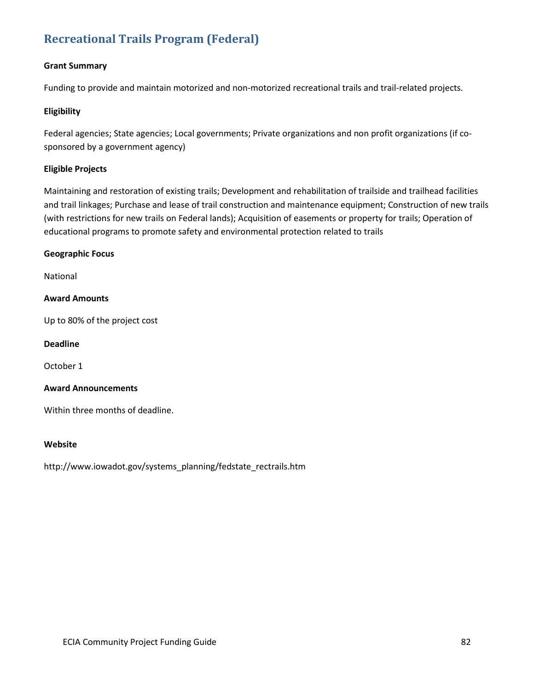# **[Recreational Trails Program \(Federal\)](http://www.iowadot.gov/systems_planning/fedstate_rectrails.htm)**

### **Grant Summary**

Funding to provide and maintain motorized and non-motorized recreational trails and trail-related projects.

### **Eligibility**

Federal agencies; State agencies; Local governments; Private organizations and non profit organizations (if cosponsored by a government agency)

### **Eligible Projects**

Maintaining and restoration of existing trails; Development and rehabilitation of trailside and trailhead facilities and trail linkages; Purchase and lease of trail construction and maintenance equipment; Construction of new trails (with restrictions for new trails on Federal lands); Acquisition of easements or property for trails; Operation of educational programs to promote safety and environmental protection related to trails

### **Geographic Focus**

National

### **Award Amounts**

Up to 80% of the project cost

**Deadline**

October 1

### **Award Announcements**

Within three months of deadline.

### **Website**

http://www.iowadot.gov/systems\_planning/fedstate\_rectrails.htm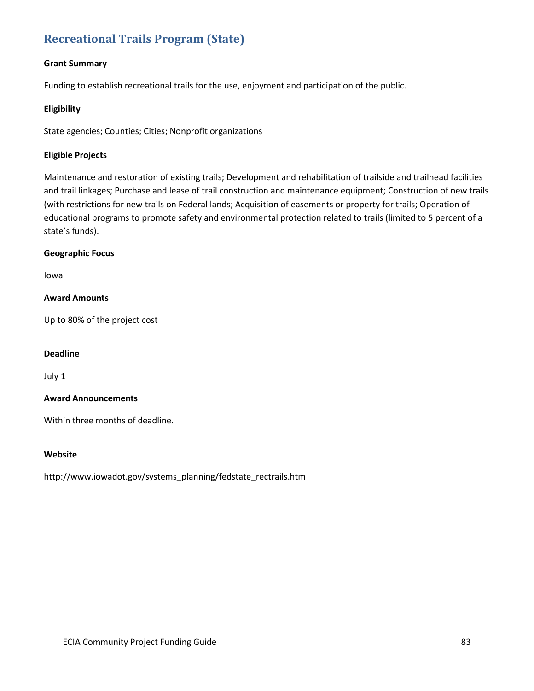# **[Recreational Trails Program \(State\)](http://www.iowadot.gov/systems_planning/fedstate_rectrails.htm)**

### **Grant Summary**

Funding to establish recreational trails for the use, enjoyment and participation of the public.

### **Eligibility**

State agencies; Counties; Cities; Nonprofit organizations

### **Eligible Projects**

Maintenance and restoration of existing trails; Development and rehabilitation of trailside and trailhead facilities and trail linkages; Purchase and lease of trail construction and maintenance equipment; Construction of new trails (with restrictions for new trails on Federal lands; Acquisition of easements or property for trails; Operation of educational programs to promote safety and environmental protection related to trails (limited to 5 percent of a state's funds).

### **Geographic Focus**

Iowa

### **Award Amounts**

Up to 80% of the project cost

### **Deadline**

July 1

### **Award Announcements**

Within three months of deadline.

### **Website**

http://www.iowadot.gov/systems\_planning/fedstate\_rectrails.htm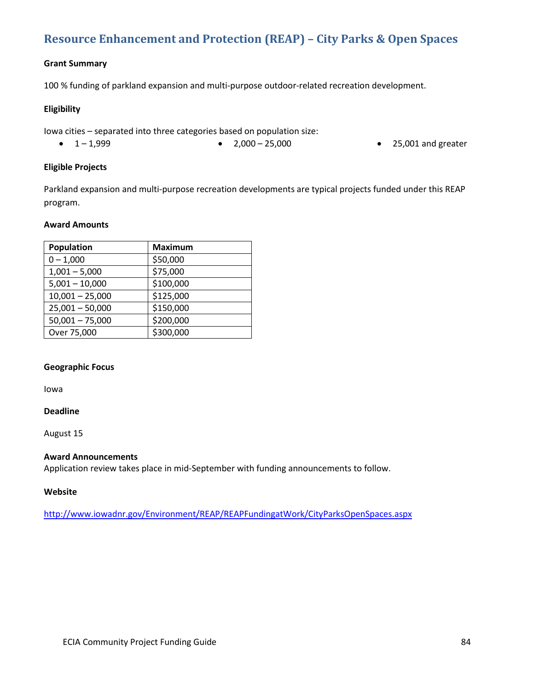# **[Resource Enhancement and Protection \(REAP\) –](http://www.iowadnr.gov/Environment/REAP/REAPFundingatWork/CityParksOpenSpaces.aspx) City Parks & Open Spaces**

### **Grant Summary**

100 % funding of parkland expansion and multi-purpose outdoor-related recreation development.

### **Eligibility**

Iowa cities – separated into three categories based on population size:

- 
- 1-1,999 2,000 25,000 25,001 and greater

### **Eligible Projects**

Parkland expansion and multi-purpose recreation developments are typical projects funded under this REAP program.

### **Award Amounts**

| Population        | <b>Maximum</b> |
|-------------------|----------------|
| $0 - 1,000$       | \$50,000       |
| $1,001 - 5,000$   | \$75,000       |
| $5,001 - 10,000$  | \$100,000      |
| $10,001 - 25,000$ | \$125,000      |
| $25,001 - 50,000$ | \$150,000      |
| $50,001 - 75,000$ | \$200,000      |
| Over 75,000       | \$300,000      |
|                   |                |

### **Geographic Focus**

Iowa

### **Deadline**

August 15

### **Award Announcements**

Application review takes place in mid-September with funding announcements to follow.

### **Website**

<http://www.iowadnr.gov/Environment/REAP/REAPFundingatWork/CityParksOpenSpaces.aspx>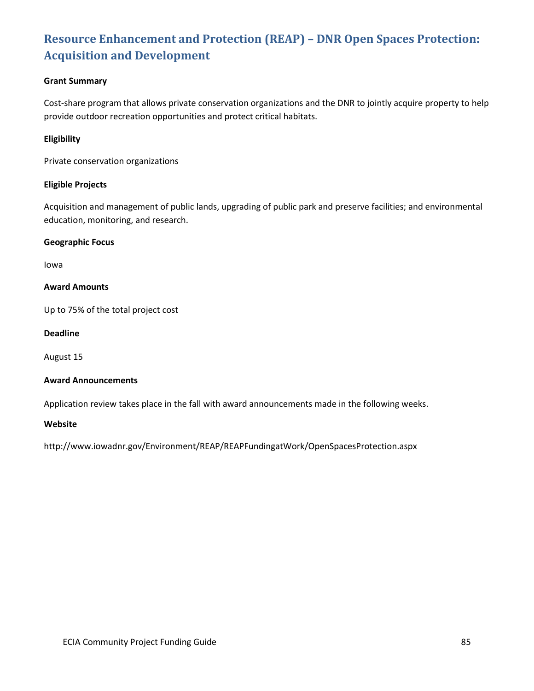# **[Resource Enhancement and Protection \(REAP\) –](http://www.iowadnr.gov/Environment/REAP/REAPFundingatWork/OpenSpacesProtection.aspx) DNR Open Spaces Protection: [Acquisition and Development](http://www.iowadnr.gov/Environment/REAP/REAPFundingatWork/OpenSpacesProtection.aspx)**

### **Grant Summary**

Cost-share program that allows private conservation organizations and the DNR to jointly acquire property to help provide outdoor recreation opportunities and protect critical habitats.

### **Eligibility**

Private conservation organizations

### **Eligible Projects**

Acquisition and management of public lands, upgrading of public park and preserve facilities; and environmental education, monitoring, and research.

### **Geographic Focus**

Iowa

### **Award Amounts**

Up to 75% of the total project cost

### **Deadline**

August 15

### **Award Announcements**

Application review takes place in the fall with award announcements made in the following weeks.

### **Website**

http://www.iowadnr.gov/Environment/REAP/REAPFundingatWork/OpenSpacesProtection.aspx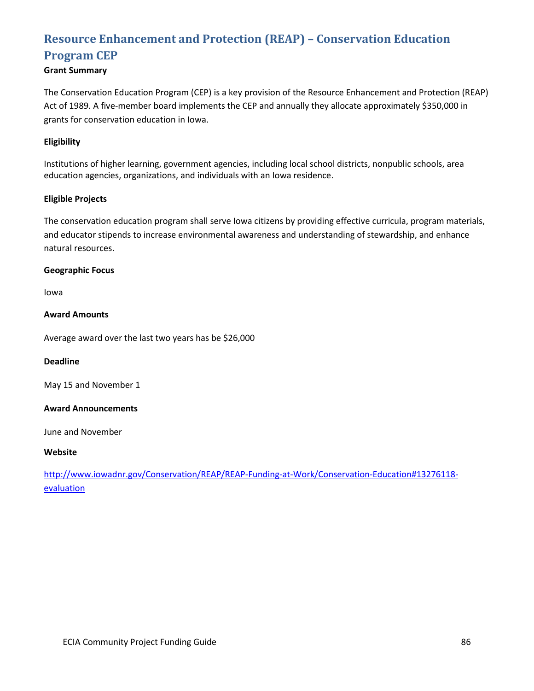# **[Resource Enhancement and Protection \(REAP\) –](http://www.iowadnr.gov/Conservation/REAP/REAP-Funding-at-Work/Conservation-Education#13276118-evaluation) Conservation Education [Program](http://www.iowadnr.gov/Conservation/REAP/REAP-Funding-at-Work/Conservation-Education#13276118-evaluation) CEP**

### **Grant Summary**

The Conservation Education Program (CEP) is a key provision of the Resource Enhancement and Protection (REAP) Act of 1989. A five-member board implements the CEP and annually they allocate approximately \$350,000 in grants for conservation education in Iowa.

### **Eligibility**

Institutions of higher learning, government agencies, including local school districts, nonpublic schools, area education agencies, organizations, and individuals with an Iowa residence.

### **Eligible Projects**

The conservation education program shall serve Iowa citizens by providing effective curricula, program materials, and educator stipends to increase environmental awareness and understanding of stewardship, and enhance natural resources.

### **Geographic Focus**

Iowa

### **Award Amounts**

Average award over the last two years has be \$26,000

### **Deadline**

May 15 and November 1

### **Award Announcements**

June and November

### **Website**

[http://www.iowadnr.gov/Conservation/REAP/REAP-Funding-at-Work/Conservation-Education#13276118](http://www.iowadnr.gov/Conservation/REAP/REAP-Funding-at-Work/Conservation-Education#13276118-evaluation) **[evaluation](http://www.iowadnr.gov/Conservation/REAP/REAP-Funding-at-Work/Conservation-Education#13276118-evaluation)**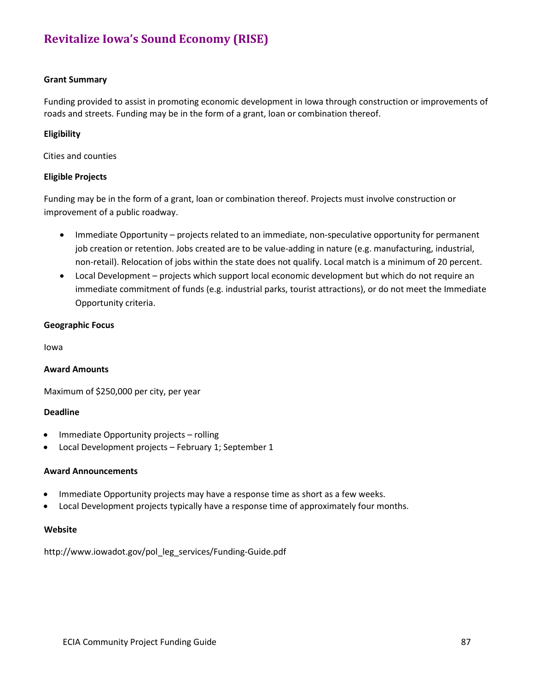# **[Revitalize Iowa's Sound Economy \(RISE\)](http://www.iowadot.gov/pol_leg_services/Funding-Guide.pdf)**

### **Grant Summary**

Funding provided to assist in promoting economic development in Iowa through construction or improvements of roads and streets. Funding may be in the form of a grant, loan or combination thereof.

### **Eligibility**

Cities and counties

### **Eligible Projects**

Funding may be in the form of a grant, loan or combination thereof. Projects must involve construction or improvement of a public roadway.

- Immediate Opportunity projects related to an immediate, non-speculative opportunity for permanent job creation or retention. Jobs created are to be value-adding in nature (e.g. manufacturing, industrial, non-retail). Relocation of jobs within the state does not qualify. Local match is a minimum of 20 percent.
- Local Development projects which support local economic development but which do not require an immediate commitment of funds (e.g. industrial parks, tourist attractions), or do not meet the Immediate Opportunity criteria.

### **Geographic Focus**

Iowa

### **Award Amounts**

Maximum of \$250,000 per city, per year

### **Deadline**

- Immediate Opportunity projects rolling
- Local Development projects February 1; September 1

### **Award Announcements**

- Immediate Opportunity projects may have a response time as short as a few weeks.
- Local Development projects typically have a response time of approximately four months.

### **Website**

http://www.iowadot.gov/pol\_leg\_services/Funding-Guide.pdf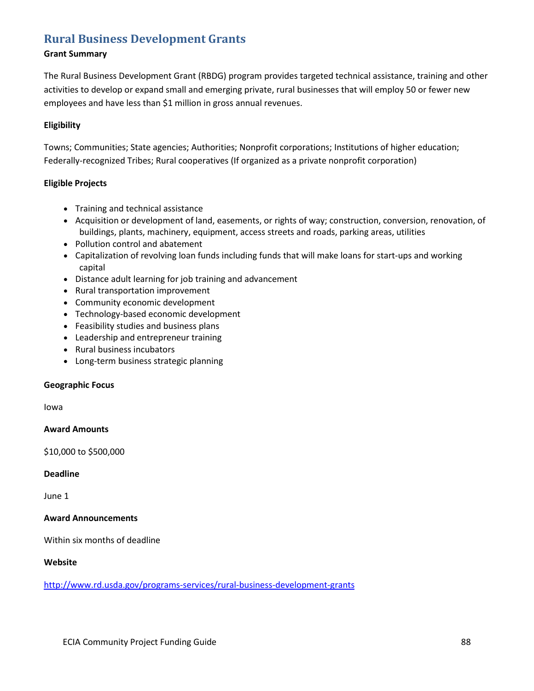### **[Rural Business Development Grants](http://www.rd.usda.gov/programs-services/rural-business-development-grants)**

### **Grant Summary**

The Rural Business Development Grant (RBDG) program provides targeted technical assistance, training and other activities to develop or expand small and emerging private, rural businesses that will employ 50 or fewer new employees and have less than \$1 million in gross annual revenues.

### **Eligibility**

Towns; Communities; State agencies; Authorities; Nonprofit corporations; Institutions of higher education; Federally-recognized Tribes; Rural cooperatives (If organized as a private nonprofit corporation)

### **Eligible Projects**

- Training and technical assistance
- Acquisition or development of land, easements, or rights of way; construction, conversion, renovation, of buildings, plants, machinery, equipment, access streets and roads, parking areas, utilities
- Pollution control and abatement
- Capitalization of revolving loan funds including funds that will make loans for start-ups and working capital
- Distance adult learning for job training and advancement
- Rural transportation improvement
- Community economic development
- Technology-based economic development
- Feasibility studies and business plans
- Leadership and entrepreneur training
- Rural business incubators
- Long-term business strategic planning

### **Geographic Focus**

Iowa

### **Award Amounts**

\$10,000 to \$500,000

### **Deadline**

June 1

### **Award Announcements**

Within six months of deadline

### **Website**

<http://www.rd.usda.gov/programs-services/rural-business-development-grants>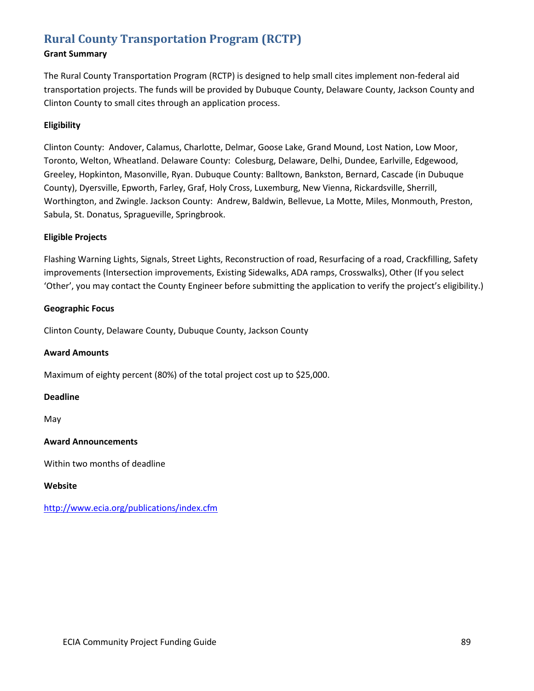# **[Rural County Transportation Program \(RCTP\)](http://www.ecia.org/publications/index.cfm)**

### **Grant Summary**

The Rural County Transportation Program (RCTP) is designed to help small cites implement non-federal aid transportation projects. The funds will be provided by Dubuque County, Delaware County, Jackson County and Clinton County to small cites through an application process.

### **Eligibility**

Clinton County: Andover, Calamus, Charlotte, Delmar, Goose Lake, Grand Mound, Lost Nation, Low Moor, Toronto, Welton, Wheatland. Delaware County: Colesburg, Delaware, Delhi, Dundee, Earlville, Edgewood, Greeley, Hopkinton, Masonville, Ryan. Dubuque County: Balltown, Bankston, Bernard, Cascade (in Dubuque County), Dyersville, Epworth, Farley, Graf, Holy Cross, Luxemburg, New Vienna, Rickardsville, Sherrill, Worthington, and Zwingle. Jackson County: Andrew, Baldwin, Bellevue, La Motte, Miles, Monmouth, Preston, Sabula, St. Donatus, Spragueville, Springbrook.

### **Eligible Projects**

Flashing Warning Lights, Signals, Street Lights, Reconstruction of road, Resurfacing of a road, Crackfilling, Safety improvements (Intersection improvements, Existing Sidewalks, ADA ramps, Crosswalks), Other (If you select 'Other', you may contact the County Engineer before submitting the application to verify the project's eligibility.)

### **Geographic Focus**

Clinton County, Delaware County, Dubuque County, Jackson County

### **Award Amounts**

Maximum of eighty percent (80%) of the total project cost up to \$25,000.

### **Deadline**

May

### **Award Announcements**

Within two months of deadline

### **Website**

<http://www.ecia.org/publications/index.cfm>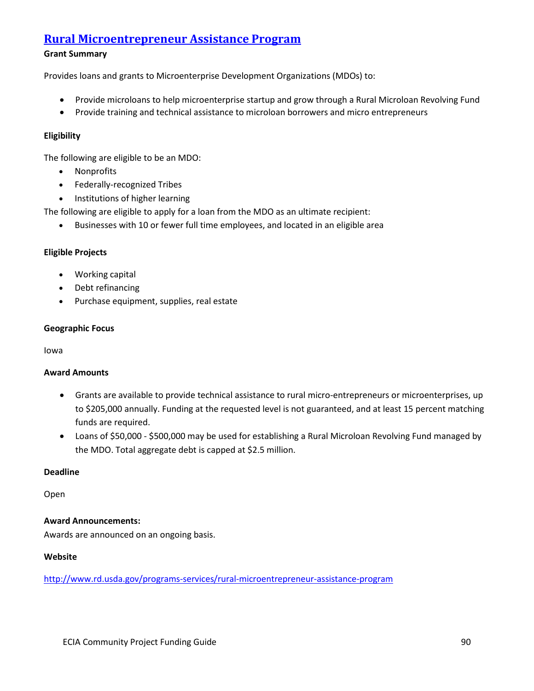### **[Rural Microentrepreneur Assistance Program](https://www.rd.usda.gov/programs-services/rural-microentrepreneur-assistance-program)**

### **Grant Summary**

Provides loans and grants to Microenterprise Development Organizations (MDOs) to:

- Provide microloans to help microenterprise startup and grow through a Rural Microloan Revolving Fund
- Provide training and technical assistance to microloan borrowers and micro entrepreneurs

### **Eligibility**

The following are eligible to be an MDO:

- Nonprofits
- Federally-recognized Tribes
- Institutions of higher learning

The following are eligible to apply for a loan from the MDO as an ultimate recipient:

• Businesses with 10 or fewer full time employees, and located in an eligible area

### **Eligible Projects**

- Working capital
- Debt refinancing
- Purchase equipment, supplies, real estate

### **Geographic Focus**

Iowa

### **Award Amounts**

- Grants are available to provide technical assistance to rural micro-entrepreneurs or microenterprises, up to \$205,000 annually. Funding at the requested level is not guaranteed, and at least 15 percent matching funds are required.
- Loans of \$50,000 \$500,000 may be used for establishing a Rural Microloan Revolving Fund managed by the MDO. Total aggregate debt is capped at \$2.5 million.

### **Deadline**

Open

### **Award Announcements:**

Awards are announced on an ongoing basis.

### **Website**

<http://www.rd.usda.gov/programs-services/rural-microentrepreneur-assistance-program>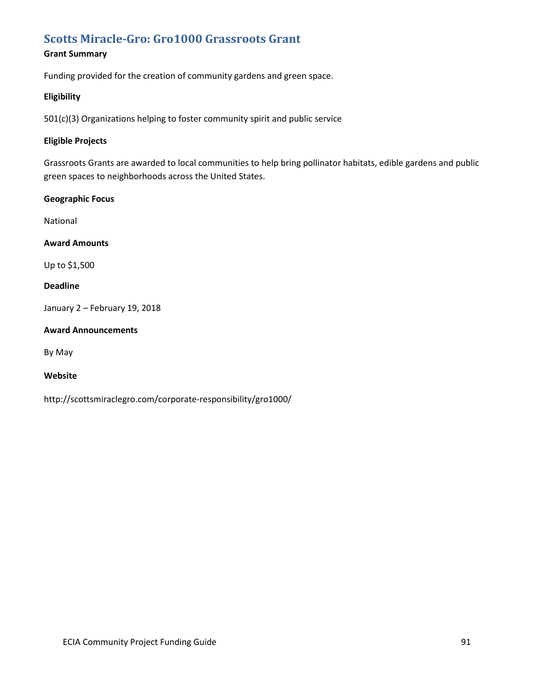### **[Scotts Miracle-Gro: Gro1000 Grassroots Grant](http://scottsmiraclegro.com/corporate-responsibility/gro1000/)**

### **Grant Summary**

Funding provided for the creation of community gardens and green space.

### **Eligibility**

501(c)(3) Organizations helping to foster community spirit and public service

### **Eligible Projects**

Grassroots Grants are awarded to local communities to help bring pollinator habitats, edible gardens and public green spaces to neighborhoods across the United States.

### **Geographic Focus**

National

### **Award Amounts**

Up to \$1,500

### **Deadline**

January 2 – February 19, 2018

### **Award Announcements**

By May

### **Website**

http://scottsmiraclegro.com/corporate-responsibility/gro1000/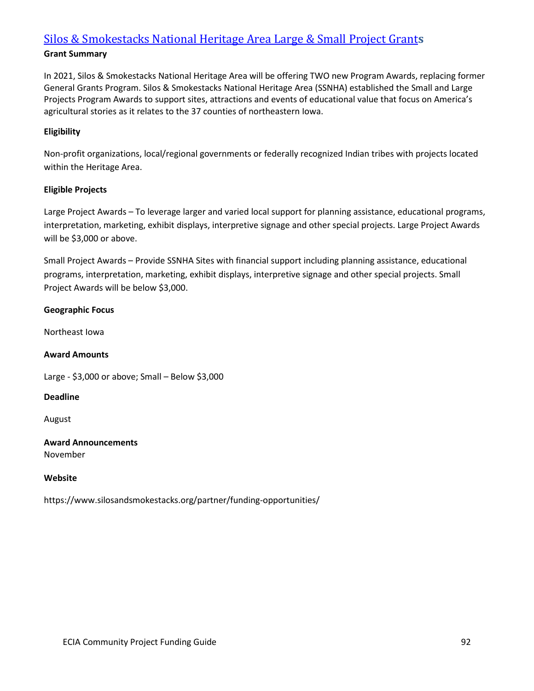### [Silos & Smokestacks National Heritage Area Large & Small Project](https://www.silosandsmokestacks.org/partner/funding-opportunities/) Grant**s**

### **Grant Summary**

In 2021, Silos & Smokestacks National Heritage Area will be offering TWO new Program Awards, replacing former General Grants Program. Silos & Smokestacks National Heritage Area (SSNHA) established the Small and Large Projects Program Awards to support sites, attractions and events of educational value that focus on America's agricultural stories as it relates to the 37 counties of northeastern Iowa.

### **Eligibility**

Non-profit organizations, local/regional governments or federally recognized Indian tribes with projects located within the Heritage Area.

### **Eligible Projects**

Large Project Awards – To leverage larger and varied local support for planning assistance, educational programs, interpretation, marketing, exhibit displays, interpretive signage and other special projects. Large Project Awards will be \$3,000 or above.

Small Project Awards – Provide SSNHA Sites with financial support including planning assistance, educational programs, interpretation, marketing, exhibit displays, interpretive signage and other special projects. Small Project Awards will be below \$3,000.

### **Geographic Focus**

Northeast Iowa

### **Award Amounts**

Large - \$3,000 or above; Small – Below \$3,000

### **Deadline**

August

### **Award Announcements** November

### **Website**

https://www.silosandsmokestacks.org/partner/funding-opportunities/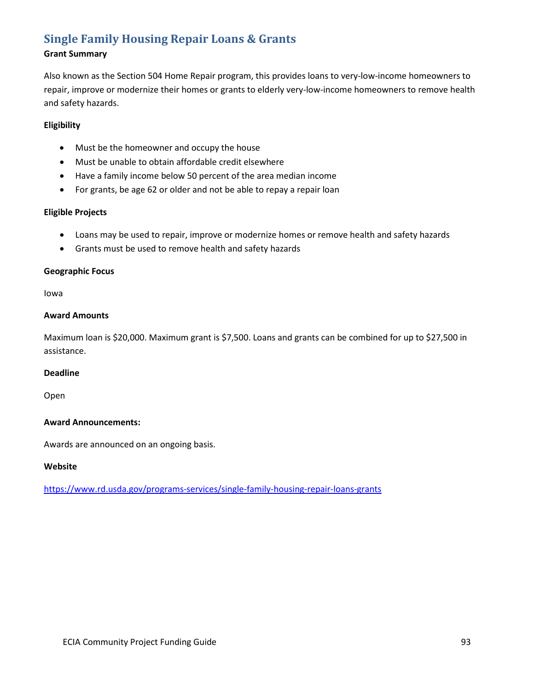# **[Single Family Housing Repair Loans & Grants](https://www.rd.usda.gov/programs-services/single-family-housing-repair-loans-grants)**

### **Grant Summary**

Also known as the Section 504 Home Repair program, this provides loans to very-low-income homeowners to repair, improve or modernize their homes or grants to elderly very-low-income homeowners to remove health and safety hazards.

### **Eligibility**

- Must be the homeowner and occupy the house
- Must be unable to obtain affordable credit elsewhere
- Have a family income below 50 percent of the area median income
- For grants, be age 62 or older and not be able to repay a repair loan

### **Eligible Projects**

- Loans may be used to repair, improve or modernize homes or remove health and safety hazards
- Grants must be used to remove health and safety hazards

### **Geographic Focus**

Iowa

### **Award Amounts**

Maximum loan is \$20,000. Maximum grant is \$7,500. Loans and grants can be combined for up to \$27,500 in assistance.

### **Deadline**

Open

### **Award Announcements:**

Awards are announced on an ongoing basis.

### **Website**

<https://www.rd.usda.gov/programs-services/single-family-housing-repair-loans-grants>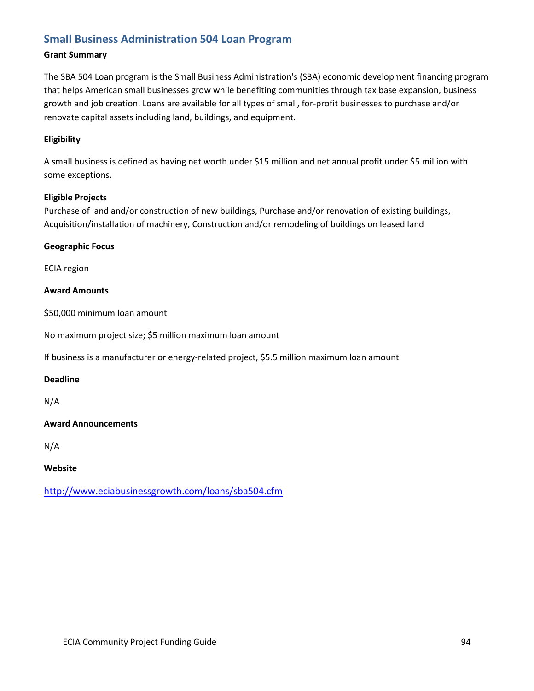### **[Small Business Administration 504 Loan Program](http://www.eciabusinessgrowth.com/loans/sba504.cfm)**

### **Grant Summary**

The SBA 504 Loan program is the Small Business Administration's (SBA) economic development financing program that helps American small businesses grow while benefiting communities through tax base expansion, business growth and job creation. Loans are available for all types of small, for-profit businesses to purchase and/or renovate capital assets including land, buildings, and equipment.

### **Eligibility**

A small business is defined as having net worth under \$15 million and net annual profit under \$5 million with some exceptions.

### **Eligible Projects**

Purchase of land and/or construction of new buildings, Purchase and/or renovation of existing buildings, Acquisition/installation of machinery, Construction and/or remodeling of buildings on leased land

### **Geographic Focus**

ECIA region

### **Award Amounts**

\$50,000 minimum loan amount

No maximum project size; \$5 million maximum loan amount

If business is a manufacturer or energy-related project, \$5.5 million maximum loan amount

### **Deadline**

N/A

### **Award Announcements**

N/A

### **Website**

<http://www.eciabusinessgrowth.com/loans/sba504.cfm>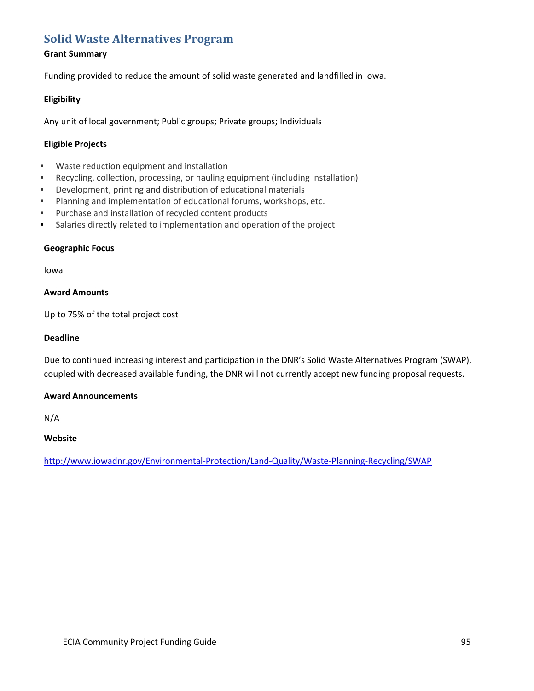### **[Solid Waste Alternatives Program](http://www.iowadnr.gov/Environment/LandStewardship/WasteManagement/SWAP.aspx)**

### **Grant Summary**

Funding provided to reduce the amount of solid waste generated and landfilled in Iowa.

### **Eligibility**

Any unit of local government; Public groups; Private groups; Individuals

### **Eligible Projects**

- Waste reduction equipment and installation
- Recycling, collection, processing, or hauling equipment (including installation)
- Development, printing and distribution of educational materials
- **Planning and implementation of educational forums, workshops, etc.**
- Purchase and installation of recycled content products
- Salaries directly related to implementation and operation of the project

### **Geographic Focus**

Iowa

### **Award Amounts**

Up to 75% of the total project cost

### **Deadline**

Due to continued increasing interest and participation in the DNR's Solid Waste Alternatives Program (SWAP), coupled with decreased available funding, the DNR will not currently accept new funding proposal requests.

### **Award Announcements**

N/A

### **Website**

<http://www.iowadnr.gov/Environmental-Protection/Land-Quality/Waste-Planning-Recycling/SWAP>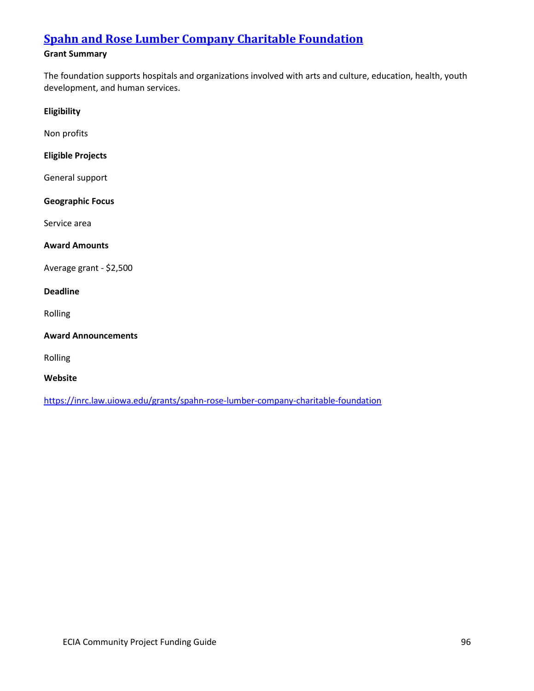# **Spahn and Rose [Lumber Company Charitable Foundation](https://inrc.law.uiowa.edu/grants/spahn-rose-lumber-company-charitable-foundation)**

### **Grant Summary**

The foundation supports hospitals and organizations involved with arts and culture, education, health, youth development, and human services.

### **Eligibility**

Non profits

### **Eligible Projects**

General support

### **Geographic Focus**

Service area

### **Award Amounts**

Average grant - \$2,500

### **Deadline**

Rolling

### **Award Announcements**

Rolling

### **Website**

<https://inrc.law.uiowa.edu/grants/spahn-rose-lumber-company-charitable-foundation>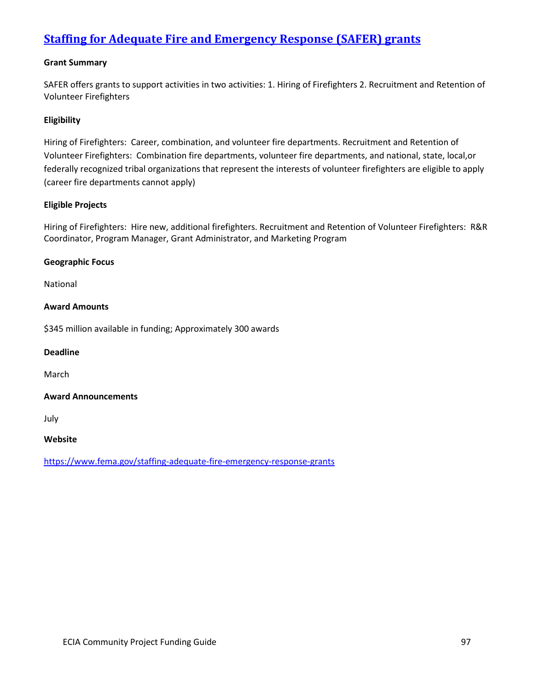# **Staffing for [Adequate](https://www.fema.gov/staffing-adequate-fire-emergency-response-grants) Fire and Emergency Response (SAFER) grants**

### **Grant Summary**

SAFER offers grants to support activities in two activities: 1. Hiring of Firefighters 2. Recruitment and Retention of Volunteer Firefighters

### **Eligibility**

Hiring of Firefighters: Career, combination, and volunteer fire departments. Recruitment and Retention of Volunteer Firefighters: Combination fire departments, volunteer fire departments, and national, state, local,or federally recognized tribal organizations that represent the interests of volunteer firefighters are eligible to apply (career fire departments cannot apply)

### **Eligible Projects**

Hiring of Firefighters: Hire new, additional firefighters. Recruitment and Retention of Volunteer Firefighters: R&R Coordinator, Program Manager, Grant Administrator, and Marketing Program

### **Geographic Focus**

National

### **Award Amounts**

\$345 million available in funding; Approximately 300 awards

### **Deadline**

March

### **Award Announcements**

July

### **Website**

https://www.fema.gov/staffing-adequate-fire-emergency-response-grants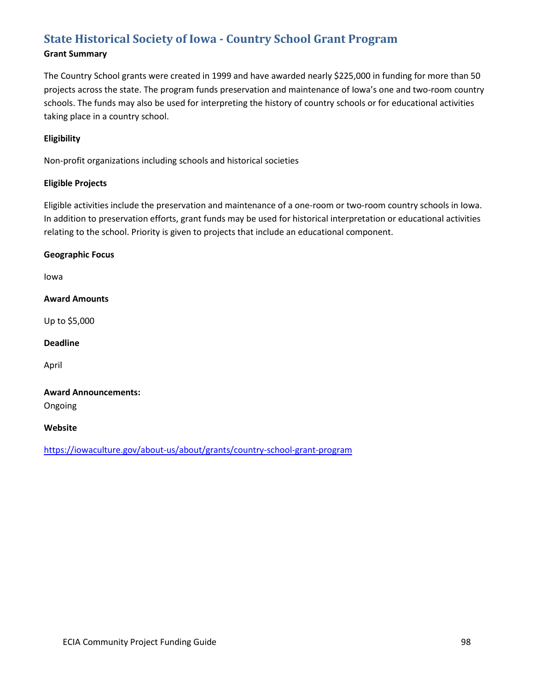# **[State Historical Society of Iowa -](https://iowaculture.gov/about-us/about/grants/country-school-grant-program) Country School Grant Program**

### **Grant Summary**

The Country School grants were created in 1999 and have awarded nearly \$225,000 in funding for more than 50 projects across the state. The program funds preservation and maintenance of Iowa's one and two-room country schools. The funds may also be used for interpreting the history of country schools or for educational activities taking place in a country school.

### **Eligibility**

Non-profit organizations including schools and historical societies

### **Eligible Projects**

Eligible activities include the preservation and maintenance of a one-room or two-room country schools in Iowa. In addition to preservation efforts, grant funds may be used for historical interpretation or educational activities relating to the school. Priority is given to projects that include an educational component.

### **Geographic Focus**

Iowa

### **Award Amounts**

Up to \$5,000

### **Deadline**

April

### **Award Announcements:**

Ongoing

### **Website**

<https://iowaculture.gov/about-us/about/grants/country-school-grant-program>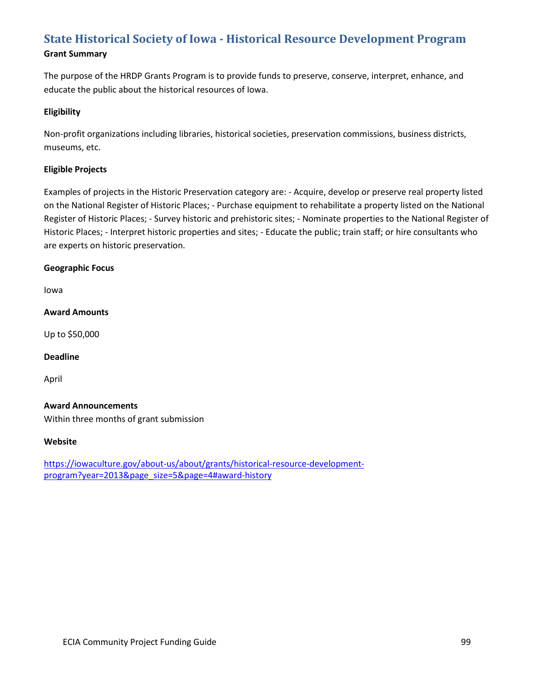# **State Historical Society of Iowa - [Historical Resource Development Program](https://iowaculture.gov/about-us/about/grants/historical-resource-development-program?year=2013&page_size=5&page=4#award-history)**

**Grant Summary**

The purpose of the HRDP Grants Program is to provide funds to preserve, conserve, interpret, enhance, and educate the public about the historical resources of Iowa.

### **Eligibility**

Non-profit organizations including libraries, historical societies, preservation commissions, business districts, museums, etc.

### **Eligible Projects**

Examples of projects in the Historic Preservation category are: - Acquire, develop or preserve real property listed on the National Register of Historic Places; - Purchase equipment to rehabilitate a property listed on the National Register of Historic Places; - Survey historic and prehistoric sites; - Nominate properties to the National Register of Historic Places; - Interpret historic properties and sites; - Educate the public; train staff; or hire consultants who are experts on historic preservation.

### **Geographic Focus**

Iowa

### **Award Amounts**

Up to \$50,000

### **Deadline**

April

### **Award Announcements**

Within three months of grant submission

### **Website**

[https://iowaculture.gov/about-us/about/grants/historical-resource-development](https://iowaculture.gov/about-us/about/grants/historical-resource-development-program?year=2013&page_size=5&page=4#award-history)[program?year=2013&page\\_size=5&page=4#award-history](https://iowaculture.gov/about-us/about/grants/historical-resource-development-program?year=2013&page_size=5&page=4#award-history)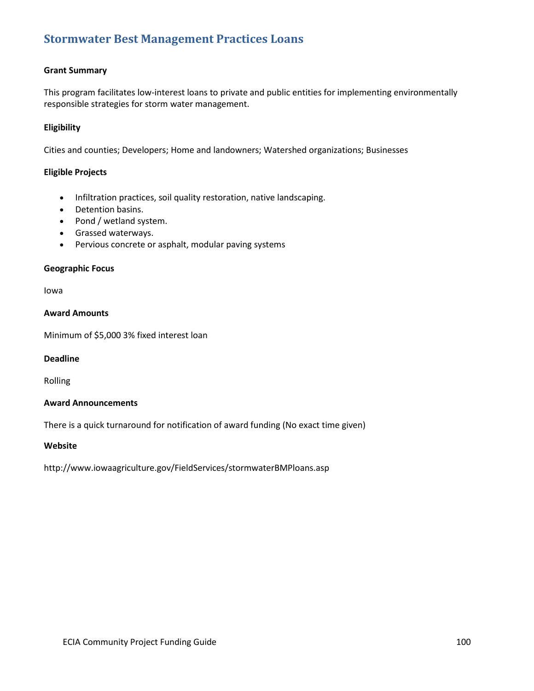### **[Stormwater Best Management Practices Loans](http://www.iowaagriculture.gov/FieldServices/stormwaterBMPloans.asp)**

### **Grant Summary**

This program facilitates low-interest loans to private and public entities for implementing environmentally responsible strategies for storm water management.

### **Eligibility**

Cities and counties; Developers; Home and landowners; Watershed organizations; Businesses

### **Eligible Projects**

- Infiltration practices, soil quality restoration, native landscaping.
- Detention basins.
- Pond / wetland system.
- Grassed waterways.
- Pervious concrete or asphalt, modular paving systems

### **Geographic Focus**

Iowa

### **Award Amounts**

Minimum of \$5,000 3% fixed interest loan

### **Deadline**

Rolling

### **Award Announcements**

There is a quick turnaround for notification of award funding (No exact time given)

### **Website**

http://www.iowaagriculture.gov/FieldServices/stormwaterBMPloans.asp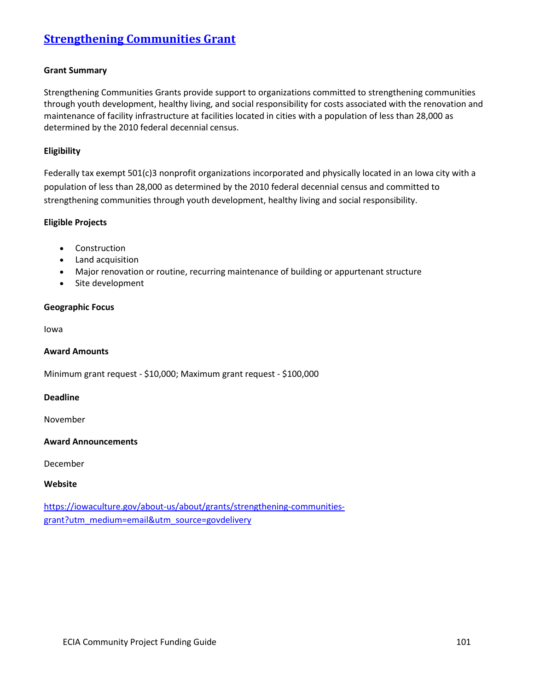# **[Strengthening Communities Grant](https://iowaculture.gov/about-us/about/grants/strengthening-communities-grant?utm_medium=email&utm_source=govdelivery)**

### **Grant Summary**

Strengthening Communities Grants provide support to organizations committed to strengthening communities through youth development, healthy living, and social responsibility for costs associated with the renovation and maintenance of facility infrastructure at facilities located in cities with a population of less than 28,000 as determined by the 2010 federal decennial census.

### **Eligibility**

Federally tax exempt 501(c)3 nonprofit organizations incorporated and physically located in an Iowa city with a population of less than 28,000 as determined by the 2010 federal decennial census and committed to strengthening communities through youth development, healthy living and social responsibility.

### **Eligible Projects**

- Construction
- Land acquisition
- Major renovation or routine, recurring maintenance of building or appurtenant structure
- Site development

### **Geographic Focus**

Iowa

### **Award Amounts**

Minimum grant request - \$10,000; Maximum grant request - \$100,000

### **Deadline**

November

### **Award Announcements**

December

### **Website**

[https://iowaculture.gov/about-us/about/grants/strengthening-communities](https://iowaculture.gov/about-us/about/grants/strengthening-communities-grant?utm_medium=email&utm_source=govdelivery)[grant?utm\\_medium=email&utm\\_source=govdelivery](https://iowaculture.gov/about-us/about/grants/strengthening-communities-grant?utm_medium=email&utm_source=govdelivery)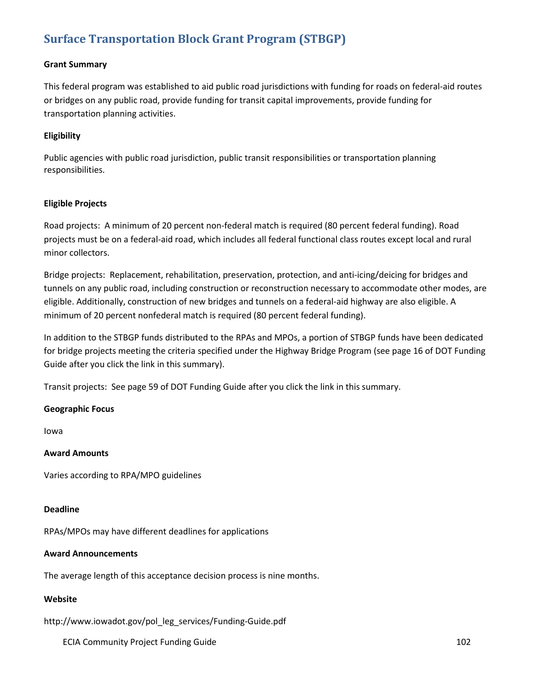# **[Surface Transportation Block Grant](http://www.iowadot.gov/pol_leg_services/Funding-Guide.pdf) Program (STBGP)**

### **Grant Summary**

This federal program was established to aid public road jurisdictions with funding for roads on federal-aid routes or bridges on any public road, provide funding for transit capital improvements, provide funding for transportation planning activities.

### **Eligibility**

Public agencies with public road jurisdiction, public transit responsibilities or transportation planning responsibilities.

### **Eligible Projects**

Road projects: A minimum of 20 percent non-federal match is required (80 percent federal funding). Road projects must be on a federal-aid road, which includes all federal functional class routes except local and rural minor collectors.

Bridge projects: Replacement, rehabilitation, preservation, protection, and anti-icing/deicing for bridges and tunnels on any public road, including construction or reconstruction necessary to accommodate other modes, are eligible. Additionally, construction of new bridges and tunnels on a federal-aid highway are also eligible. A minimum of 20 percent nonfederal match is required (80 percent federal funding).

In addition to the STBGP funds distributed to the RPAs and MPOs, a portion of STBGP funds have been dedicated for bridge projects meeting the criteria specified under the Highway Bridge Program (see page 16 of DOT Funding Guide after you click the link in this summary).

Transit projects: See page 59 of DOT Funding Guide after you click the link in this summary.

### **Geographic Focus**

Iowa

### **Award Amounts**

Varies according to RPA/MPO guidelines

### **Deadline**

RPAs/MPOs may have different deadlines for applications

### **Award Announcements**

The average length of this acceptance decision process is nine months.

### **Website**

http://www.iowadot.gov/pol\_leg\_services/Funding-Guide.pdf

ECIA Community Project Funding Guide 102 and 102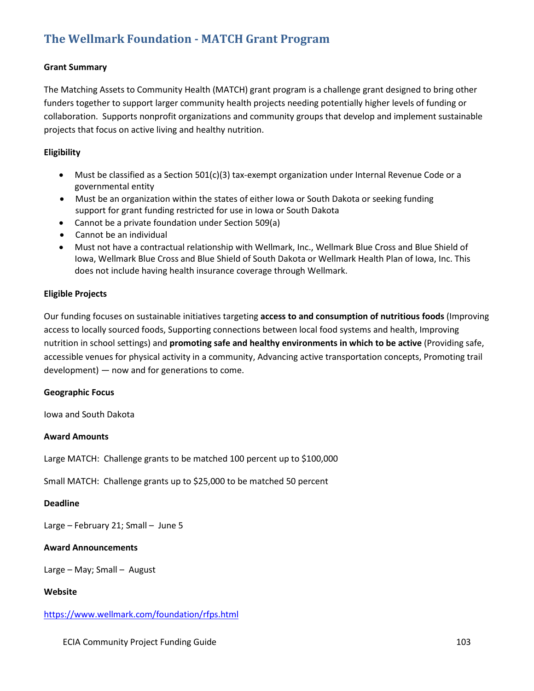# **[The Wellmark Foundation -](https://www.wellmark.com/foundation/rfps.html) MATCH Grant Program**

### **Grant Summary**

The Matching Assets to Community Health (MATCH) grant program is a challenge grant designed to bring other funders together to support larger community health projects needing potentially higher levels of funding or collaboration. Supports nonprofit organizations and community groups that develop and implement sustainable projects that focus on active living and healthy nutrition.

### **Eligibility**

- Must be classified as a Section 501(c)(3) tax-exempt organization under Internal Revenue Code or a governmental entity
- Must be an organization within the states of either Iowa or South Dakota or seeking funding support for grant funding restricted for use in Iowa or South Dakota
- Cannot be a private foundation under Section 509(a)
- Cannot be an individual
- Must not have a contractual relationship with Wellmark, Inc., Wellmark Blue Cross and Blue Shield of Iowa, Wellmark Blue Cross and Blue Shield of South Dakota or Wellmark Health Plan of Iowa, Inc. This does not include having health insurance coverage through Wellmark.

### **Eligible Projects**

Our funding focuses on sustainable initiatives targeting **access to and consumption of nutritious foods** (Improving access to locally sourced foods, Supporting connections between local food systems and health, Improving nutrition in school settings) and **promoting safe and healthy environments in which to be active** (Providing safe, accessible venues for physical activity in a community, Advancing active transportation concepts, Promoting trail development) — now and for generations to come.

### **Geographic Focus**

Iowa and South Dakota

### **Award Amounts**

Large MATCH: Challenge grants to be matched 100 percent up to \$100,000

Small MATCH: Challenge grants up to \$25,000 to be matched 50 percent

### **Deadline**

Large – February 21; Small – June 5

### **Award Announcements**

Large – May; Small – August

### **Website**

<https://www.wellmark.com/foundation/rfps.html>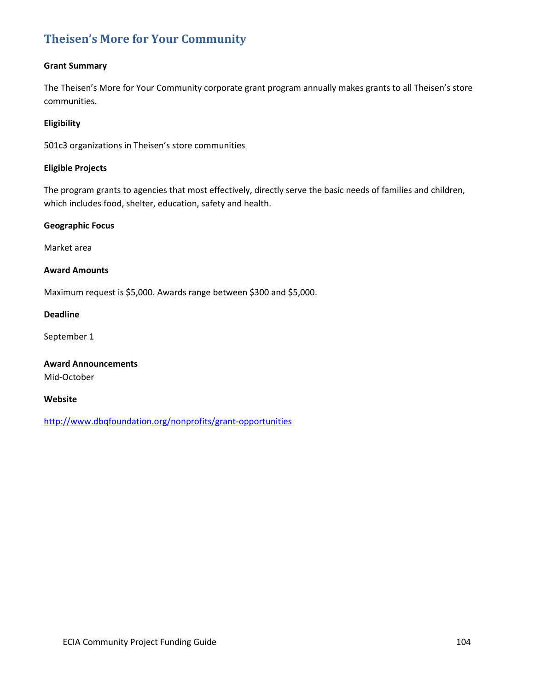# **[Theisen's More for Your Community](http://www.dbqfoundation.org/nonprofits/grant-opportunities)**

### **Grant Summary**

The Theisen's More for Your Community corporate grant program annually makes grants to all Theisen's store communities.

### **Eligibility**

501c3 organizations in Theisen's store communities

### **Eligible Projects**

The program grants to agencies that most effectively, directly serve the basic needs of families and children, which includes food, shelter, education, safety and health.

### **Geographic Focus**

Market area

### **Award Amounts**

Maximum request is \$5,000. Awards range between \$300 and \$5,000.

### **Deadline**

September 1

**Award Announcements** Mid-October

### **Website**

<http://www.dbqfoundation.org/nonprofits/grant-opportunities>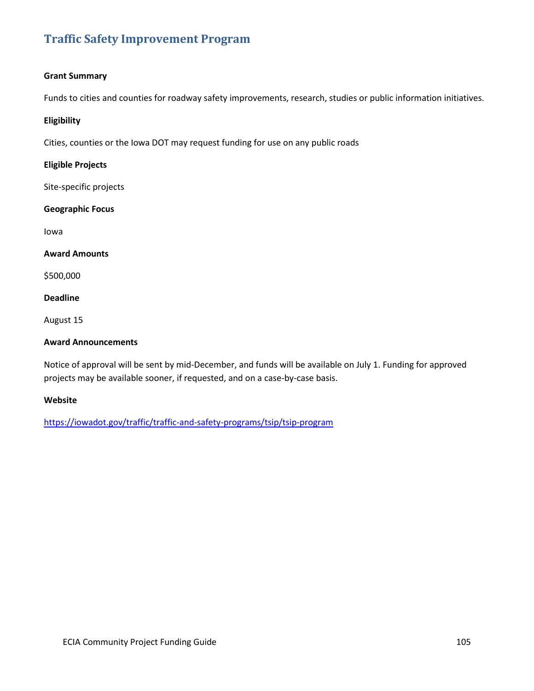# **[Traffic Safety Improvement Program](https://iowadot.gov/traffic/traffic-and-safety-programs/tsip/tsip-program)**

### **Grant Summary**

Funds to cities and counties for roadway safety improvements, research, studies or public information initiatives.

### **Eligibility**

Cities, counties or the Iowa DOT may request funding for use on any public roads

### **Eligible Projects**

Site-specific projects

### **Geographic Focus**

Iowa

### **Award Amounts**

\$500,000

### **Deadline**

August 15

### **Award Announcements**

Notice of approval will be sent by mid-December, and funds will be available on July 1. Funding for approved projects may be available sooner, if requested, and on a case-by-case basis.

### **Website**

<https://iowadot.gov/traffic/traffic-and-safety-programs/tsip/tsip-program>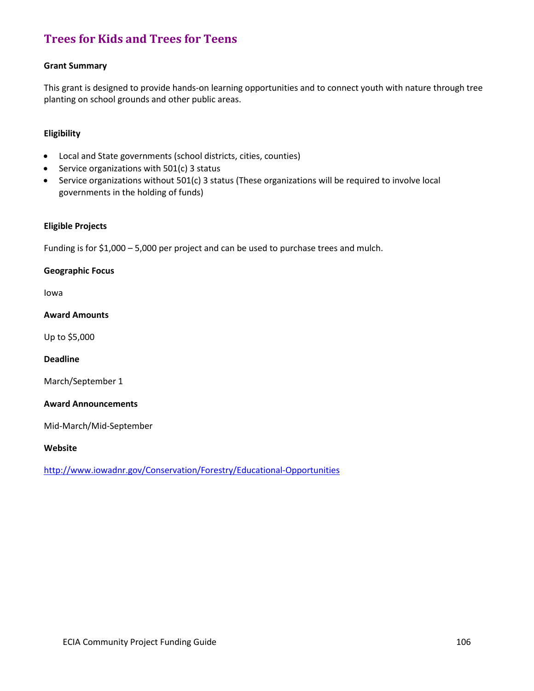# **[Trees for Kids and Trees for Teens](http://www.iowadnr.gov/Conservation/Forestry/Educational-Opportunities)**

### **Grant Summary**

This grant is designed to provide hands-on learning opportunities and to connect youth with nature through tree planting on school grounds and other public areas.

### **Eligibility**

- Local and State governments (school districts, cities, counties)
- Service organizations with 501(c) 3 status
- Service organizations without 501(c) 3 status (These organizations will be required to involve local governments in the holding of funds)

### **Eligible Projects**

Funding is for \$1,000 – 5,000 per project and can be used to purchase trees and mulch.

### **Geographic Focus**

Iowa

### **Award Amounts**

Up to \$5,000

### **Deadline**

March/September 1

### **Award Announcements**

Mid-March/Mid-September

### **Website**

<http://www.iowadnr.gov/Conservation/Forestry/Educational-Opportunities>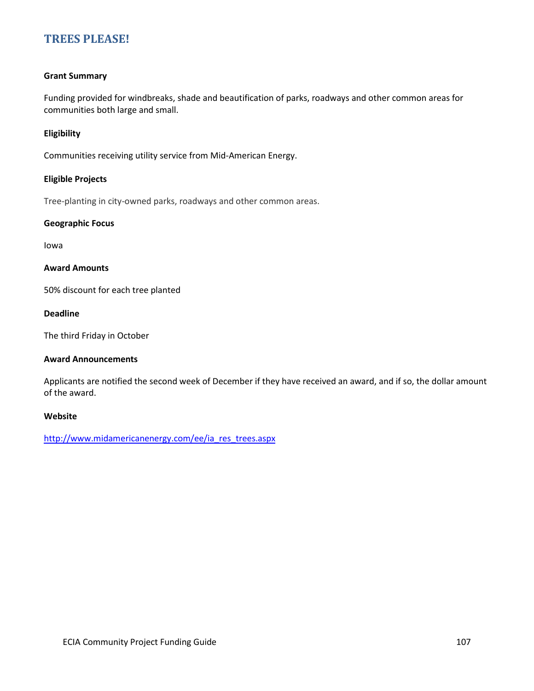### **[TREES PLEASE!](http://www.midamericanenergy.com/ee/ia_res_trees.aspx)**

### **Grant Summary**

Funding provided for windbreaks, shade and beautification of parks, roadways and other common areas for communities both large and small.

### **Eligibility**

Communities receiving utility service from Mid-American Energy.

### **Eligible Projects**

Tree-planting in city-owned parks, roadways and other common areas.

### **Geographic Focus**

Iowa

### **Award Amounts**

50% discount for each tree planted

### **Deadline**

The third Friday in October

### **Award Announcements**

Applicants are notified the second week of December if they have received an award, and if so, the dollar amount of the award.

### **Website**

[http://www.midamericanenergy.com/ee/ia\\_res\\_trees.aspx](http://www.midamericanenergy.com/ee/ia_res_trees.aspx)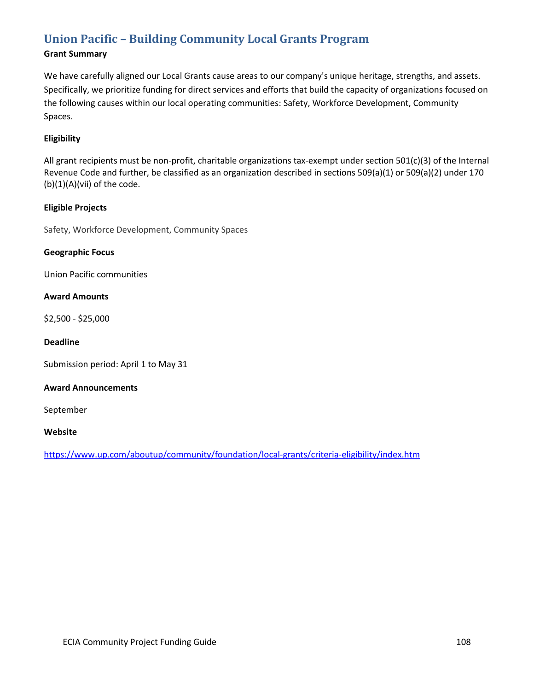# **Union Pacific – [Building Community Local](https://www.up.com/aboutup/community/foundation/local-grants/criteria-eligibility/index.htm) Grants Program**

# **Grant Summary**

We have carefully aligned our Local Grants cause areas to our company's unique heritage, strengths, and assets. Specifically, we prioritize funding for direct services and efforts that build the capacity of organizations focused on the following causes within our local operating communities: Safety, Workforce Development, Community Spaces.

# **Eligibility**

All grant recipients must be non-profit, charitable organizations tax-exempt under section 501(c)(3) of the Internal Revenue Code and further, be classified as an organization described in sections 509(a)(1) or 509(a)(2) under 170 (b)(1)(A)(vii) of the code.

# **Eligible Projects**

Safety, Workforce Development, Community Spaces

# **Geographic Focus**

Union Pacific communities

# **Award Amounts**

\$2,500 - \$25,000

#### **Deadline**

Submission period: April 1 to May 31

# **Award Announcements**

September

# **Website**

<https://www.up.com/aboutup/community/foundation/local-grants/criteria-eligibility/index.htm>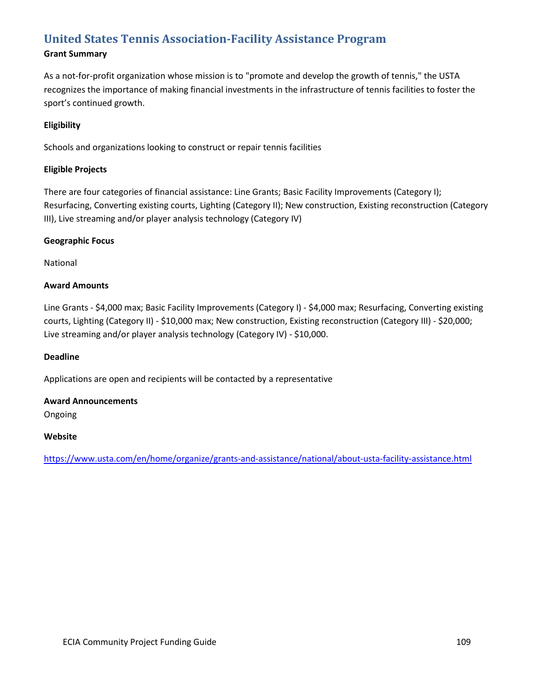# **[United States Tennis Association-Facility Assistance Program](https://www.usta.com/en/home/organize/grants-and-assistance/national/about-usta-facility-assistance.html)**

# **Grant Summary**

As a not-for-profit organization whose mission is to "promote and develop the growth of tennis," the USTA recognizes the importance of making financial investments in the infrastructure of tennis facilities to foster the sport's continued growth.

# **Eligibility**

Schools and organizations looking to construct or repair tennis facilities

# **Eligible Projects**

There are four categories of financial assistance: Line Grants; Basic Facility Improvements (Category I); Resurfacing, Converting existing courts, Lighting (Category II); New construction, Existing reconstruction (Category III), Live streaming and/or player analysis technology (Category IV)

# **Geographic Focus**

National

# **Award Amounts**

Line Grants - \$4,000 max; Basic Facility Improvements (Category I) - \$4,000 max; Resurfacing, Converting existing courts, Lighting (Category II) - \$10,000 max; New construction, Existing reconstruction (Category III) - \$20,000; Live streaming and/or player analysis technology (Category IV) - \$10,000.

# **Deadline**

Applications are open and recipients will be contacted by a representative

# **Award Announcements**

Ongoing

# **Website**

<https://www.usta.com/en/home/organize/grants-and-assistance/national/about-usta-facility-assistance.html>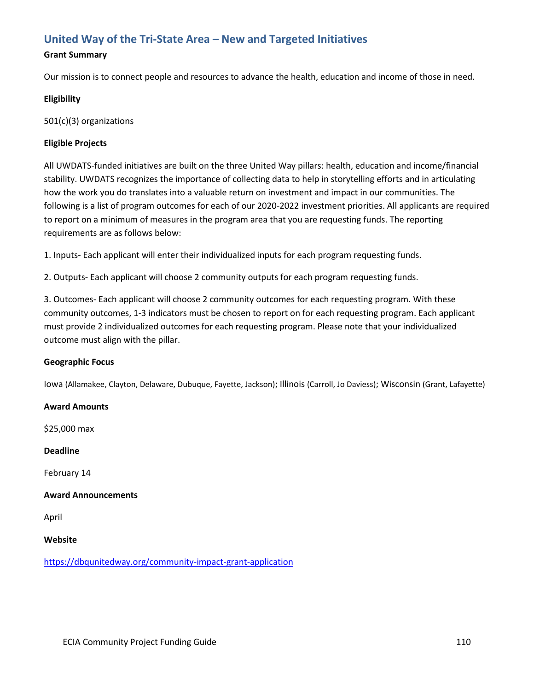# **[United Way of the Tri-State Area –](https://dbqunitedway.org/community-impact-grant-application) New and Targeted Initiatives**

# **Grant Summary**

Our mission is to connect people and resources to advance the health, education and income of those in need.

# **Eligibility**

501(c)(3) organizations

# **Eligible Projects**

All UWDATS-funded initiatives are built on the three United Way pillars: health, education and income/financial stability. UWDATS recognizes the importance of collecting data to help in storytelling efforts and in articulating how the work you do translates into a valuable return on investment and impact in our communities. The following is a list of program outcomes for each of our 2020-2022 investment priorities. All applicants are required to report on a minimum of measures in the program area that you are requesting funds. The reporting requirements are as follows below:

1. Inputs- Each applicant will enter their individualized inputs for each program requesting funds.

2. Outputs- Each applicant will choose 2 community outputs for each program requesting funds.

3. Outcomes- Each applicant will choose 2 community outcomes for each requesting program. With these community outcomes, 1-3 indicators must be chosen to report on for each requesting program. Each applicant must provide 2 individualized outcomes for each requesting program. Please note that your individualized outcome must align with the pillar.

# **Geographic Focus**

Iowa (Allamakee, Clayton, Delaware, Dubuque, Fayette, Jackson); Illinois (Carroll, Jo Daviess); Wisconsin (Grant, Lafayette)

# **Award Amounts**

\$25,000 max

# **Deadline**

February 14

# **Award Announcements**

April

# **Website**

<https://dbqunitedway.org/community-impact-grant-application>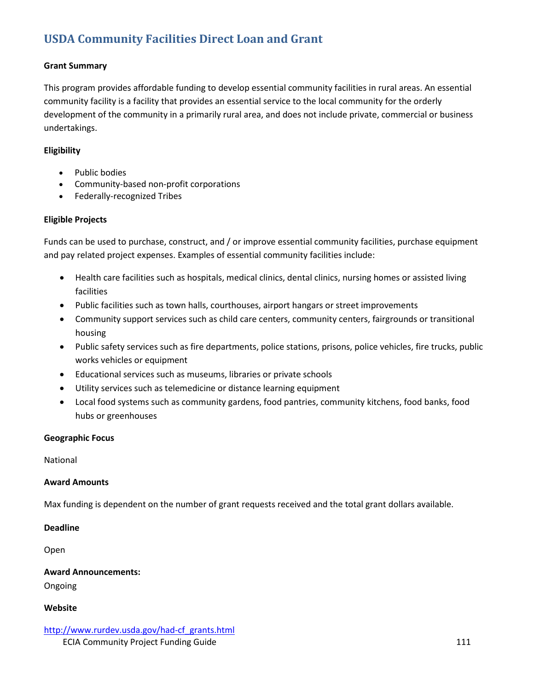# **USDA [Community Facilities Direct Loan and Grant](http://www.rurdev.usda.gov/had-cf_grants.html)**

# **Grant Summary**

This program provides affordable funding to develop essential community facilities in rural areas. An essential community facility is a facility that provides an essential service to the local community for the orderly development of the community in a primarily rural area, and does not include private, commercial or business undertakings.

# **Eligibility**

- Public bodies
- Community-based non-profit corporations
- Federally-recognized Tribes

# **Eligible Projects**

Funds can be used to purchase, construct, and / or improve essential community facilities, purchase equipment and pay related project expenses. Examples of essential community facilities include:

- Health care facilities such as hospitals, medical clinics, dental clinics, nursing homes or assisted living facilities
- Public facilities such as town halls, courthouses, airport hangars or street improvements
- Community support services such as child care centers, community centers, fairgrounds or transitional housing
- Public safety services such as fire departments, police stations, prisons, police vehicles, fire trucks, public works vehicles or equipment
- Educational services such as museums, libraries or private schools
- Utility services such as telemedicine or distance learning equipment
- Local food systems such as community gardens, food pantries, community kitchens, food banks, food hubs or greenhouses

# **Geographic Focus**

National

# **Award Amounts**

Max funding is dependent on the number of grant requests received and the total grant dollars available.

# **Deadline**

Open

**Award Announcements:** Ongoing

# **Website**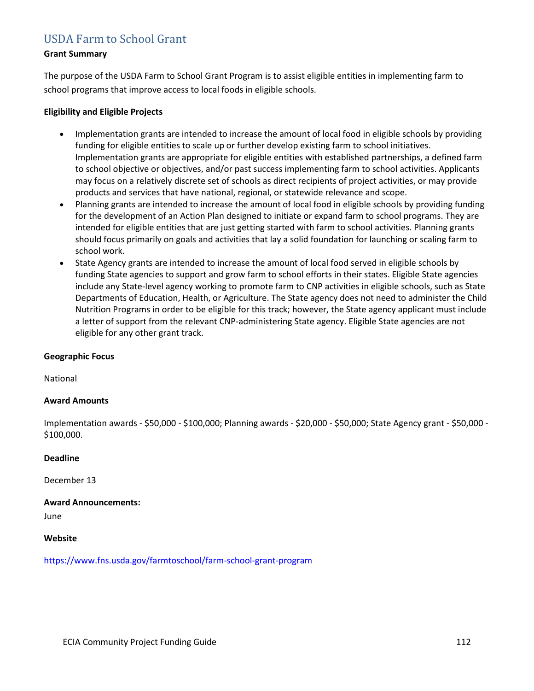# [USDA](https://www.fns.usda.gov/farmtoschool/farm-school-grant-program) [Farm to School Grant](https://www.fns.usda.gov/farmtoschool/farm-school-grant-program)

#### **Grant Summary**

The purpose of the USDA Farm to School Grant Program is to assist eligible entities in implementing farm to school programs that improve access to local foods in eligible schools.

#### **Eligibility and Eligible Projects**

- Implementation grants are intended to increase the amount of local food in eligible schools by providing funding for eligible entities to scale up or further develop existing farm to school initiatives. Implementation grants are appropriate for eligible entities with established partnerships, a defined farm to school objective or objectives, and/or past success implementing farm to school activities. Applicants may focus on a relatively discrete set of schools as direct recipients of project activities, or may provide products and services that have national, regional, or statewide relevance and scope.
- Planning grants are intended to increase the amount of local food in eligible schools by providing funding for the development of an Action Plan designed to initiate or expand farm to school programs. They are intended for eligible entities that are just getting started with farm to school activities. Planning grants should focus primarily on goals and activities that lay a solid foundation for launching or scaling farm to school work.
- State Agency grants are intended to increase the amount of local food served in eligible schools by funding State agencies to support and grow farm to school efforts in their states. Eligible State agencies include any State-level agency working to promote farm to CNP activities in eligible schools, such as State Departments of Education, Health, or Agriculture. The State agency does not need to administer the Child Nutrition Programs in order to be eligible for this track; however, the State agency applicant must include a letter of support from the relevant CNP-administering State agency. Eligible State agencies are not eligible for any other grant track.

#### **Geographic Focus**

National

# **Award Amounts**

Implementation awards - \$50,000 - \$100,000; Planning awards - \$20,000 - \$50,000; State Agency grant - \$50,000 - \$100,000.

#### **Deadline**

December 13

**Award Announcements:**

June

#### **Website**

<https://www.fns.usda.gov/farmtoschool/farm-school-grant-program>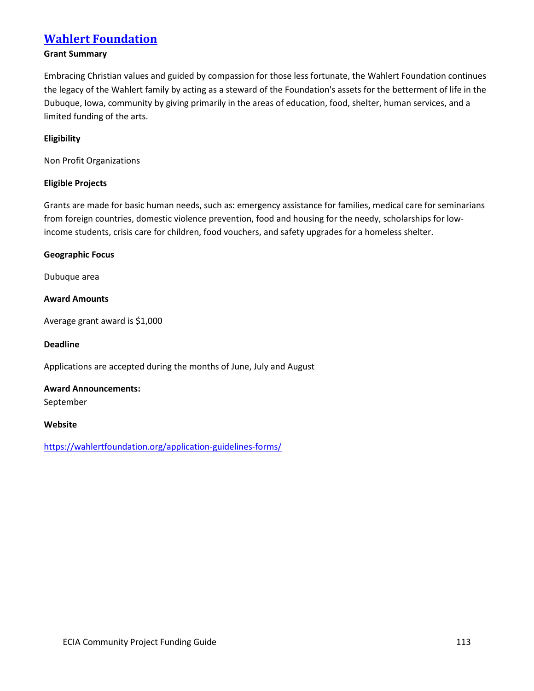# **[Wahlert Foundation](https://wahlertfoundation.org/application-guidelines-forms/)**

# **Grant Summary**

Embracing Christian values and guided by compassion for those less fortunate, the Wahlert Foundation continues the legacy of the Wahlert family by acting as a steward of the Foundation's assets for the betterment of life in the Dubuque, Iowa, community by giving primarily in the areas of education, food, shelter, human services, and a limited funding of the arts.

#### **Eligibility**

Non Profit Organizations

# **Eligible Projects**

Grants are made for basic human needs, such as: emergency assistance for families, medical care for seminarians from foreign countries, domestic violence prevention, food and housing for the needy, scholarships for lowincome students, crisis care for children, food vouchers, and safety upgrades for a homeless shelter.

#### **Geographic Focus**

Dubuque area

# **Award Amounts**

Average grant award is \$1,000

#### **Deadline**

Applications are accepted during the months of June, July and August

# **Award Announcements:**

September

#### **Website**

<https://wahlertfoundation.org/application-guidelines-forms/>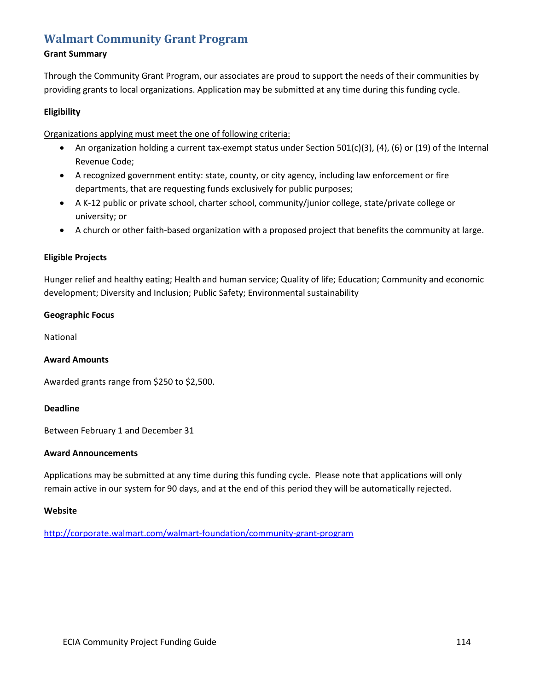# **[Walmart Community Grant Program](http://corporate.walmart.com/walmart-foundation/community-grant-program)**

# **Grant Summary**

Through the Community Grant Program, our associates are proud to support the needs of their communities by providing grants to local organizations. Application may be submitted at any time during this funding cycle.

# **Eligibility**

Organizations applying must meet the one of following criteria:

- An organization holding a current tax-exempt status under Section 501(c)(3), (4), (6) or (19) of the Internal Revenue Code;
- A recognized government entity: state, county, or city agency, including law enforcement or fire departments, that are requesting funds exclusively for public purposes;
- A K-12 public or private school, charter school, community/junior college, state/private college or university; or
- A church or other faith-based organization with a proposed project that benefits the community at large.

# **Eligible Projects**

Hunger relief and healthy eating; Health and human service; Quality of life; Education; Community and economic development; Diversity and Inclusion; Public Safety; Environmental sustainability

# **Geographic Focus**

National

# **Award Amounts**

Awarded grants range from \$250 to \$2,500.

# **Deadline**

Between February 1 and December 31

# **Award Announcements**

Applications may be submitted at any time during this funding cycle. Please note that applications will only remain active in our system for 90 days, and at the end of this period they will be automatically rejected.

# **Website**

<http://corporate.walmart.com/walmart-foundation/community-grant-program>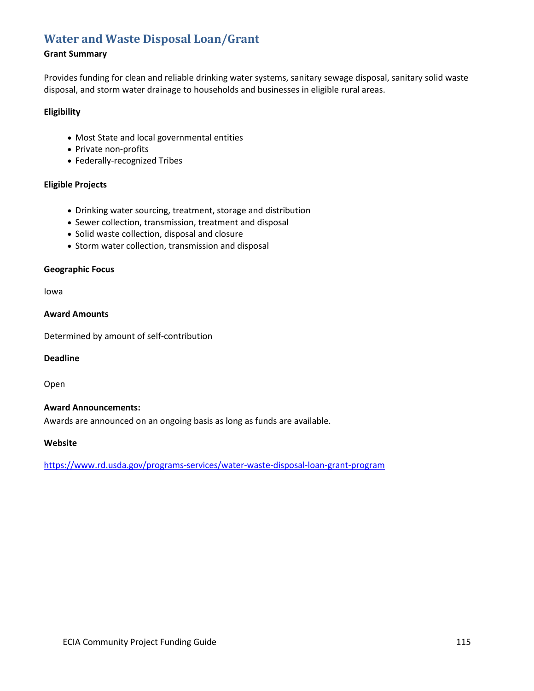# **[Water and Waste Disposal Loan/Grant](http://www.rurdev.usda.gov/uwep_HomePage.html)**

# **Grant Summary**

Provides funding for clean and reliable drinking water systems, sanitary sewage disposal, sanitary solid waste disposal, and storm water drainage to households and businesses in eligible rural areas.

# **Eligibility**

- Most State and local governmental entities
- Private non-profits
- Federally-recognized Tribes

# **Eligible Projects**

- Drinking water sourcing, treatment, storage and distribution
- Sewer collection, transmission, treatment and disposal
- Solid waste collection, disposal and closure
- Storm water collection, transmission and disposal

# **Geographic Focus**

Iowa

#### **Award Amounts**

Determined by amount of self-contribution

#### **Deadline**

Open

# **Award Announcements:**

Awards are announced on an ongoing basis as long as funds are available.

#### **Website**

<https://www.rd.usda.gov/programs-services/water-waste-disposal-loan-grant-program>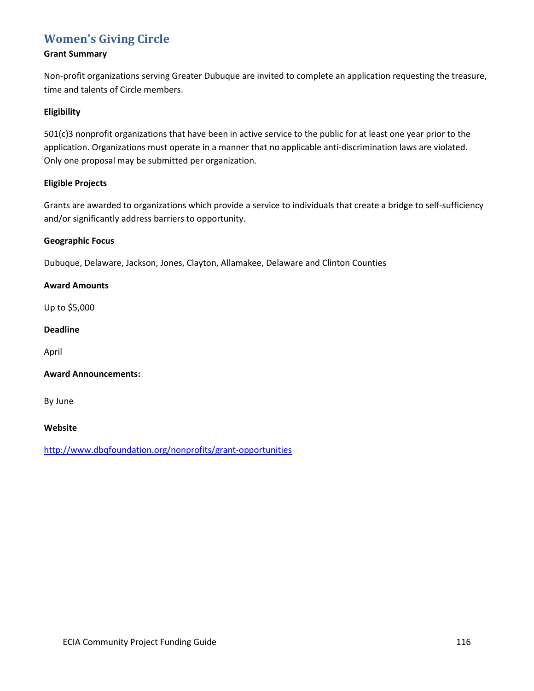# **[Women's Giving Circle](http://www.dbqfoundation.org/nonprofits/grant-opportunities)**

# **Grant Summary**

Non-profit organizations serving Greater Dubuque are invited to complete an application requesting the treasure, time and talents of Circle members.

# **Eligibility**

501(c)3 nonprofit organizations that have been in active service to the public for at least one year prior to the application. Organizations must operate in a manner that no applicable anti-discrimination laws are violated. Only one proposal may be submitted per organization.

# **Eligible Projects**

Grants are awarded to organizations which provide a service to individuals that create a bridge to self-sufficiency and/or significantly address barriers to opportunity.

# **Geographic Focus**

Dubuque, Delaware, Jackson, Jones, Clayton, Allamakee, Delaware and Clinton Counties

# **Award Amounts**

Up to \$5,000

# **Deadline**

April

# **Award Announcements:**

By June

# **Website**

<http://www.dbqfoundation.org/nonprofits/grant-opportunities>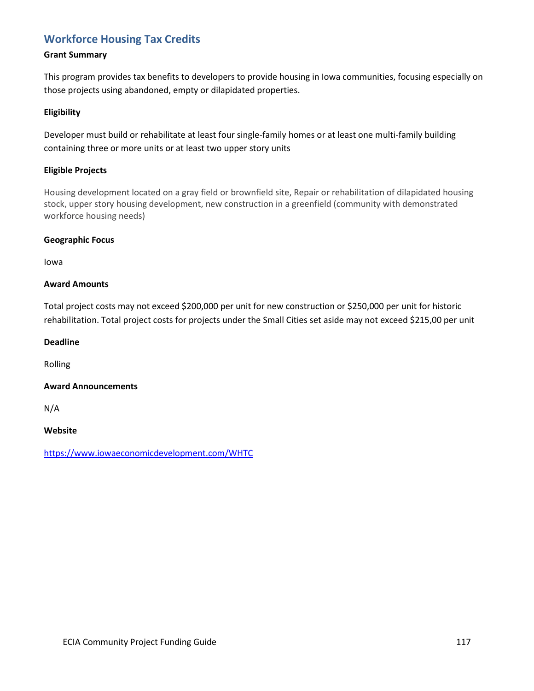# **[Workforce Housing Tax Credits](https://www.iowaeconomicdevelopment.com/WHTC)**

# **Grant Summary**

This program provides tax benefits to developers to provide housing in Iowa communities, focusing especially on those projects using abandoned, empty or dilapidated properties.

# **Eligibility**

Developer must build or rehabilitate at least four single-family homes or at least one multi-family building containing three or more units or at least two upper story units

# **Eligible Projects**

Housing development located on a gray field or brownfield site, Repair or rehabilitation of dilapidated housing stock, upper story housing development, new construction in a greenfield (community with demonstrated workforce housing needs)

# **Geographic Focus**

Iowa

# **Award Amounts**

Total project costs may not exceed \$200,000 per unit for new construction or \$250,000 per unit for historic rehabilitation. Total project costs for projects under the Small Cities set aside may not exceed \$215,00 per unit

#### **Deadline**

Rolling

# **Award Announcements**

N/A

**Website**

<https://www.iowaeconomicdevelopment.com/WHTC>